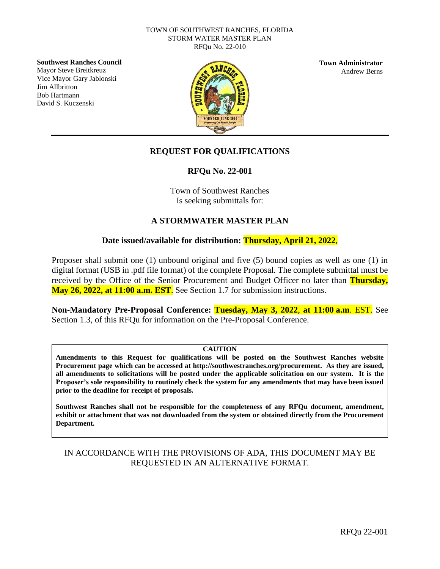**Southwest Ranches Council** Mayor Steve Breitkreuz Vice Mayor Gary Jablonski Jim Allbritton Bob Hartmann David S. Kuczenski



**Town Administrator** Andrew Berns

### **REQUEST FOR QUALIFICATIONS**

#### **RFQu No. 22-001**

Town of Southwest Ranches Is seeking submittals for:

#### **A STORMWATER MASTER PLAN**

#### **Date issued/available for distribution: Thursday, April 21, 2022**,

Proposer shall submit one (1) unbound original and five (5) bound copies as well as one (1) in digital format (USB in .pdf file format) of the complete Proposal. The complete submittal must be received by the Office of the Senior Procurement and Budget Officer no later than **Thursday, May 26, 2022, at 11:00 a.m. EST**. See Section 1.7 for submission instructions.

**Non-Mandatory Pre-Proposal Conference: Tuesday, May 3, 2022**, **at 11:00 a.m**. EST. See Section 1.3, of this RFQu for information on the Pre-Proposal Conference.

#### **CAUTION**

**Amendments to this Request for qualifications will be posted on the Southwest Ranches website Procurement page which can be accessed at http://southwestranches.org/procurement. As they are issued, all amendments to solicitations will be posted under the applicable solicitation on our system. It is the Proposer's sole responsibility to routinely check the system for any amendments that may have been issued prior to the deadline for receipt of proposals.**

**Southwest Ranches shall not be responsible for the completeness of any RFQu document, amendment, exhibit or attachment that was not downloaded from the system or obtained directly from the Procurement Department.**

#### IN ACCORDANCE WITH THE PROVISIONS OF ADA, THIS DOCUMENT MAY BE REQUESTED IN AN ALTERNATIVE FORMAT.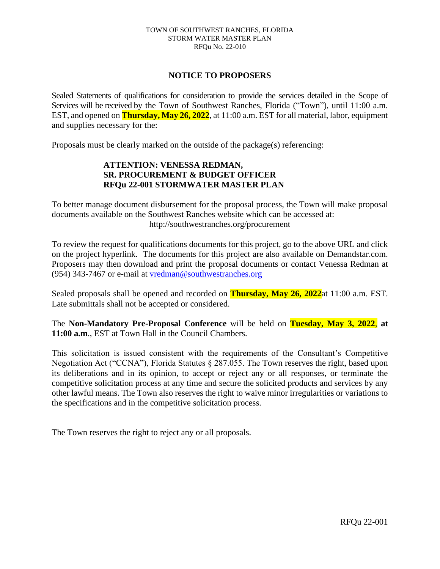#### **NOTICE TO PROPOSERS**

Sealed Statements of qualifications for consideration to provide the services detailed in the Scope of Services will be received by the Town of Southwest Ranches, Florida ("Town"), until 11:00 a.m. EST, and opened on **Thursday, May 26, 2022**, at 11:00 a.m. EST for all material, labor, equipment and supplies necessary for the:

Proposals must be clearly marked on the outside of the package(s) referencing:

### **ATTENTION: VENESSA REDMAN, SR. PROCUREMENT & BUDGET OFFICER RFQu 22-001 STORMWATER MASTER PLAN**

To better manage document disbursement for the proposal process, the Town will make proposal documents available on the Southwest Ranches website which can be accessed at: http://southwestranches.org/procurement

To review the request for qualifications documents for this project, go to the above URL and click on the project hyperlink. The documents for this project are also available on Demandstar.com. Proposers may then download and print the proposal documents or contact Venessa Redman at (954) 343-7467 or e-mail at [vredman@southwestranches.org](mailto:vredman@southwestranches.org)

Sealed proposals shall be opened and recorded on **Thursday, May 26, 2022**at 11:00 a.m. EST. Late submittals shall not be accepted or considered.

The **Non-Mandatory Pre-Proposal Conference** will be held on **Tuesday, May 3, 2022**, **at 11:00 a.m**., EST at Town Hall in the Council Chambers.

This solicitation is issued consistent with the requirements of the Consultant's Competitive Negotiation Act ("CCNA"), Florida Statutes § 287.055. The Town reserves the right, based upon its deliberations and in its opinion, to accept or reject any or all responses, or terminate the competitive solicitation process at any time and secure the solicited products and services by any other lawful means. The Town also reserves the right to waive minor irregularities or variations to the specifications and in the competitive solicitation process.

The Town reserves the right to reject any or all proposals.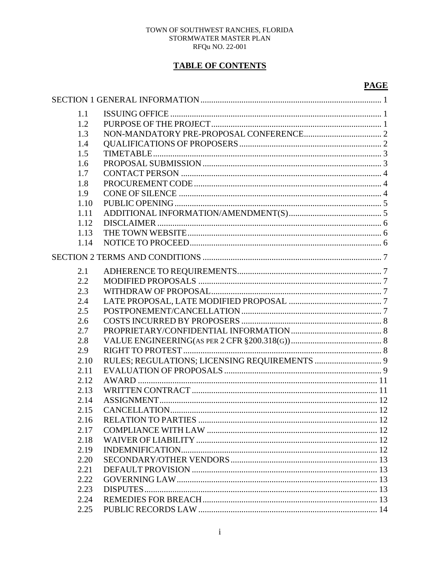# **TABLE OF CONTENTS**

# **PAGE**

| 1.1  |  |
|------|--|
| 1.2  |  |
| 1.3  |  |
| 1.4  |  |
| 1.5  |  |
| 1.6  |  |
| 1.7  |  |
| 1.8  |  |
| 1.9  |  |
| 1.10 |  |
| 1.11 |  |
| 1.12 |  |
| 1.13 |  |
| 1.14 |  |
|      |  |
| 2.1  |  |
| 2.2  |  |
| 2.3  |  |
| 2.4  |  |
| 2.5  |  |
| 2.6  |  |
| 2.7  |  |
| 2.8  |  |
| 2.9  |  |
| 2.10 |  |
| 2.11 |  |
| 2.12 |  |
| 2.13 |  |
| 2.14 |  |
| 2.15 |  |
| 2.16 |  |
| 2.17 |  |
| 2.18 |  |
| 2.19 |  |
| 2.20 |  |
| 2.21 |  |
| 2.22 |  |
| 2.23 |  |
| 2.24 |  |
| 2.25 |  |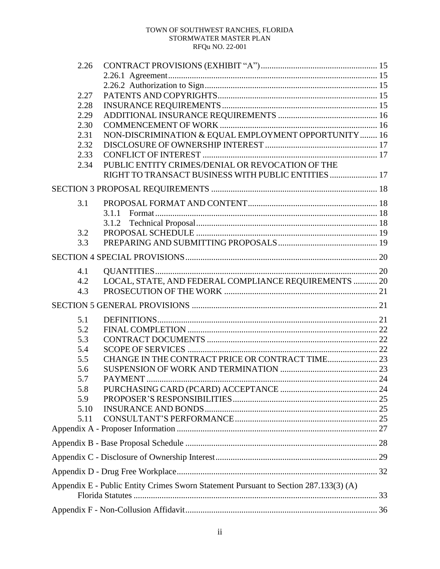| 2.26 |                                                                                      |  |
|------|--------------------------------------------------------------------------------------|--|
|      |                                                                                      |  |
|      |                                                                                      |  |
| 2.27 |                                                                                      |  |
| 2.28 |                                                                                      |  |
| 2.29 |                                                                                      |  |
| 2.30 |                                                                                      |  |
| 2.31 | NON-DISCRIMINATION & EQUAL EMPLOYMENT OPPORTUNITY  16                                |  |
| 2.32 |                                                                                      |  |
| 2.33 |                                                                                      |  |
| 2.34 | PUBLIC ENTITY CRIMES/DENIAL OR REVOCATION OF THE                                     |  |
|      | RIGHT TO TRANSACT BUSINESS WITH PUBLIC ENTITIES  17                                  |  |
|      |                                                                                      |  |
| 3.1  |                                                                                      |  |
|      | 3.1.1                                                                                |  |
|      | 3.1.2                                                                                |  |
| 3.2  |                                                                                      |  |
| 3.3  |                                                                                      |  |
|      |                                                                                      |  |
| 4.1  |                                                                                      |  |
| 4.2  | LOCAL, STATE, AND FEDERAL COMPLIANCE REQUIREMENTS  20                                |  |
| 4.3  |                                                                                      |  |
|      |                                                                                      |  |
| 5.1  |                                                                                      |  |
| 5.2  |                                                                                      |  |
| 5.3  |                                                                                      |  |
| 5.4  |                                                                                      |  |
| 5.5  | CHANGE IN THE CONTRACT PRICE OR CONTRACT TIME 23                                     |  |
| 5.6  |                                                                                      |  |
| 5.7  | PAYMENT                                                                              |  |
| 5.8  |                                                                                      |  |
| 5.9  |                                                                                      |  |
| 5.10 |                                                                                      |  |
| 5.11 |                                                                                      |  |
|      |                                                                                      |  |
|      |                                                                                      |  |
|      |                                                                                      |  |
|      |                                                                                      |  |
|      | Appendix E - Public Entity Crimes Sworn Statement Pursuant to Section 287.133(3) (A) |  |
|      |                                                                                      |  |
|      |                                                                                      |  |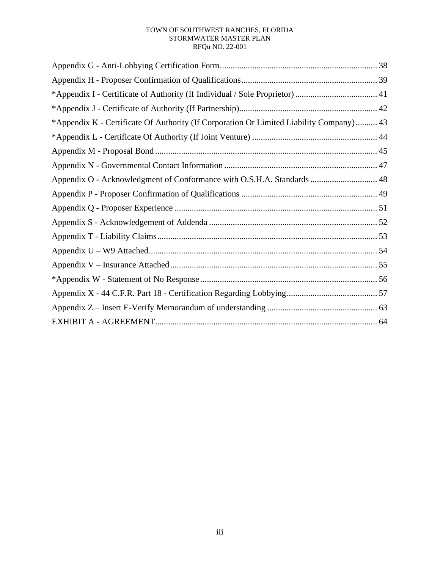| *Appendix K - Certificate Of Authority (If Corporation Or Limited Liability Company) 43 |  |
|-----------------------------------------------------------------------------------------|--|
|                                                                                         |  |
|                                                                                         |  |
|                                                                                         |  |
| Appendix O - Acknowledgment of Conformance with O.S.H.A. Standards  48                  |  |
|                                                                                         |  |
|                                                                                         |  |
|                                                                                         |  |
|                                                                                         |  |
|                                                                                         |  |
|                                                                                         |  |
|                                                                                         |  |
|                                                                                         |  |
|                                                                                         |  |
|                                                                                         |  |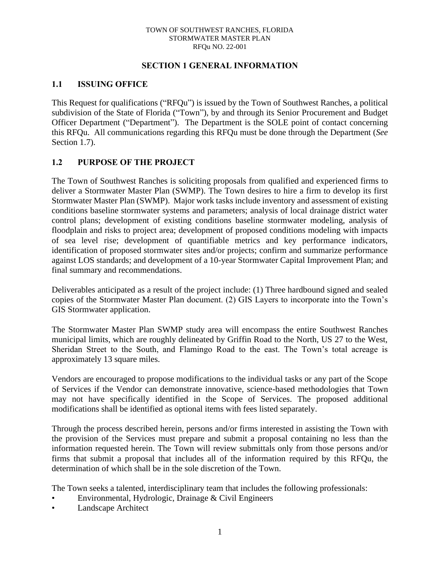#### **SECTION 1 GENERAL INFORMATION**

### **1.1 ISSUING OFFICE**

This Request for qualifications ("RFQu") is issued by the Town of Southwest Ranches, a political subdivision of the State of Florida ("Town"), by and through its Senior Procurement and Budget Officer Department ("Department"). The Department is the SOLE point of contact concerning this RFQu. All communications regarding this RFQu must be done through the Department (*See* Section 1.7).

## **1.2 PURPOSE OF THE PROJECT**

The Town of Southwest Ranches is soliciting proposals from qualified and experienced firms to deliver a Stormwater Master Plan (SWMP). The Town desires to hire a firm to develop its first Stormwater Master Plan (SWMP). Major work tasks include inventory and assessment of existing conditions baseline stormwater systems and parameters; analysis of local drainage district water control plans; development of existing conditions baseline stormwater modeling, analysis of floodplain and risks to project area; development of proposed conditions modeling with impacts of sea level rise; development of quantifiable metrics and key performance indicators, identification of proposed stormwater sites and/or projects; confirm and summarize performance against LOS standards; and development of a 10-year Stormwater Capital Improvement Plan; and final summary and recommendations.

Deliverables anticipated as a result of the project include: (1) Three hardbound signed and sealed copies of the Stormwater Master Plan document. (2) GIS Layers to incorporate into the Town's GIS Stormwater application.

The Stormwater Master Plan SWMP study area will encompass the entire Southwest Ranches municipal limits, which are roughly delineated by Griffin Road to the North, US 27 to the West, Sheridan Street to the South, and Flamingo Road to the east. The Town's total acreage is approximately 13 square miles.

Vendors are encouraged to propose modifications to the individual tasks or any part of the Scope of Services if the Vendor can demonstrate innovative, science-based methodologies that Town may not have specifically identified in the Scope of Services. The proposed additional modifications shall be identified as optional items with fees listed separately.

Through the process described herein, persons and/or firms interested in assisting the Town with the provision of the Services must prepare and submit a proposal containing no less than the information requested herein. The Town will review submittals only from those persons and/or firms that submit a proposal that includes all of the information required by this RFQu, the determination of which shall be in the sole discretion of the Town.

The Town seeks a talented, interdisciplinary team that includes the following professionals:

- Environmental, Hydrologic, Drainage & Civil Engineers
- Landscape Architect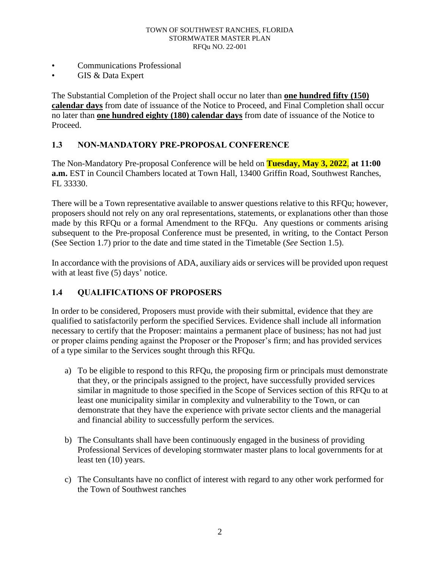- Communications Professional
- GIS & Data Expert

The Substantial Completion of the Project shall occur no later than **one hundred fifty (150) calendar days** from date of issuance of the Notice to Proceed, and Final Completion shall occur no later than **one hundred eighty (180) calendar days** from date of issuance of the Notice to Proceed.

## **1.3 NON-MANDATORY PRE-PROPOSAL CONFERENCE**

The Non-Mandatory Pre-proposal Conference will be held on **Tuesday, May 3, 2022**, **at 11:00 a.m.** EST in Council Chambers located at Town Hall, 13400 Griffin Road, Southwest Ranches, FL 33330.

There will be a Town representative available to answer questions relative to this RFQu; however, proposers should not rely on any oral representations, statements, or explanations other than those made by this RFQu or a formal Amendment to the RFQu. Any questions or comments arising subsequent to the Pre-proposal Conference must be presented, in writing, to the Contact Person (See Section 1.7) prior to the date and time stated in the Timetable (*See* Section 1.5).

In accordance with the provisions of ADA, auxiliary aids or services will be provided upon request with at least five (5) days' notice.

## **1.4 QUALIFICATIONS OF PROPOSERS**

In order to be considered, Proposers must provide with their submittal, evidence that they are qualified to satisfactorily perform the specified Services. Evidence shall include all information necessary to certify that the Proposer: maintains a permanent place of business; has not had just or proper claims pending against the Proposer or the Proposer's firm; and has provided services of a type similar to the Services sought through this RFQu.

- a) To be eligible to respond to this RFQu, the proposing firm or principals must demonstrate that they, or the principals assigned to the project, have successfully provided services similar in magnitude to those specified in the Scope of Services section of this RFQu to at least one municipality similar in complexity and vulnerability to the Town, or can demonstrate that they have the experience with private sector clients and the managerial and financial ability to successfully perform the services.
- b) The Consultants shall have been continuously engaged in the business of providing Professional Services of developing stormwater master plans to local governments for at least ten (10) years.
- c) The Consultants have no conflict of interest with regard to any other work performed for the Town of Southwest ranches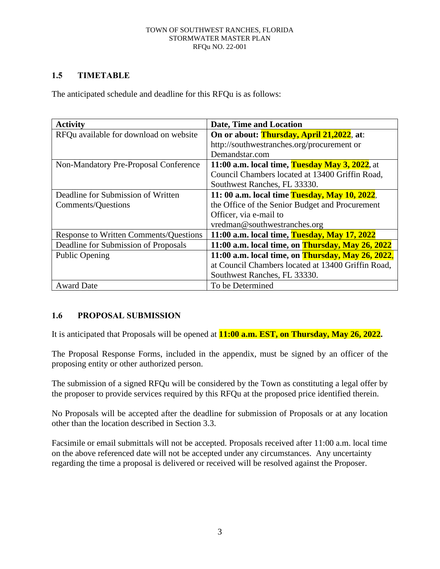## **1.5 TIMETABLE**

The anticipated schedule and deadline for this RFQu is as follows:

| <b>Activity</b>                        | Date, Time and Location                                       |  |
|----------------------------------------|---------------------------------------------------------------|--|
| RFQu available for download on website | On or about: Thursday, April 21,2022, at:                     |  |
|                                        | http://southwestranches.org/procurement or                    |  |
|                                        | Demandstar.com                                                |  |
| Non-Mandatory Pre-Proposal Conference  | 11:00 <b>a.m.</b> local time, <b>Tuesday May 3, 2022</b> , at |  |
|                                        | Council Chambers located at 13400 Griffin Road,               |  |
|                                        | Southwest Ranches, FL 33330.                                  |  |
| Deadline for Submission of Written     | 11: 00 a.m. local time <b>Tuesday</b> , May 10, 2022,         |  |
| Comments/Questions                     | the Office of the Senior Budget and Procurement               |  |
|                                        | Officer, via e-mail to                                        |  |
|                                        | vredman@southwestranches.org                                  |  |
| Response to Written Comments/Questions | 11:00 a.m. local time, Tuesday, May 17, 2022                  |  |
| Deadline for Submission of Proposals   | 11:00 a.m. local time, on Thursday, May 26, 2022              |  |
| <b>Public Opening</b>                  | 11:00 a.m. local time, on <b>Thursday</b> , May 26, 2022,     |  |
|                                        | at Council Chambers located at 13400 Griffin Road,            |  |
|                                        | Southwest Ranches, FL 33330.                                  |  |
| <b>Award Date</b>                      | To be Determined                                              |  |

### **1.6 PROPOSAL SUBMISSION**

It is anticipated that Proposals will be opened at **11:00 a.m. EST, on Thursday, May 26, 2022.**

The Proposal Response Forms, included in the appendix, must be signed by an officer of the proposing entity or other authorized person.

The submission of a signed RFQu will be considered by the Town as constituting a legal offer by the proposer to provide services required by this RFQu at the proposed price identified therein.

No Proposals will be accepted after the deadline for submission of Proposals or at any location other than the location described in Section 3.3.

Facsimile or email submittals will not be accepted. Proposals received after 11:00 a.m. local time on the above referenced date will not be accepted under any circumstances. Any uncertainty regarding the time a proposal is delivered or received will be resolved against the Proposer.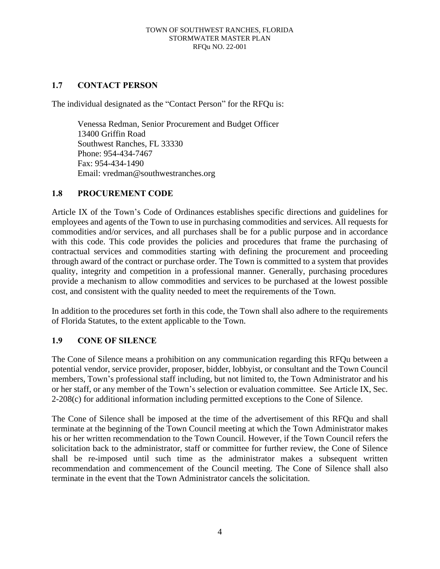## **1.7 CONTACT PERSON**

The individual designated as the "Contact Person" for the RFQu is:

Venessa Redman, Senior Procurement and Budget Officer 13400 Griffin Road Southwest Ranches, FL 33330 Phone: 954-434-7467 Fax: 954-434-1490 Email: vredman@southwestranches.org

### **1.8 PROCUREMENT CODE**

Article IX of the Town's Code of Ordinances establishes specific directions and guidelines for employees and agents of the Town to use in purchasing commodities and services. All requests for commodities and/or services, and all purchases shall be for a public purpose and in accordance with this code. This code provides the policies and procedures that frame the purchasing of contractual services and commodities starting with defining the procurement and proceeding through award of the contract or purchase order. The Town is committed to a system that provides quality, integrity and competition in a professional manner. Generally, purchasing procedures provide a mechanism to allow commodities and services to be purchased at the lowest possible cost, and consistent with the quality needed to meet the requirements of the Town.

In addition to the procedures set forth in this code, the Town shall also adhere to the requirements of Florida Statutes, to the extent applicable to the Town.

### **1.9 CONE OF SILENCE**

The Cone of Silence means a prohibition on any communication regarding this RFQu between a potential vendor, service provider, proposer, bidder, lobbyist, or consultant and the Town Council members, Town's professional staff including, but not limited to, the Town Administrator and his or her staff, or any member of the Town's selection or evaluation committee. See Article IX, Sec. 2-208(c) for additional information including permitted exceptions to the Cone of Silence.

The Cone of Silence shall be imposed at the time of the advertisement of this RFQu and shall terminate at the beginning of the Town Council meeting at which the Town Administrator makes his or her written recommendation to the Town Council. However, if the Town Council refers the solicitation back to the administrator, staff or committee for further review, the Cone of Silence shall be re-imposed until such time as the administrator makes a subsequent written recommendation and commencement of the Council meeting. The Cone of Silence shall also terminate in the event that the Town Administrator cancels the solicitation.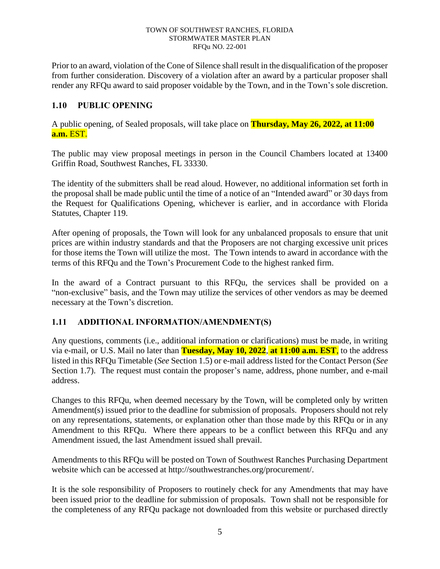Prior to an award, violation of the Cone of Silence shall result in the disqualification of the proposer from further consideration. Discovery of a violation after an award by a particular proposer shall render any RFQu award to said proposer voidable by the Town, and in the Town's sole discretion.

### **1.10 PUBLIC OPENING**

A public opening, of Sealed proposals, will take place on **Thursday, May 26, 2022, at 11:00 a.m.** EST.

The public may view proposal meetings in person in the Council Chambers located at 13400 Griffin Road, Southwest Ranches, FL 33330.

The identity of the submitters shall be read aloud. However, no additional information set forth in the proposal shall be made public until the time of a notice of an "Intended award" or 30 days from the Request for Qualifications Opening, whichever is earlier, and in accordance with Florida Statutes, Chapter 119.

After opening of proposals, the Town will look for any unbalanced proposals to ensure that unit prices are within industry standards and that the Proposers are not charging excessive unit prices for those items the Town will utilize the most. The Town intends to award in accordance with the terms of this RFQu and the Town's Procurement Code to the highest ranked firm.

In the award of a Contract pursuant to this RFQu, the services shall be provided on a "non-exclusive" basis, and the Town may utilize the services of other vendors as may be deemed necessary at the Town's discretion.

### **1.11 ADDITIONAL INFORMATION/AMENDMENT(S)**

Any questions, comments (i.e., additional information or clarifications) must be made, in writing via e-mail, or U.S. Mail no later than **Tuesday, May 10, 2022**, **at 11:00 a.m. EST**, to the address listed in this RFQu Timetable (*See* Section 1.5) or e-mail address listed for the Contact Person (*See* Section 1.7). The request must contain the proposer's name, address, phone number, and e-mail address.

Changes to this RFQu, when deemed necessary by the Town, will be completed only by written Amendment(s) issued prior to the deadline for submission of proposals. Proposers should not rely on any representations, statements, or explanation other than those made by this RFQu or in any Amendment to this RFQu. Where there appears to be a conflict between this RFQu and any Amendment issued, the last Amendment issued shall prevail.

Amendments to this RFQu will be posted on Town of Southwest Ranches Purchasing Department website which can be accessed at http://southwestranches.org/procurement/.

It is the sole responsibility of Proposers to routinely check for any Amendments that may have been issued prior to the deadline for submission of proposals. Town shall not be responsible for the completeness of any RFQu package not downloaded from this website or purchased directly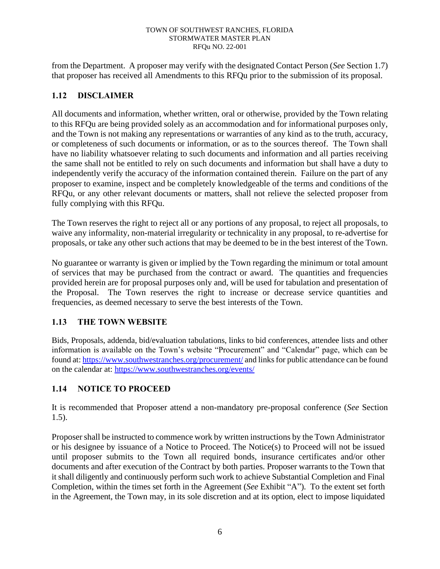from the Department. A proposer may verify with the designated Contact Person (*See* Section 1.7) that proposer has received all Amendments to this RFQu prior to the submission of its proposal.

# **1.12 DISCLAIMER**

All documents and information, whether written, oral or otherwise, provided by the Town relating to this RFQu are being provided solely as an accommodation and for informational purposes only, and the Town is not making any representations or warranties of any kind as to the truth, accuracy, or completeness of such documents or information, or as to the sources thereof. The Town shall have no liability whatsoever relating to such documents and information and all parties receiving the same shall not be entitled to rely on such documents and information but shall have a duty to independently verify the accuracy of the information contained therein. Failure on the part of any proposer to examine, inspect and be completely knowledgeable of the terms and conditions of the RFQu, or any other relevant documents or matters, shall not relieve the selected proposer from fully complying with this RFQu.

The Town reserves the right to reject all or any portions of any proposal, to reject all proposals, to waive any informality, non-material irregularity or technicality in any proposal, to re-advertise for proposals, or take any other such actions that may be deemed to be in the best interest of the Town.

No guarantee or warranty is given or implied by the Town regarding the minimum or total amount of services that may be purchased from the contract or award. The quantities and frequencies provided herein are for proposal purposes only and, will be used for tabulation and presentation of the Proposal. The Town reserves the right to increase or decrease service quantities and frequencies, as deemed necessary to serve the best interests of the Town.

## **1.13 THE TOWN WEBSITE**

Bids, Proposals, addenda, bid/evaluation tabulations, links to bid conferences, attendee lists and other information is available on the Town's website "Procurement" and "Calendar" page, which can be found at:<https://www.southwestranches.org/procurement/> and links for public attendance can be found on the calendar at:<https://www.southwestranches.org/events/>

# **1.14 NOTICE TO PROCEED**

It is recommended that Proposer attend a non-mandatory pre-proposal conference (*See* Section 1.5).

Proposer shall be instructed to commence work by written instructions by the Town Administrator or his designee by issuance of a Notice to Proceed. The Notice(s) to Proceed will not be issued until proposer submits to the Town all required bonds, insurance certificates and/or other documents and after execution of the Contract by both parties. Proposer warrants to the Town that it shall diligently and continuously perform such work to achieve Substantial Completion and Final Completion, within the times set forth in the Agreement (*See* Exhibit "A"). To the extent set forth in the Agreement, the Town may, in its sole discretion and at its option, elect to impose liquidated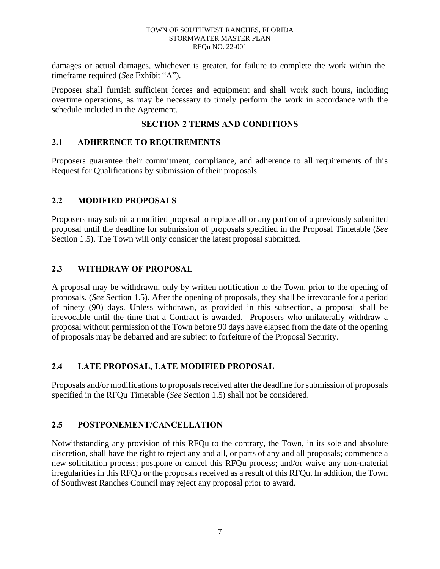damages or actual damages, whichever is greater, for failure to complete the work within the timeframe required (*See* Exhibit "A").

Proposer shall furnish sufficient forces and equipment and shall work such hours, including overtime operations, as may be necessary to timely perform the work in accordance with the schedule included in the Agreement.

### **SECTION 2 TERMS AND CONDITIONS**

#### **2.1 ADHERENCE TO REQUIREMENTS**

Proposers guarantee their commitment, compliance, and adherence to all requirements of this Request for Qualifications by submission of their proposals.

### **2.2 MODIFIED PROPOSALS**

Proposers may submit a modified proposal to replace all or any portion of a previously submitted proposal until the deadline for submission of proposals specified in the Proposal Timetable (*See* Section 1.5). The Town will only consider the latest proposal submitted.

#### **2.3 WITHDRAW OF PROPOSAL**

A proposal may be withdrawn, only by written notification to the Town, prior to the opening of proposals. (*See* Section 1.5). After the opening of proposals, they shall be irrevocable for a period of ninety (90) days. Unless withdrawn, as provided in this subsection, a proposal shall be irrevocable until the time that a Contract is awarded. Proposers who unilaterally withdraw a proposal without permission of the Town before 90 days have elapsed from the date of the opening of proposals may be debarred and are subject to forfeiture of the Proposal Security.

### **2.4 LATE PROPOSAL, LATE MODIFIED PROPOSAL**

Proposals and/or modifications to proposals received after the deadline for submission of proposals specified in the RFQu Timetable (*See* Section 1.5) shall not be considered.

#### **2.5 POSTPONEMENT/CANCELLATION**

Notwithstanding any provision of this RFQu to the contrary, the Town, in its sole and absolute discretion, shall have the right to reject any and all, or parts of any and all proposals; commence a new solicitation process; postpone or cancel this RFQu process; and/or waive any non-material irregularities in this RFQu or the proposals received as a result of this RFQu. In addition, the Town of Southwest Ranches Council may reject any proposal prior to award.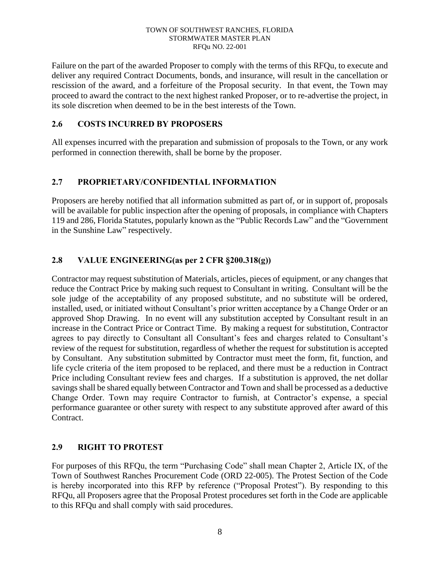Failure on the part of the awarded Proposer to comply with the terms of this RFQu, to execute and deliver any required Contract Documents, bonds, and insurance, will result in the cancellation or rescission of the award, and a forfeiture of the Proposal security. In that event, the Town may proceed to award the contract to the next highest ranked Proposer, or to re-advertise the project, in its sole discretion when deemed to be in the best interests of the Town.

### **2.6 COSTS INCURRED BY PROPOSERS**

All expenses incurred with the preparation and submission of proposals to the Town, or any work performed in connection therewith, shall be borne by the proposer.

## **2.7 PROPRIETARY/CONFIDENTIAL INFORMATION**

Proposers are hereby notified that all information submitted as part of, or in support of, proposals will be available for public inspection after the opening of proposals, in compliance with Chapters 119 and 286, Florida Statutes, popularly known as the "Public Records Law" and the "Government in the Sunshine Law" respectively.

## **2.8 VALUE ENGINEERING(as per 2 CFR §200.318(g))**

Contractor may request substitution of Materials, articles, pieces of equipment, or any changes that reduce the Contract Price by making such request to Consultant in writing. Consultant will be the sole judge of the acceptability of any proposed substitute, and no substitute will be ordered, installed, used, or initiated without Consultant's prior written acceptance by a Change Order or an approved Shop Drawing. In no event will any substitution accepted by Consultant result in an increase in the Contract Price or Contract Time. By making a request for substitution, Contractor agrees to pay directly to Consultant all Consultant's fees and charges related to Consultant's review of the request for substitution, regardless of whether the request for substitution is accepted by Consultant. Any substitution submitted by Contractor must meet the form, fit, function, and life cycle criteria of the item proposed to be replaced, and there must be a reduction in Contract Price including Consultant review fees and charges. If a substitution is approved, the net dollar savings shall be shared equally between Contractor and Town and shall be processed as a deductive Change Order. Town may require Contractor to furnish, at Contractor's expense, a special performance guarantee or other surety with respect to any substitute approved after award of this Contract.

## **2.9 RIGHT TO PROTEST**

For purposes of this RFQu, the term "Purchasing Code" shall mean Chapter 2, Article IX, of the Town of Southwest Ranches Procurement Code (ORD 22-005). The Protest Section of the Code is hereby incorporated into this RFP by reference ("Proposal Protest"). By responding to this RFQu, all Proposers agree that the Proposal Protest procedures set forth in the Code are applicable to this RFQu and shall comply with said procedures.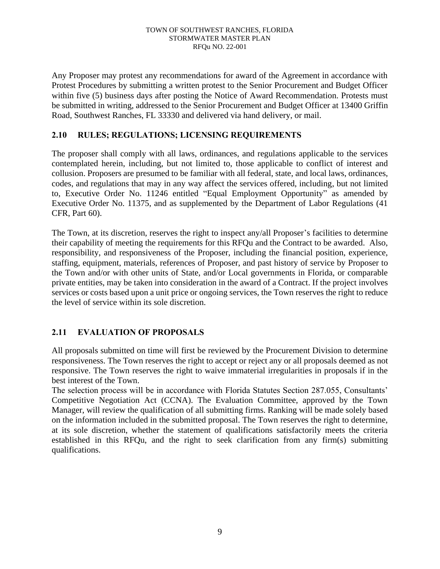Any Proposer may protest any recommendations for award of the Agreement in accordance with Protest Procedures by submitting a written protest to the Senior Procurement and Budget Officer within five (5) business days after posting the Notice of Award Recommendation. Protests must be submitted in writing, addressed to the Senior Procurement and Budget Officer at 13400 Griffin Road, Southwest Ranches, FL 33330 and delivered via hand delivery, or mail.

#### **2.10 RULES; REGULATIONS; LICENSING REQUIREMENTS**

The proposer shall comply with all laws, ordinances, and regulations applicable to the services contemplated herein, including, but not limited to, those applicable to conflict of interest and collusion. Proposers are presumed to be familiar with all federal, state, and local laws, ordinances, codes, and regulations that may in any way affect the services offered, including, but not limited to, Executive Order No. 11246 entitled "Equal Employment Opportunity" as amended by Executive Order No. 11375, and as supplemented by the Department of Labor Regulations (41 CFR, Part 60).

The Town, at its discretion, reserves the right to inspect any/all Proposer's facilities to determine their capability of meeting the requirements for this RFQu and the Contract to be awarded. Also, responsibility, and responsiveness of the Proposer, including the financial position, experience, staffing, equipment, materials, references of Proposer, and past history of service by Proposer to the Town and/or with other units of State, and/or Local governments in Florida, or comparable private entities, may be taken into consideration in the award of a Contract. If the project involves services or costs based upon a unit price or ongoing services, the Town reserves the right to reduce the level of service within its sole discretion.

### **2.11 EVALUATION OF PROPOSALS**

All proposals submitted on time will first be reviewed by the Procurement Division to determine responsiveness. The Town reserves the right to accept or reject any or all proposals deemed as not responsive. The Town reserves the right to waive immaterial irregularities in proposals if in the best interest of the Town.

The selection process will be in accordance with Florida Statutes Section 287.055, Consultants' Competitive Negotiation Act (CCNA). The Evaluation Committee, approved by the Town Manager, will review the qualification of all submitting firms. Ranking will be made solely based on the information included in the submitted proposal. The Town reserves the right to determine, at its sole discretion, whether the statement of qualifications satisfactorily meets the criteria established in this RFQu, and the right to seek clarification from any firm(s) submitting qualifications.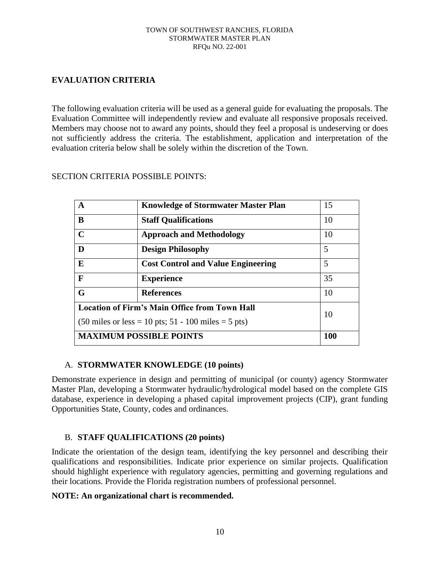## **EVALUATION CRITERIA**

The following evaluation criteria will be used as a general guide for evaluating the proposals. The Evaluation Committee will independently review and evaluate all responsive proposals received. Members may choose not to award any points, should they feel a proposal is undeserving or does not sufficiently address the criteria. The establishment, application and interpretation of the evaluation criteria below shall be solely within the discretion of the Town.

SECTION CRITERIA POSSIBLE POINTS:

| $\mathbf{A}$                                                                          | <b>Knowledge of Stormwater Master Plan</b> | 15 |
|---------------------------------------------------------------------------------------|--------------------------------------------|----|
| B                                                                                     | <b>Staff Qualifications</b>                | 10 |
| $\mathbf C$                                                                           | <b>Approach and Methodology</b>            | 10 |
| D                                                                                     | <b>Design Philosophy</b>                   | 5  |
| E                                                                                     | <b>Cost Control and Value Engineering</b>  | 5  |
| F                                                                                     | <b>Experience</b>                          | 35 |
| G                                                                                     | <b>References</b>                          | 10 |
| Location of Firm's Main Office from Town Hall<br>10                                   |                                            |    |
| $(50 \text{ miles or less} = 10 \text{ pts}; 51 - 100 \text{ miles} = 5 \text{ pts})$ |                                            |    |
| <b>MAXIMUM POSSIBLE POINTS</b><br><b>100</b>                                          |                                            |    |

### A. **STORMWATER KNOWLEDGE (10 points)**

Demonstrate experience in design and permitting of municipal (or county) agency Stormwater Master Plan, developing a Stormwater hydraulic/hydrological model based on the complete GIS database, experience in developing a phased capital improvement projects (CIP), grant funding Opportunities State, County, codes and ordinances.

### B. **STAFF QUALIFICATIONS (20 points)**

Indicate the orientation of the design team, identifying the key personnel and describing their qualifications and responsibilities. Indicate prior experience on similar projects. Qualification should highlight experience with regulatory agencies, permitting and governing regulations and their locations. Provide the Florida registration numbers of professional personnel.

#### **NOTE: An organizational chart is recommended.**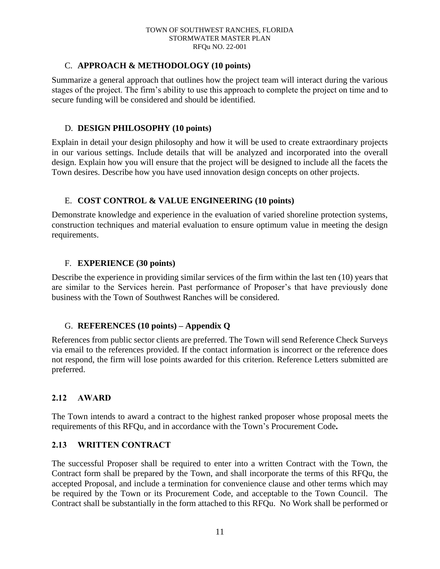### C. **APPROACH & METHODOLOGY (10 points)**

Summarize a general approach that outlines how the project team will interact during the various stages of the project. The firm's ability to use this approach to complete the project on time and to secure funding will be considered and should be identified.

#### D. **DESIGN PHILOSOPHY (10 points)**

Explain in detail your design philosophy and how it will be used to create extraordinary projects in our various settings. Include details that will be analyzed and incorporated into the overall design. Explain how you will ensure that the project will be designed to include all the facets the Town desires. Describe how you have used innovation design concepts on other projects.

#### E. **COST CONTROL & VALUE ENGINEERING (10 points)**

Demonstrate knowledge and experience in the evaluation of varied shoreline protection systems, construction techniques and material evaluation to ensure optimum value in meeting the design requirements.

#### F. **EXPERIENCE (30 points)**

Describe the experience in providing similar services of the firm within the last ten (10) years that are similar to the Services herein. Past performance of Proposer's that have previously done business with the Town of Southwest Ranches will be considered.

### G. **REFERENCES (10 points) – Appendix Q**

References from public sector clients are preferred. The Town will send Reference Check Surveys via email to the references provided. If the contact information is incorrect or the reference does not respond, the firm will lose points awarded for this criterion. Reference Letters submitted are preferred.

### **2.12 AWARD**

The Town intends to award a contract to the highest ranked proposer whose proposal meets the requirements of this RFQu, and in accordance with the Town's Procurement Code**.**

### **2.13 WRITTEN CONTRACT**

The successful Proposer shall be required to enter into a written Contract with the Town, the Contract form shall be prepared by the Town, and shall incorporate the terms of this RFQu, the accepted Proposal, and include a termination for convenience clause and other terms which may be required by the Town or its Procurement Code, and acceptable to the Town Council. The Contract shall be substantially in the form attached to this RFQu. No Work shall be performed or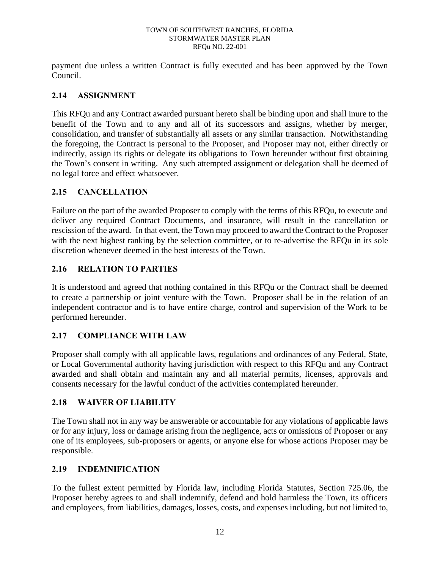payment due unless a written Contract is fully executed and has been approved by the Town Council.

### **2.14 ASSIGNMENT**

This RFQu and any Contract awarded pursuant hereto shall be binding upon and shall inure to the benefit of the Town and to any and all of its successors and assigns, whether by merger, consolidation, and transfer of substantially all assets or any similar transaction. Notwithstanding the foregoing, the Contract is personal to the Proposer, and Proposer may not, either directly or indirectly, assign its rights or delegate its obligations to Town hereunder without first obtaining the Town's consent in writing. Any such attempted assignment or delegation shall be deemed of no legal force and effect whatsoever.

#### **2.15 CANCELLATION**

Failure on the part of the awarded Proposer to comply with the terms of this RFQu, to execute and deliver any required Contract Documents, and insurance, will result in the cancellation or rescission of the award. In that event, the Town may proceed to award the Contract to the Proposer with the next highest ranking by the selection committee, or to re-advertise the RFQu in its sole discretion whenever deemed in the best interests of the Town.

### **2.16 RELATION TO PARTIES**

It is understood and agreed that nothing contained in this RFQu or the Contract shall be deemed to create a partnership or joint venture with the Town. Proposer shall be in the relation of an independent contractor and is to have entire charge, control and supervision of the Work to be performed hereunder.

### **2.17 COMPLIANCE WITH LAW**

Proposer shall comply with all applicable laws, regulations and ordinances of any Federal, State, or Local Governmental authority having jurisdiction with respect to this RFQu and any Contract awarded and shall obtain and maintain any and all material permits, licenses, approvals and consents necessary for the lawful conduct of the activities contemplated hereunder.

### **2.18 WAIVER OF LIABILITY**

The Town shall not in any way be answerable or accountable for any violations of applicable laws or for any injury, loss or damage arising from the negligence, acts or omissions of Proposer or any one of its employees, sub-proposers or agents, or anyone else for whose actions Proposer may be responsible.

### **2.19 INDEMNIFICATION**

To the fullest extent permitted by Florida law, including Florida Statutes, Section 725.06, the Proposer hereby agrees to and shall indemnify, defend and hold harmless the Town, its officers and employees, from liabilities, damages, losses, costs, and expenses including, but not limited to,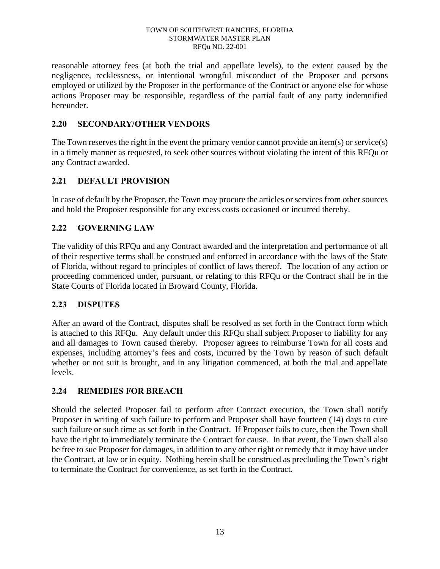reasonable attorney fees (at both the trial and appellate levels), to the extent caused by the negligence, recklessness, or intentional wrongful misconduct of the Proposer and persons employed or utilized by the Proposer in the performance of the Contract or anyone else for whose actions Proposer may be responsible, regardless of the partial fault of any party indemnified hereunder.

### **2.20 SECONDARY/OTHER VENDORS**

The Town reserves the right in the event the primary vendor cannot provide an item(s) or service(s) in a timely manner as requested, to seek other sources without violating the intent of this RFQu or any Contract awarded.

#### **2.21 DEFAULT PROVISION**

In case of default by the Proposer, the Town may procure the articles or services from other sources and hold the Proposer responsible for any excess costs occasioned or incurred thereby.

#### **2.22 GOVERNING LAW**

The validity of this RFQu and any Contract awarded and the interpretation and performance of all of their respective terms shall be construed and enforced in accordance with the laws of the State of Florida, without regard to principles of conflict of laws thereof. The location of any action or proceeding commenced under, pursuant, or relating to this RFQu or the Contract shall be in the State Courts of Florida located in Broward County, Florida.

#### **2.23 DISPUTES**

After an award of the Contract, disputes shall be resolved as set forth in the Contract form which is attached to this RFQu. Any default under this RFQu shall subject Proposer to liability for any and all damages to Town caused thereby. Proposer agrees to reimburse Town for all costs and expenses, including attorney's fees and costs, incurred by the Town by reason of such default whether or not suit is brought, and in any litigation commenced, at both the trial and appellate levels.

### **2.24 REMEDIES FOR BREACH**

Should the selected Proposer fail to perform after Contract execution, the Town shall notify Proposer in writing of such failure to perform and Proposer shall have fourteen (14) days to cure such failure or such time as set forth in the Contract. If Proposer fails to cure, then the Town shall have the right to immediately terminate the Contract for cause. In that event, the Town shall also be free to sue Proposer for damages, in addition to any other right or remedy that it may have under the Contract, at law or in equity. Nothing herein shall be construed as precluding the Town's right to terminate the Contract for convenience, as set forth in the Contract.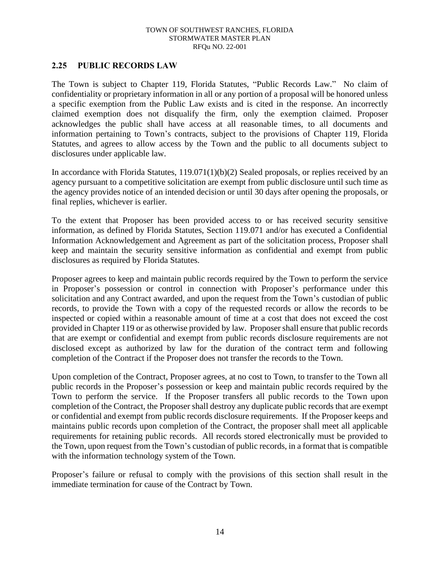#### **2.25 PUBLIC RECORDS LAW**

The Town is subject to Chapter 119, Florida Statutes, "Public Records Law." No claim of confidentiality or proprietary information in all or any portion of a proposal will be honored unless a specific exemption from the Public Law exists and is cited in the response. An incorrectly claimed exemption does not disqualify the firm, only the exemption claimed. Proposer acknowledges the public shall have access at all reasonable times, to all documents and information pertaining to Town's contracts, subject to the provisions of Chapter 119, Florida Statutes, and agrees to allow access by the Town and the public to all documents subject to disclosures under applicable law.

In accordance with Florida Statutes, 119.071(1)(b)(2) Sealed proposals, or replies received by an agency pursuant to a competitive solicitation are exempt from public disclosure until such time as the agency provides notice of an intended decision or until 30 days after opening the proposals, or final replies, whichever is earlier.

To the extent that Proposer has been provided access to or has received security sensitive information, as defined by Florida Statutes, Section 119.071 and/or has executed a Confidential Information Acknowledgement and Agreement as part of the solicitation process, Proposer shall keep and maintain the security sensitive information as confidential and exempt from public disclosures as required by Florida Statutes.

Proposer agrees to keep and maintain public records required by the Town to perform the service in Proposer's possession or control in connection with Proposer's performance under this solicitation and any Contract awarded, and upon the request from the Town's custodian of public records, to provide the Town with a copy of the requested records or allow the records to be inspected or copied within a reasonable amount of time at a cost that does not exceed the cost provided in Chapter 119 or as otherwise provided by law. Proposer shall ensure that public records that are exempt or confidential and exempt from public records disclosure requirements are not disclosed except as authorized by law for the duration of the contract term and following completion of the Contract if the Proposer does not transfer the records to the Town.

Upon completion of the Contract, Proposer agrees, at no cost to Town, to transfer to the Town all public records in the Proposer's possession or keep and maintain public records required by the Town to perform the service. If the Proposer transfers all public records to the Town upon completion of the Contract, the Proposer shall destroy any duplicate public records that are exempt or confidential and exempt from public records disclosure requirements. If the Proposer keeps and maintains public records upon completion of the Contract, the proposer shall meet all applicable requirements for retaining public records. All records stored electronically must be provided to the Town, upon request from the Town's custodian of public records, in a format that is compatible with the information technology system of the Town.

Proposer's failure or refusal to comply with the provisions of this section shall result in the immediate termination for cause of the Contract by Town.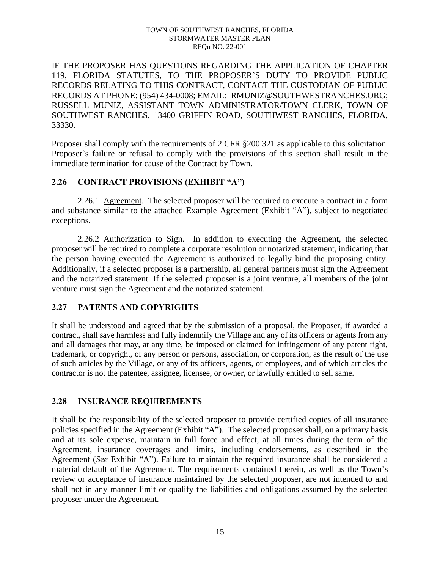IF THE PROPOSER HAS QUESTIONS REGARDING THE APPLICATION OF CHAPTER 119, FLORIDA STATUTES, TO THE PROPOSER'S DUTY TO PROVIDE PUBLIC RECORDS RELATING TO THIS CONTRACT, CONTACT THE CUSTODIAN OF PUBLIC RECORDS AT PHONE: (954) 434-0008; EMAIL: RMUNIZ@SOUTHWESTRANCHES.ORG; RUSSELL MUNIZ, ASSISTANT TOWN ADMINISTRATOR/TOWN CLERK, TOWN OF SOUTHWEST RANCHES, 13400 GRIFFIN ROAD, SOUTHWEST RANCHES, FLORIDA, 33330.

Proposer shall comply with the requirements of 2 CFR §200.321 as applicable to this solicitation. Proposer's failure or refusal to comply with the provisions of this section shall result in the immediate termination for cause of the Contract by Town.

#### **2.26 CONTRACT PROVISIONS (EXHIBIT "A")**

2.26.1 Agreement. The selected proposer will be required to execute a contract in a form and substance similar to the attached Example Agreement (Exhibit "A"), subject to negotiated exceptions.

2.26.2 Authorization to Sign. In addition to executing the Agreement, the selected proposer will be required to complete a corporate resolution or notarized statement, indicating that the person having executed the Agreement is authorized to legally bind the proposing entity. Additionally, if a selected proposer is a partnership, all general partners must sign the Agreement and the notarized statement. If the selected proposer is a joint venture, all members of the joint venture must sign the Agreement and the notarized statement.

### **2.27 PATENTS AND COPYRIGHTS**

It shall be understood and agreed that by the submission of a proposal, the Proposer, if awarded a contract, shall save harmless and fully indemnify the Village and any of its officers or agents from any and all damages that may, at any time, be imposed or claimed for infringement of any patent right, trademark, or copyright, of any person or persons, association, or corporation, as the result of the use of such articles by the Village, or any of its officers, agents, or employees, and of which articles the contractor is not the patentee, assignee, licensee, or owner, or lawfully entitled to sell same.

#### **2.28 INSURANCE REQUIREMENTS**

It shall be the responsibility of the selected proposer to provide certified copies of all insurance policies specified in the Agreement (Exhibit "A"). The selected proposer shall, on a primary basis and at its sole expense, maintain in full force and effect, at all times during the term of the Agreement, insurance coverages and limits, including endorsements, as described in the Agreement (*See* Exhibit "A"). Failure to maintain the required insurance shall be considered a material default of the Agreement. The requirements contained therein, as well as the Town's review or acceptance of insurance maintained by the selected proposer, are not intended to and shall not in any manner limit or qualify the liabilities and obligations assumed by the selected proposer under the Agreement.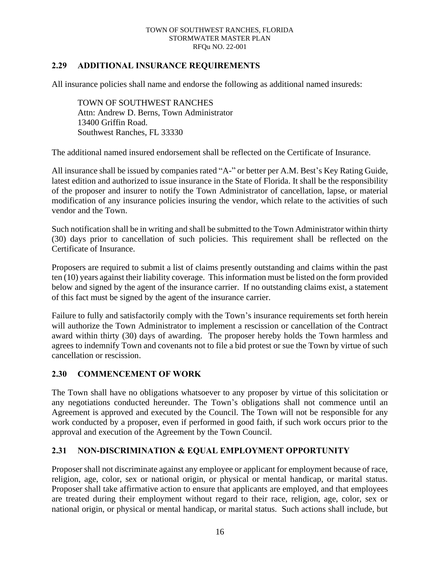### **2.29 ADDITIONAL INSURANCE REQUIREMENTS**

All insurance policies shall name and endorse the following as additional named insureds:

TOWN OF SOUTHWEST RANCHES Attn: Andrew D. Berns, Town Administrator 13400 Griffin Road. Southwest Ranches, FL 33330

The additional named insured endorsement shall be reflected on the Certificate of Insurance.

All insurance shall be issued by companies rated "A-" or better per A.M. Best's Key Rating Guide, latest edition and authorized to issue insurance in the State of Florida. It shall be the responsibility of the proposer and insurer to notify the Town Administrator of cancellation, lapse, or material modification of any insurance policies insuring the vendor, which relate to the activities of such vendor and the Town.

Such notification shall be in writing and shall be submitted to the Town Administrator within thirty (30) days prior to cancellation of such policies. This requirement shall be reflected on the Certificate of Insurance.

Proposers are required to submit a list of claims presently outstanding and claims within the past ten (10) years against their liability coverage. This information must be listed on the form provided below and signed by the agent of the insurance carrier. If no outstanding claims exist, a statement of this fact must be signed by the agent of the insurance carrier.

Failure to fully and satisfactorily comply with the Town's insurance requirements set forth herein will authorize the Town Administrator to implement a rescission or cancellation of the Contract award within thirty (30) days of awarding. The proposer hereby holds the Town harmless and agrees to indemnify Town and covenants not to file a bid protest or sue the Town by virtue of such cancellation or rescission.

#### **2.30 COMMENCEMENT OF WORK**

The Town shall have no obligations whatsoever to any proposer by virtue of this solicitation or any negotiations conducted hereunder. The Town's obligations shall not commence until an Agreement is approved and executed by the Council. The Town will not be responsible for any work conducted by a proposer, even if performed in good faith, if such work occurs prior to the approval and execution of the Agreement by the Town Council.

#### **2.31 NON-DISCRIMINATION & EQUAL EMPLOYMENT OPPORTUNITY**

Proposer shall not discriminate against any employee or applicant for employment because of race, religion, age, color, sex or national origin, or physical or mental handicap, or marital status. Proposer shall take affirmative action to ensure that applicants are employed, and that employees are treated during their employment without regard to their race, religion, age, color, sex or national origin, or physical or mental handicap, or marital status. Such actions shall include, but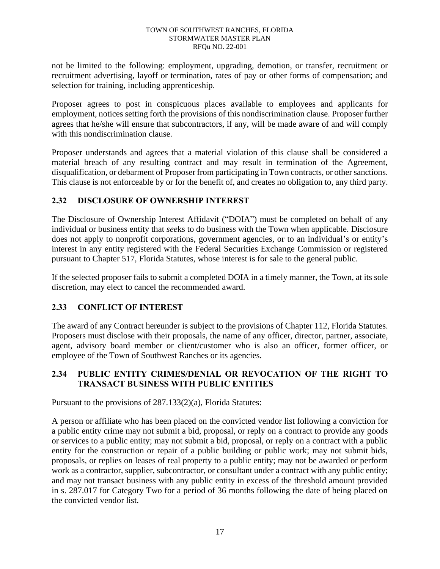not be limited to the following: employment, upgrading, demotion, or transfer, recruitment or recruitment advertising, layoff or termination, rates of pay or other forms of compensation; and selection for training, including apprenticeship.

Proposer agrees to post in conspicuous places available to employees and applicants for employment, notices setting forth the provisions of this nondiscrimination clause. Proposer further agrees that he/she will ensure that subcontractors, if any, will be made aware of and will comply with this nondiscrimination clause.

Proposer understands and agrees that a material violation of this clause shall be considered a material breach of any resulting contract and may result in termination of the Agreement, disqualification, or debarment of Proposer from participating in Town contracts, or other sanctions. This clause is not enforceable by or for the benefit of, and creates no obligation to, any third party.

## **2.32 DISCLOSURE OF OWNERSHIP INTEREST**

The Disclosure of Ownership Interest Affidavit ("DOIA") must be completed on behalf of any individual or business entity that *see*ks to do business with the Town when applicable. Disclosure does not apply to nonprofit corporations, government agencies, or to an individual's or entity's interest in any entity registered with the Federal Securities Exchange Commission or registered pursuant to Chapter 517, Florida Statutes, whose interest is for sale to the general public.

If the selected proposer fails to submit a completed DOIA in a timely manner, the Town, at its sole discretion, may elect to cancel the recommended award.

## **2.33 CONFLICT OF INTEREST**

The award of any Contract hereunder is subject to the provisions of Chapter 112, Florida Statutes. Proposers must disclose with their proposals, the name of any officer, director, partner, associate, agent, advisory board member or client/customer who is also an officer, former officer, or employee of the Town of Southwest Ranches or its agencies.

## **2.34 PUBLIC ENTITY CRIMES/DENIAL OR REVOCATION OF THE RIGHT TO TRANSACT BUSINESS WITH PUBLIC ENTITIES**

Pursuant to the provisions of 287.133(2)(a), Florida Statutes:

A person or affiliate who has been placed on the convicted vendor list following a conviction for a public entity crime may not submit a bid, proposal, or reply on a contract to provide any goods or services to a public entity; may not submit a bid, proposal, or reply on a contract with a public entity for the construction or repair of a public building or public work; may not submit bids, proposals, or replies on leases of real property to a public entity; may not be awarded or perform work as a contractor, supplier, subcontractor, or consultant under a contract with any public entity; and may not transact business with any public entity in excess of the threshold amount provided in s. 287.017 for Category Two for a period of 36 months following the date of being placed on the convicted vendor list.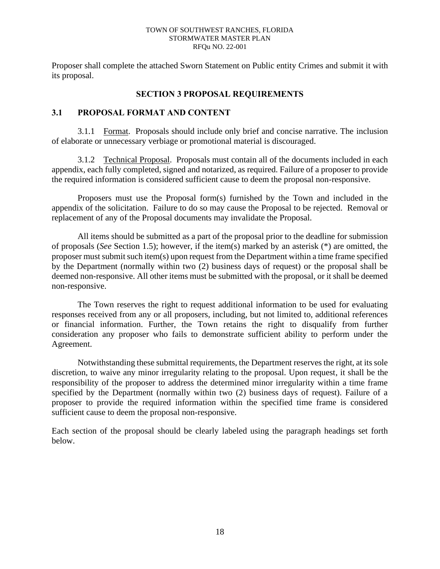Proposer shall complete the attached Sworn Statement on Public entity Crimes and submit it with its proposal.

#### **SECTION 3 PROPOSAL REQUIREMENTS**

### **3.1 PROPOSAL FORMAT AND CONTENT**

3.1.1 Format. Proposals should include only brief and concise narrative. The inclusion of elaborate or unnecessary verbiage or promotional material is discouraged.

3.1.2 Technical Proposal. Proposals must contain all of the documents included in each appendix, each fully completed, signed and notarized, as required. Failure of a proposer to provide the required information is considered sufficient cause to deem the proposal non-responsive.

Proposers must use the Proposal form(s) furnished by the Town and included in the appendix of the solicitation. Failure to do so may cause the Proposal to be rejected. Removal or replacement of any of the Proposal documents may invalidate the Proposal.

All items should be submitted as a part of the proposal prior to the deadline for submission of proposals (*See* Section 1.5); however, if the item(s) marked by an asterisk (\*) are omitted, the proposer must submit such item(s) upon request from the Department within a time frame specified by the Department (normally within two (2) business days of request) or the proposal shall be deemed non-responsive. All other items must be submitted with the proposal, or it shall be deemed non-responsive.

The Town reserves the right to request additional information to be used for evaluating responses received from any or all proposers, including, but not limited to, additional references or financial information. Further, the Town retains the right to disqualify from further consideration any proposer who fails to demonstrate sufficient ability to perform under the Agreement.

Notwithstanding these submittal requirements, the Department reserves the right, at its sole discretion, to waive any minor irregularity relating to the proposal. Upon request, it shall be the responsibility of the proposer to address the determined minor irregularity within a time frame specified by the Department (normally within two (2) business days of request). Failure of a proposer to provide the required information within the specified time frame is considered sufficient cause to deem the proposal non-responsive.

Each section of the proposal should be clearly labeled using the paragraph headings set forth below.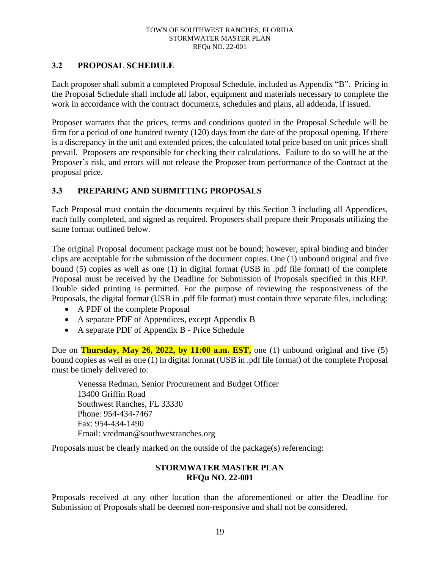## **3.2 PROPOSAL SCHEDULE**

Each proposer shall submit a completed Proposal Schedule, included as Appendix "B". Pricing in the Proposal Schedule shall include all labor, equipment and materials necessary to complete the work in accordance with the contract documents, schedules and plans, all addenda, if issued.

Proposer warrants that the prices, terms and conditions quoted in the Proposal Schedule will be firm for a period of one hundred twenty (120) days from the date of the proposal opening. If there is a discrepancy in the unit and extended prices, the calculated total price based on unit prices shall prevail. Proposers are responsible for checking their calculations. Failure to do so will be at the Proposer's risk, and errors will not release the Proposer from performance of the Contract at the proposal price.

## **3.3 PREPARING AND SUBMITTING PROPOSALS**

Each Proposal must contain the documents required by this Section 3 including all Appendices, each fully completed, and signed as required. Proposers shall prepare their Proposals utilizing the same format outlined below.

The original Proposal document package must not be bound; however, spiral binding and binder clips are acceptable for the submission of the document copies. One (1) unbound original and five bound (5) copies as well as one (1) in digital format (USB in .pdf file format) of the complete Proposal must be received by the Deadline for Submission of Proposals specified in this RFP. Double sided printing is permitted. For the purpose of reviewing the responsiveness of the Proposals, the digital format (USB in .pdf file format) must contain three separate files, including:

- A PDF of the complete Proposal
- A separate PDF of Appendices, except Appendix B
- A separate PDF of Appendix B Price Schedule

Due on **Thursday, May 26, 2022, by 11:00 a.m. EST,** one (1) unbound original and five (5) bound copies as well as one (1) in digital format (USB in .pdf file format) of the complete Proposal must be timely delivered to:

Venessa Redman, Senior Procurement and Budget Officer 13400 Griffin Road Southwest Ranches, FL 33330 Phone: 954-434-7467 Fax: 954-434-1490 Email: vredman@southwestranches.org

Proposals must be clearly marked on the outside of the package(s) referencing:

#### **STORMWATER MASTER PLAN RFQu NO. 22-001**

Proposals received at any other location than the aforementioned or after the Deadline for Submission of Proposals shall be deemed non-responsive and shall not be considered.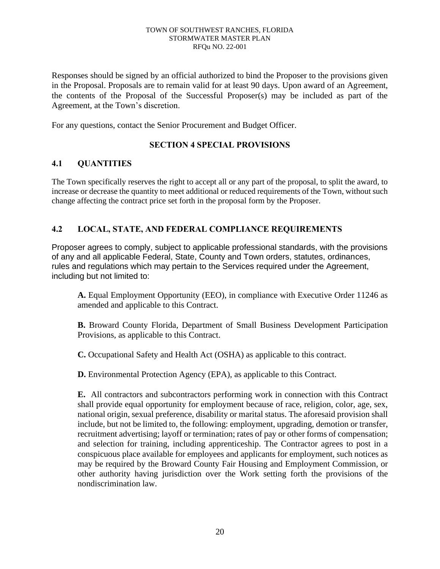Responses should be signed by an official authorized to bind the Proposer to the provisions given in the Proposal. Proposals are to remain valid for at least 90 days. Upon award of an Agreement, the contents of the Proposal of the Successful Proposer(s) may be included as part of the Agreement, at the Town's discretion.

For any questions, contact the Senior Procurement and Budget Officer.

#### **SECTION 4 SPECIAL PROVISIONS**

#### **4.1 QUANTITIES**

The Town specifically reserves the right to accept all or any part of the proposal, to split the award, to increase or decrease the quantity to meet additional or reduced requirements of the Town, without such change affecting the contract price set forth in the proposal form by the Proposer.

### **4.2 LOCAL, STATE, AND FEDERAL COMPLIANCE REQUIREMENTS**

Proposer agrees to comply, subject to applicable professional standards, with the provisions of any and all applicable Federal, State, County and Town orders, statutes, ordinances, rules and regulations which may pertain to the Services required under the Agreement, including but not limited to:

**A.** Equal Employment Opportunity (EEO), in compliance with Executive Order 11246 as amended and applicable to this Contract.

**B.** Broward County Florida, Department of Small Business Development Participation Provisions, as applicable to this Contract.

**C.** Occupational Safety and Health Act (OSHA) as applicable to this contract.

**D.** Environmental Protection Agency (EPA), as applicable to this Contract.

**E.** All contractors and subcontractors performing work in connection with this Contract shall provide equal opportunity for employment because of race, religion, color, age, sex, national origin, sexual preference, disability or marital status. The aforesaid provision shall include, but not be limited to, the following: employment, upgrading, demotion or transfer, recruitment advertising; layoff or termination; rates of pay or other forms of compensation; and selection for training, including apprenticeship. The Contractor agrees to post in a conspicuous place available for employees and applicants for employment, such notices as may be required by the Broward County Fair Housing and Employment Commission, or other authority having jurisdiction over the Work setting forth the provisions of the nondiscrimination law.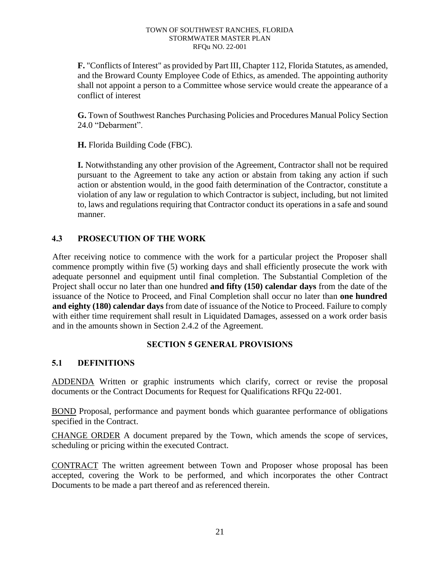**F.** "Conflicts of Interest" as provided by Part III, Chapter 112, Florida Statutes, as amended, and the Broward County Employee Code of Ethics, as amended. The appointing authority shall not appoint a person to a Committee whose service would create the appearance of a conflict of interest

**G.** Town of Southwest Ranches Purchasing Policies and Procedures Manual Policy Section 24.0 "Debarment".

**H.** Florida Building Code (FBC).

**I.** Notwithstanding any other provision of the Agreement, Contractor shall not be required pursuant to the Agreement to take any action or abstain from taking any action if such action or abstention would, in the good faith determination of the Contractor, constitute a violation of any law or regulation to which Contractor is subject, including, but not limited to, laws and regulations requiring that Contractor conduct its operations in a safe and sound manner.

## **4.3 PROSECUTION OF THE WORK**

After receiving notice to commence with the work for a particular project the Proposer shall commence promptly within five (5) working days and shall efficiently prosecute the work with adequate personnel and equipment until final completion. The Substantial Completion of the Project shall occur no later than one hundred **and fifty (150) calendar days** from the date of the issuance of the Notice to Proceed, and Final Completion shall occur no later than **one hundred and eighty (180) calendar days** from date of issuance of the Notice to Proceed. Failure to comply with either time requirement shall result in Liquidated Damages, assessed on a work order basis and in the amounts shown in Section 2.4.2 of the Agreement.

### **SECTION 5 GENERAL PROVISIONS**

## **5.1 DEFINITIONS**

ADDENDA Written or graphic instruments which clarify, correct or revise the proposal documents or the Contract Documents for Request for Qualifications RFQu 22-001.

BOND Proposal, performance and payment bonds which guarantee performance of obligations specified in the Contract.

CHANGE ORDER A document prepared by the Town, which amends the scope of services, scheduling or pricing within the executed Contract.

CONTRACT The written agreement between Town and Proposer whose proposal has been accepted, covering the Work to be performed, and which incorporates the other Contract Documents to be made a part thereof and as referenced therein.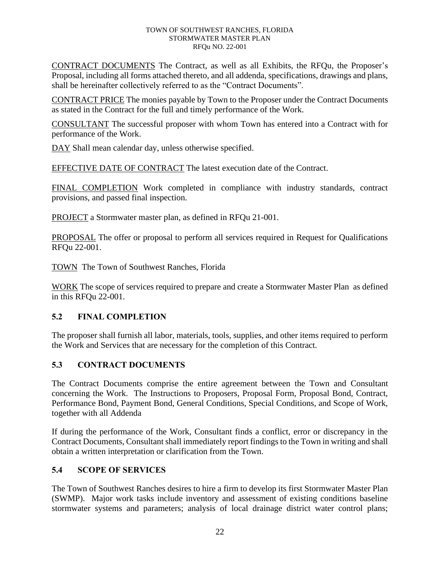CONTRACT DOCUMENTS The Contract, as well as all Exhibits, the RFQu, the Proposer's Proposal, including all forms attached thereto, and all addenda, specifications, drawings and plans, shall be hereinafter collectively referred to as the "Contract Documents".

CONTRACT PRICE The monies payable by Town to the Proposer under the Contract Documents as stated in the Contract for the full and timely performance of the Work.

CONSULTANT The successful proposer with whom Town has entered into a Contract with for performance of the Work.

DAY Shall mean calendar day, unless otherwise specified.

EFFECTIVE DATE OF CONTRACT The latest execution date of the Contract.

FINAL COMPLETION Work completed in compliance with industry standards, contract provisions, and passed final inspection.

PROJECT a Stormwater master plan, as defined in RFQu 21-001.

PROPOSAL The offer or proposal to perform all services required in Request for Qualifications RFQu 22-001.

TOWN The Town of Southwest Ranches, Florida

WORK The scope of services required to prepare and create a Stormwater Master Plan as defined in this RFQu 22-001.

### **5.2 FINAL COMPLETION**

The proposer shall furnish all labor, materials, tools, supplies, and other items required to perform the Work and Services that are necessary for the completion of this Contract.

### **5.3 CONTRACT DOCUMENTS**

The Contract Documents comprise the entire agreement between the Town and Consultant concerning the Work. The Instructions to Proposers, Proposal Form, Proposal Bond, Contract, Performance Bond, Payment Bond, General Conditions, Special Conditions, and Scope of Work, together with all Addenda

If during the performance of the Work, Consultant finds a conflict, error or discrepancy in the Contract Documents, Consultant shall immediately report findings to the Town in writing and shall obtain a written interpretation or clarification from the Town.

## **5.4 SCOPE OF SERVICES**

The Town of Southwest Ranches desires to hire a firm to develop its first Stormwater Master Plan (SWMP). Major work tasks include inventory and assessment of existing conditions baseline stormwater systems and parameters; analysis of local drainage district water control plans;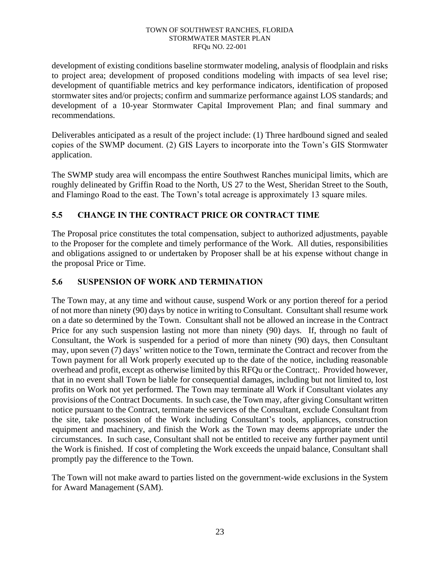development of existing conditions baseline stormwater modeling, analysis of floodplain and risks to project area; development of proposed conditions modeling with impacts of sea level rise; development of quantifiable metrics and key performance indicators, identification of proposed stormwater sites and/or projects; confirm and summarize performance against LOS standards; and development of a 10-year Stormwater Capital Improvement Plan; and final summary and recommendations.

Deliverables anticipated as a result of the project include: (1) Three hardbound signed and sealed copies of the SWMP document. (2) GIS Layers to incorporate into the Town's GIS Stormwater application.

The SWMP study area will encompass the entire Southwest Ranches municipal limits, which are roughly delineated by Griffin Road to the North, US 27 to the West, Sheridan Street to the South, and Flamingo Road to the east. The Town's total acreage is approximately 13 square miles.

# **5.5 CHANGE IN THE CONTRACT PRICE OR CONTRACT TIME**

The Proposal price constitutes the total compensation, subject to authorized adjustments, payable to the Proposer for the complete and timely performance of the Work. All duties, responsibilities and obligations assigned to or undertaken by Proposer shall be at his expense without change in the proposal Price or Time.

## **5.6 SUSPENSION OF WORK AND TERMINATION**

The Town may, at any time and without cause, suspend Work or any portion thereof for a period of not more than ninety (90) days by notice in writing to Consultant. Consultant shall resume work on a date so determined by the Town. Consultant shall not be allowed an increase in the Contract Price for any such suspension lasting not more than ninety (90) days. If, through no fault of Consultant, the Work is suspended for a period of more than ninety (90) days, then Consultant may, upon seven (7) days' written notice to the Town, terminate the Contract and recover from the Town payment for all Work properly executed up to the date of the notice, including reasonable overhead and profit, except as otherwise limited by this RFQu or the Contract;. Provided however, that in no event shall Town be liable for consequential damages, including but not limited to, lost profits on Work not yet performed. The Town may terminate all Work if Consultant violates any provisions of the Contract Documents. In such case, the Town may, after giving Consultant written notice pursuant to the Contract, terminate the services of the Consultant, exclude Consultant from the site, take possession of the Work including Consultant's tools, appliances, construction equipment and machinery, and finish the Work as the Town may deems appropriate under the circumstances. In such case, Consultant shall not be entitled to receive any further payment until the Work is finished. If cost of completing the Work exceeds the unpaid balance, Consultant shall promptly pay the difference to the Town.

The Town will not make award to parties listed on the government-wide exclusions in the System for Award Management (SAM).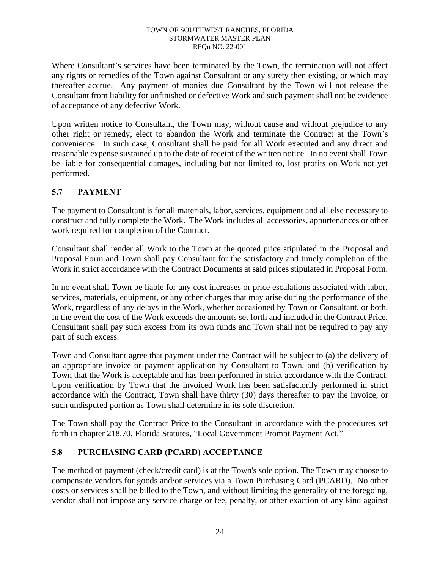Where Consultant's services have been terminated by the Town, the termination will not affect any rights or remedies of the Town against Consultant or any surety then existing, or which may thereafter accrue. Any payment of monies due Consultant by the Town will not release the Consultant from liability for unfinished or defective Work and such payment shall not be evidence of acceptance of any defective Work.

Upon written notice to Consultant, the Town may, without cause and without prejudice to any other right or remedy, elect to abandon the Work and terminate the Contract at the Town's convenience. In such case, Consultant shall be paid for all Work executed and any direct and reasonable expense sustained up to the date of receipt of the written notice. In no event shall Town be liable for consequential damages, including but not limited to, lost profits on Work not yet performed.

### **5.7 PAYMENT**

The payment to Consultant is for all materials, labor, services, equipment and all else necessary to construct and fully complete the Work. The Work includes all accessories, appurtenances or other work required for completion of the Contract.

Consultant shall render all Work to the Town at the quoted price stipulated in the Proposal and Proposal Form and Town shall pay Consultant for the satisfactory and timely completion of the Work in strict accordance with the Contract Documents at said prices stipulated in Proposal Form.

In no event shall Town be liable for any cost increases or price escalations associated with labor, services, materials, equipment, or any other charges that may arise during the performance of the Work, regardless of any delays in the Work, whether occasioned by Town or Consultant, or both. In the event the cost of the Work exceeds the amounts set forth and included in the Contract Price, Consultant shall pay such excess from its own funds and Town shall not be required to pay any part of such excess.

Town and Consultant agree that payment under the Contract will be subject to (a) the delivery of an appropriate invoice or payment application by Consultant to Town, and (b) verification by Town that the Work is acceptable and has been performed in strict accordance with the Contract. Upon verification by Town that the invoiced Work has been satisfactorily performed in strict accordance with the Contract, Town shall have thirty (30) days thereafter to pay the invoice, or such undisputed portion as Town shall determine in its sole discretion.

The Town shall pay the Contract Price to the Consultant in accordance with the procedures set forth in chapter 218.70, Florida Statutes, "Local Government Prompt Payment Act."

### **5.8 PURCHASING CARD (PCARD) ACCEPTANCE**

The method of payment (check/credit card) is at the Town's sole option. The Town may choose to compensate vendors for goods and/or services via a Town Purchasing Card (PCARD). No other costs or services shall be billed to the Town, and without limiting the generality of the foregoing, vendor shall not impose any service charge or fee, penalty, or other exaction of any kind against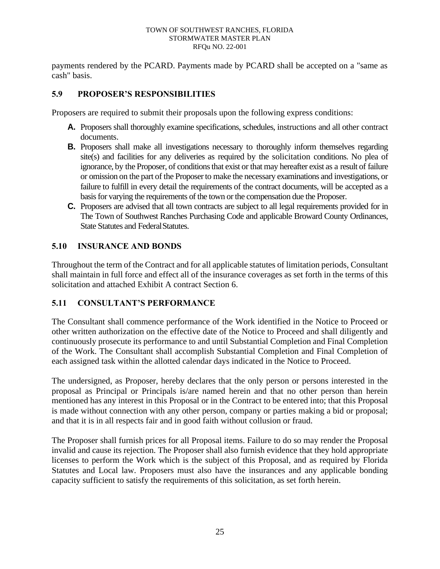payments rendered by the PCARD. Payments made by PCARD shall be accepted on a "same as cash" basis.

### **5.9 PROPOSER'S RESPONSIBILITIES**

Proposers are required to submit their proposals upon the following express conditions:

- **A.** Proposers shall thoroughly examine specifications, schedules, instructions and all other contract documents.
- **B.** Proposers shall make all investigations necessary to thoroughly inform themselves regarding site(s) and facilities for any deliveries as required by the solicitation conditions. No plea of ignorance, by the Proposer, of conditions that exist or that may hereafter exist as a result of failure or omission on the part of the Proposer to make the necessary examinations and investigations, or failure to fulfill in every detail the requirements of the contract documents, will be accepted as a basis for varying the requirements of the town or the compensation due the Proposer.
- **C.** Proposers are advised that all town contracts are subject to all legal requirements provided for in The Town of Southwest Ranches Purchasing Code and applicable Broward County Ordinances, State Statutes and FederalStatutes.

### **5.10 INSURANCE AND BONDS**

Throughout the term of the Contract and for all applicable statutes of limitation periods, Consultant shall maintain in full force and effect all of the insurance coverages as set forth in the terms of this solicitation and attached Exhibit A contract Section 6.

# **5.11 CONSULTANT'S PERFORMANCE**

The Consultant shall commence performance of the Work identified in the Notice to Proceed or other written authorization on the effective date of the Notice to Proceed and shall diligently and continuously prosecute its performance to and until Substantial Completion and Final Completion of the Work. The Consultant shall accomplish Substantial Completion and Final Completion of each assigned task within the allotted calendar days indicated in the Notice to Proceed.

The undersigned, as Proposer, hereby declares that the only person or persons interested in the proposal as Principal or Principals is/are named herein and that no other person than herein mentioned has any interest in this Proposal or in the Contract to be entered into; that this Proposal is made without connection with any other person, company or parties making a bid or proposal; and that it is in all respects fair and in good faith without collusion or fraud.

The Proposer shall furnish prices for all Proposal items. Failure to do so may render the Proposal invalid and cause its rejection. The Proposer shall also furnish evidence that they hold appropriate licenses to perform the Work which is the subject of this Proposal, and as required by Florida Statutes and Local law. Proposers must also have the insurances and any applicable bonding capacity sufficient to satisfy the requirements of this solicitation, as set forth herein.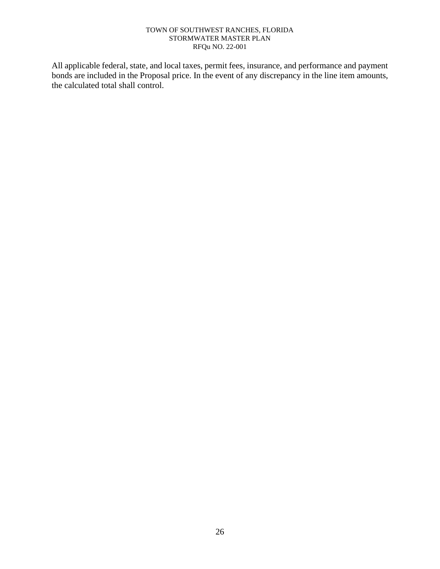All applicable federal, state, and local taxes, permit fees, insurance, and performance and payment bonds are included in the Proposal price. In the event of any discrepancy in the line item amounts, the calculated total shall control.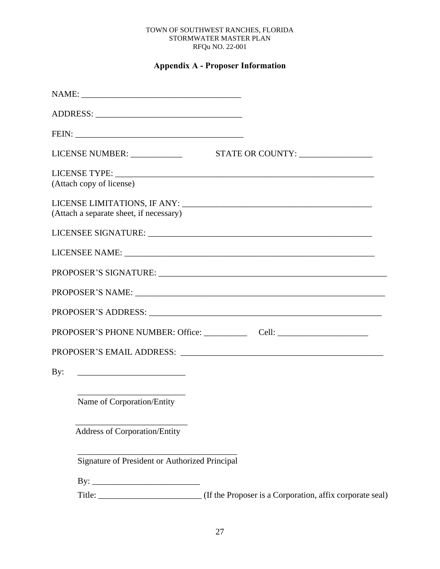# **Appendix A - Proposer Information**

|                  | (Attach copy of license)                       |                                                                                                                                                                                                                                |
|------------------|------------------------------------------------|--------------------------------------------------------------------------------------------------------------------------------------------------------------------------------------------------------------------------------|
|                  | (Attach a separate sheet, if necessary)        |                                                                                                                                                                                                                                |
|                  |                                                | LICENSEE SIGNATURE: New York State Signal State Signal State Signal State Signal State Signal State Signal State Signal State Signal State Signal State Signal State Signal State Signal State State State State State State S |
|                  |                                                |                                                                                                                                                                                                                                |
|                  |                                                |                                                                                                                                                                                                                                |
|                  |                                                |                                                                                                                                                                                                                                |
|                  |                                                |                                                                                                                                                                                                                                |
|                  |                                                |                                                                                                                                                                                                                                |
|                  |                                                |                                                                                                                                                                                                                                |
| $\overline{By:}$ |                                                |                                                                                                                                                                                                                                |
|                  | Name of Corporation/Entity                     |                                                                                                                                                                                                                                |
|                  | <b>Address of Corporation/Entity</b>           |                                                                                                                                                                                                                                |
|                  | Signature of President or Authorized Principal |                                                                                                                                                                                                                                |
|                  |                                                |                                                                                                                                                                                                                                |
|                  |                                                |                                                                                                                                                                                                                                |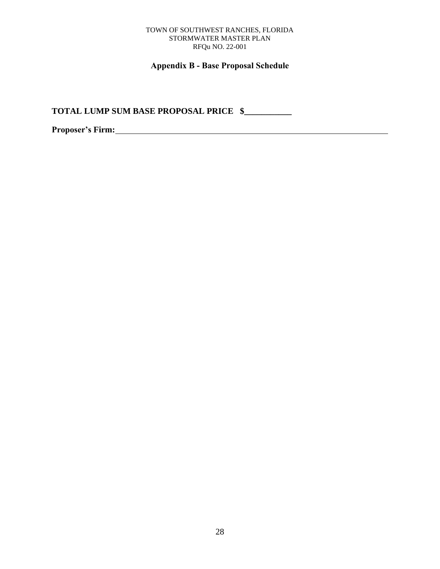# **Appendix B - Base Proposal Schedule**

## **TOTAL LUMP SUM BASE PROPOSAL PRICE \$\_\_\_\_\_\_\_\_\_\_\_**

**Proposer's Firm:**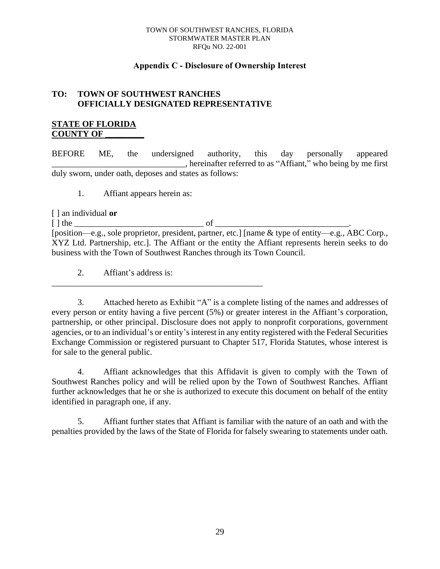#### **Appendix C - Disclosure of Ownership Interest**

#### **TO: TOWN OF SOUTHWEST RANCHES OFFICIALLY DESIGNATED REPRESENTATIVE**

#### **STATE OF FLORIDA COUNTY OF \_\_\_\_\_\_\_\_\_**

BEFORE ME, the undersigned authority, this day personally appeared \_\_\_\_\_\_\_\_\_\_\_\_\_\_\_\_\_\_\_\_\_\_\_\_\_\_\_\_\_\_\_, hereinafter referred to as "Affiant," who being by me first duly sworn, under oath, deposes and states as follows:

1. Affiant appears herein as:

[ ] an individual **or**

[ ] the \_\_\_\_\_\_\_\_\_\_\_\_\_\_\_\_\_\_\_\_\_\_\_\_\_\_\_\_\_\_ of \_\_\_\_\_\_\_\_\_\_\_\_\_\_\_\_\_\_\_\_\_\_\_\_\_\_\_\_\_\_\_. [position—e.g., sole proprietor, president, partner, etc.] [name & type of entity—e.g., ABC Corp., XYZ Ltd. Partnership, etc.]. The Affiant or the entity the Affiant represents herein seeks to do business with the Town of Southwest Ranches through its Town Council.

2. Affiant's address is:

\_\_\_\_\_\_\_\_\_\_\_\_\_\_\_\_\_\_\_\_\_\_\_\_\_\_\_\_\_\_\_\_\_\_\_\_\_\_\_\_\_\_\_\_\_\_\_\_\_

3. Attached hereto as Exhibit "A" is a complete listing of the names and addresses of every person or entity having a five percent (5%) or greater interest in the Affiant's corporation, partnership, or other principal. Disclosure does not apply to nonprofit corporations, government agencies, or to an individual's or entity's interest in any entity registered with the Federal Securities Exchange Commission or registered pursuant to Chapter 517, Florida Statutes, whose interest is for sale to the general public.

4. Affiant acknowledges that this Affidavit is given to comply with the Town of Southwest Ranches policy and will be relied upon by the Town of Southwest Ranches. Affiant further acknowledges that he or she is authorized to execute this document on behalf of the entity identified in paragraph one, if any.

5. Affiant further states that Affiant is familiar with the nature of an oath and with the penalties provided by the laws of the State of Florida for falsely swearing to statements under oath.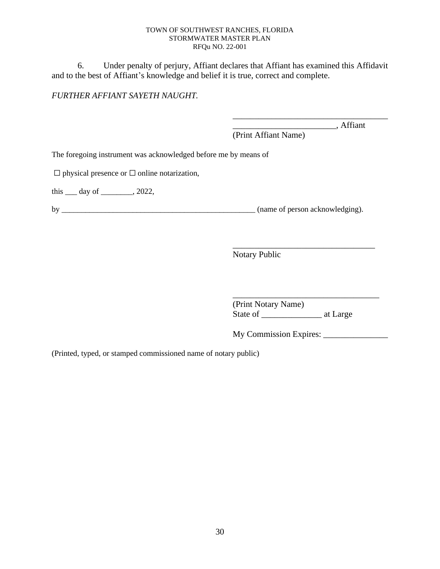6. Under penalty of perjury, Affiant declares that Affiant has examined this Affidavit and to the best of Affiant's knowledge and belief it is true, correct and complete.

*FURTHER AFFIANT SAYETH NAUGHT.*

\_\_\_\_\_\_\_\_\_\_\_\_\_\_\_\_\_\_\_\_\_\_\_\_, Affiant

\_\_\_\_\_\_\_\_\_\_\_\_\_\_\_\_\_\_\_\_\_\_\_\_\_\_\_\_\_\_\_\_\_\_\_\_

(Print Affiant Name)

The foregoing instrument was acknowledged before me by means of

 $\Box$  physical presence or  $\Box$  online notarization,

this  $\rule{1em}{0.15mm}$  day of  $\rule{1em}{0.15mm}$ , 2022,

by \_\_\_\_\_\_\_\_\_\_\_\_\_\_\_\_\_\_\_\_\_\_\_\_\_\_\_\_\_\_\_\_\_\_\_\_\_\_\_\_\_\_\_\_\_\_\_\_\_ (name of person acknowledging).

\_\_\_\_\_\_\_\_\_\_\_\_\_\_\_\_\_\_\_\_\_\_\_\_\_\_\_\_\_\_\_\_\_ Notary Public

\_\_\_\_\_\_\_\_\_\_\_\_\_\_\_\_\_\_\_\_\_\_\_\_\_\_\_\_\_\_\_\_\_\_ (Print Notary Name) State of \_\_\_\_\_\_\_\_\_\_\_\_\_\_ at Large

My Commission Expires: \_\_\_\_\_\_\_\_\_\_\_\_\_\_\_

(Printed, typed, or stamped commissioned name of notary public)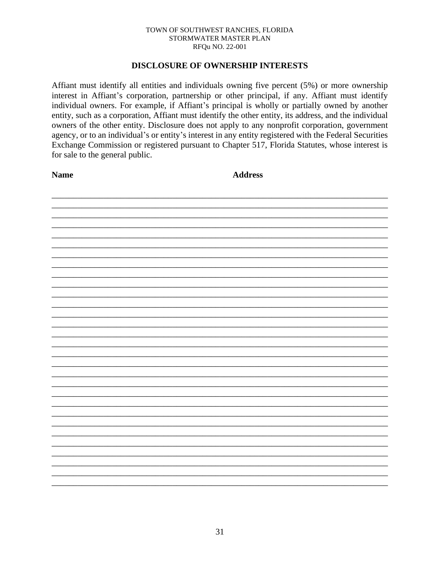#### **DISCLOSURE OF OWNERSHIP INTERESTS**

Affiant must identify all entities and individuals owning five percent (5%) or more ownership interest in Affiant's corporation, partnership or other principal, if any. Affiant must identify individual owners. For example, if Affiant's principal is wholly or partially owned by another entity, such as a corporation, Affiant must identify the other entity, its address, and the individual owners of the other entity. Disclosure does not apply to any nonprofit corporation, government agency, or to an individual's or entity's interest in any entity registered with the Federal Securities Exchange Commission or registered pursuant to Chapter 517, Florida Statutes, whose interest is for sale to the general public.

**Address Name** 

31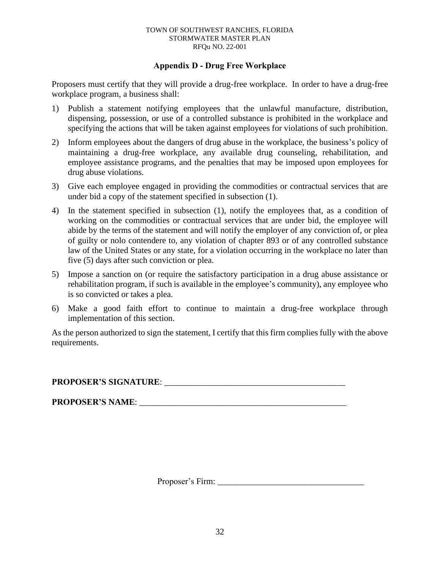### **Appendix D - Drug Free Workplace**

Proposers must certify that they will provide a drug-free workplace. In order to have a drug-free workplace program, a business shall:

- 1) Publish a statement notifying employees that the unlawful manufacture, distribution, dispensing, possession, or use of a controlled substance is prohibited in the workplace and specifying the actions that will be taken against employees for violations of such prohibition.
- 2) Inform employees about the dangers of drug abuse in the workplace, the business's policy of maintaining a drug-free workplace, any available drug counseling, rehabilitation, and employee assistance programs, and the penalties that may be imposed upon employees for drug abuse violations.
- 3) Give each employee engaged in providing the commodities or contractual services that are under bid a copy of the statement specified in subsection (1).
- 4) In the statement specified in subsection (1), notify the employees that, as a condition of working on the commodities or contractual services that are under bid, the employee will abide by the terms of the statement and will notify the employer of any conviction of, or plea of guilty or nolo contendere to, any violation of chapter 893 or of any controlled substance law of the United States or any state, for a violation occurring in the workplace no later than five (5) days after such conviction or plea.
- 5) Impose a sanction on (or require the satisfactory participation in a drug abuse assistance or rehabilitation program, if such is available in the employee's community), any employee who is so convicted or takes a plea.
- 6) Make a good faith effort to continue to maintain a drug-free workplace through implementation of this section.

As the person authorized to sign the statement, I certify that this firm complies fully with the above requirements.

### **PROPOSER'S SIGNATURE**: \_\_\_\_\_\_\_\_\_\_\_\_\_\_\_\_\_\_\_\_\_\_\_\_\_\_\_\_\_\_\_\_\_\_\_\_\_\_\_\_\_\_

**PROPOSER'S NAME**: \_\_\_\_\_\_\_\_\_\_\_\_\_\_\_\_\_\_\_\_\_\_\_\_\_\_\_\_\_\_\_\_\_\_\_\_\_\_\_\_\_\_\_\_\_\_\_\_

Proposer's Firm: \_\_\_\_\_\_\_\_\_\_\_\_\_\_\_\_\_\_\_\_\_\_\_\_\_\_\_\_\_\_\_\_\_\_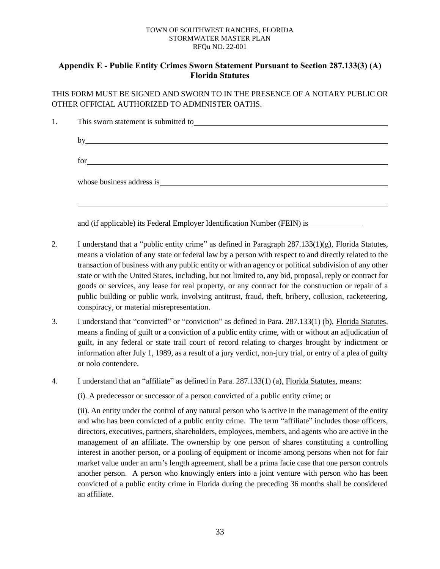### **Appendix E - Public Entity Crimes Sworn Statement Pursuant to Section 287.133(3) (A) Florida Statutes**

THIS FORM MUST BE SIGNED AND SWORN TO IN THE PRESENCE OF A NOTARY PUBLIC OR OTHER OFFICIAL AUTHORIZED TO ADMINISTER OATHS.

| This sworn statement is submitted to entirely a statement is submitted to |  |  |  |  |
|---------------------------------------------------------------------------|--|--|--|--|
| $\mathbf{b}$ v                                                            |  |  |  |  |
|                                                                           |  |  |  |  |
| $for \underline{\hspace{1cm}}$                                            |  |  |  |  |
|                                                                           |  |  |  |  |
|                                                                           |  |  |  |  |
|                                                                           |  |  |  |  |

and (if applicable) its Federal Employer Identification Number (FEIN) is

- 2. I understand that a "public entity crime" as defined in Paragraph  $287.133(1)(g)$ , Florida Statutes, means a violation of any state or federal law by a person with respect to and directly related to the transaction of business with any public entity or with an agency or political subdivision of any other state or with the United States, including, but not limited to, any bid, proposal, reply or contract for goods or services, any lease for real property, or any contract for the construction or repair of a public building or public work, involving antitrust, fraud, theft, bribery, collusion, racketeering, conspiracy, or material misrepresentation.
- 3. I understand that "convicted" or "conviction" as defined in Para. 287.133(1) (b), Florida Statutes, means a finding of guilt or a conviction of a public entity crime, with or without an adjudication of guilt, in any federal or state trail court of record relating to charges brought by indictment or information after July 1, 1989, as a result of a jury verdict, non-jury trial, or entry of a plea of guilty or nolo contendere.
- 4. I understand that an "affiliate" as defined in Para. 287.133(1) (a), Florida Statutes, means:

(i). A predecessor or successor of a person convicted of a public entity crime; or

(ii). An entity under the control of any natural person who is active in the management of the entity and who has been convicted of a public entity crime. The term "affiliate" includes those officers, directors, executives, partners, shareholders, employees, members, and agents who are active in the management of an affiliate. The ownership by one person of shares constituting a controlling interest in another person, or a pooling of equipment or income among persons when not for fair market value under an arm's length agreement, shall be a prima facie case that one person controls another person. A person who knowingly enters into a joint venture with person who has been convicted of a public entity crime in Florida during the preceding 36 months shall be considered an affiliate.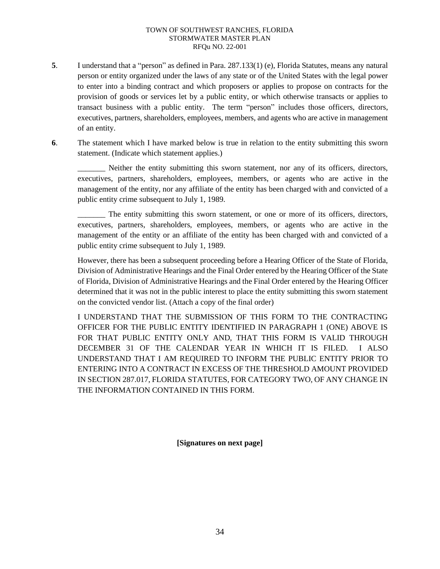- **5**. I understand that a "person" as defined in Para. 287.133(1) (e), Florida Statutes, means any natural person or entity organized under the laws of any state or of the United States with the legal power to enter into a binding contract and which proposers or applies to propose on contracts for the provision of goods or services let by a public entity, or which otherwise transacts or applies to transact business with a public entity. The term "person" includes those officers, directors, executives, partners, shareholders, employees, members, and agents who are active in management of an entity.
- **6**. The statement which I have marked below is true in relation to the entity submitting this sworn statement. (Indicate which statement applies.)

\_\_\_\_\_\_\_ Neither the entity submitting this sworn statement, nor any of its officers, directors, executives, partners, shareholders, employees, members, or agents who are active in the management of the entity, nor any affiliate of the entity has been charged with and convicted of a public entity crime subsequent to July 1, 1989.

The entity submitting this sworn statement, or one or more of its officers, directors, executives, partners, shareholders, employees, members, or agents who are active in the management of the entity or an affiliate of the entity has been charged with and convicted of a public entity crime subsequent to July 1, 1989.

However, there has been a subsequent proceeding before a Hearing Officer of the State of Florida, Division of Administrative Hearings and the Final Order entered by the Hearing Officer of the State of Florida, Division of Administrative Hearings and the Final Order entered by the Hearing Officer determined that it was not in the public interest to place the entity submitting this sworn statement on the convicted vendor list. (Attach a copy of the final order)

I UNDERSTAND THAT THE SUBMISSION OF THIS FORM TO THE CONTRACTING OFFICER FOR THE PUBLIC ENTITY IDENTIFIED IN PARAGRAPH 1 (ONE) ABOVE IS FOR THAT PUBLIC ENTITY ONLY AND, THAT THIS FORM IS VALID THROUGH DECEMBER 31 OF THE CALENDAR YEAR IN WHICH IT IS FILED. I ALSO UNDERSTAND THAT I AM REQUIRED TO INFORM THE PUBLIC ENTITY PRIOR TO ENTERING INTO A CONTRACT IN EXCESS OF THE THRESHOLD AMOUNT PROVIDED IN SECTION 287.017, FLORIDA STATUTES, FOR CATEGORY TWO, OF ANY CHANGE IN THE INFORMATION CONTAINED IN THIS FORM.

**[Signatures on next page]**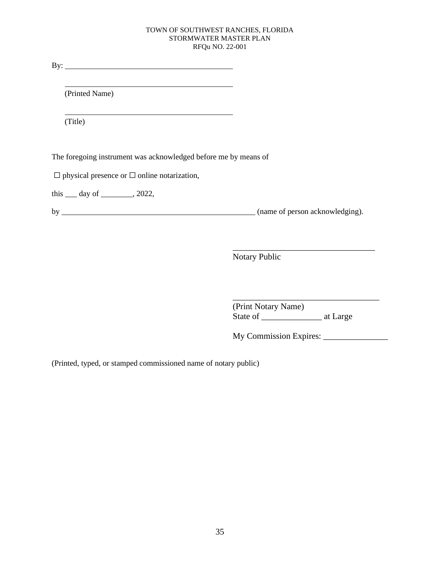By:

(Printed Name)

(Title)

The foregoing instrument was acknowledged before me by means of

☐ physical presence or ☐ online notarization,

this  $\_\_$  day of  $\_\_$ , 2022,

by \_\_\_\_\_\_\_\_\_\_\_\_\_\_\_\_\_\_\_\_\_\_\_\_\_\_\_\_\_\_\_\_\_\_\_\_\_\_\_\_\_\_\_\_\_\_\_\_\_ (name of person acknowledging).

Notary Public

\_\_\_\_\_\_\_\_\_\_\_\_\_\_\_\_\_\_\_\_\_\_\_\_\_\_\_\_\_\_\_\_\_\_ (Print Notary Name) State of \_\_\_\_\_\_\_\_\_\_\_\_\_\_ at Large

\_\_\_\_\_\_\_\_\_\_\_\_\_\_\_\_\_\_\_\_\_\_\_\_\_\_\_\_\_\_\_\_\_

My Commission Expires:

(Printed, typed, or stamped commissioned name of notary public)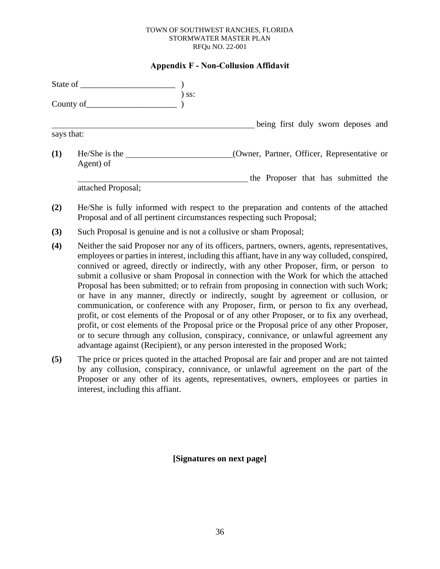### **Appendix F - Non-Collusion Affidavit**

|            | State of                     |         |                                                                                                                                                                |
|------------|------------------------------|---------|----------------------------------------------------------------------------------------------------------------------------------------------------------------|
|            | County of                    | $)$ ss: |                                                                                                                                                                |
|            |                              |         | being first duly sworn deposes and                                                                                                                             |
| says that: |                              |         |                                                                                                                                                                |
| (1)        | $He/She$ is the<br>Agent) of |         | (Owner, Partner, Officer, Representative or                                                                                                                    |
|            | attached Proposal;           |         | the Proposer that has submitted the                                                                                                                            |
| (2)        |                              |         | He/She is fully informed with respect to the preparation and contents of the attached<br>Proposal and of all pertinent circumstances respecting such Proposal; |

- **(3)** Such Proposal is genuine and is not a collusive or sham Proposal;
- **(4)** Neither the said Proposer nor any of its officers, partners, owners, agents, representatives, employees or parties in interest, including this affiant, have in any way colluded, conspired, connived or agreed, directly or indirectly, with any other Proposer, firm, or person to submit a collusive or sham Proposal in connection with the Work for which the attached Proposal has been submitted; or to refrain from proposing in connection with such Work; or have in any manner, directly or indirectly, sought by agreement or collusion, or communication, or conference with any Proposer, firm, or person to fix any overhead, profit, or cost elements of the Proposal or of any other Proposer, or to fix any overhead, profit, or cost elements of the Proposal price or the Proposal price of any other Proposer, or to secure through any collusion, conspiracy, connivance, or unlawful agreement any advantage against (Recipient), or any person interested in the proposed Work;
- **(5)** The price or prices quoted in the attached Proposal are fair and proper and are not tainted by any collusion, conspiracy, connivance, or unlawful agreement on the part of the Proposer or any other of its agents, representatives, owners, employees or parties in interest, including this affiant.

**[Signatures on next page]**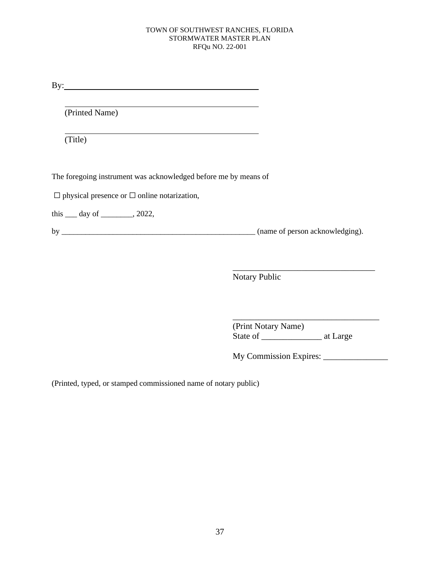By:

(Printed Name)

(Title)

The foregoing instrument was acknowledged before me by means of

 $\Box$  physical presence or  $\Box$  online notarization,

this  $\_\_\_$  day of  $\_\_\_\_$ , 2022,

by \_\_\_\_\_\_\_\_\_\_\_\_\_\_\_\_\_\_\_\_\_\_\_\_\_\_\_\_\_\_\_\_\_\_\_\_\_\_\_\_\_\_\_\_\_\_\_\_\_ (name of person acknowledging).

Notary Public

(Print Notary Name) State of \_\_\_\_\_\_\_\_\_\_\_\_\_\_ at Large

My Commission Expires: \_\_\_\_\_\_\_\_\_\_\_\_\_\_\_

\_\_\_\_\_\_\_\_\_\_\_\_\_\_\_\_\_\_\_\_\_\_\_\_\_\_\_\_\_\_\_\_\_\_

\_\_\_\_\_\_\_\_\_\_\_\_\_\_\_\_\_\_\_\_\_\_\_\_\_\_\_\_\_\_\_\_\_

(Printed, typed, or stamped commissioned name of notary public)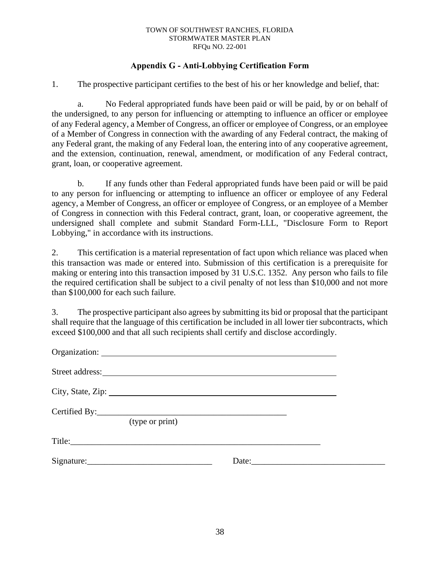### **Appendix G - Anti-Lobbying Certification Form**

1. The prospective participant certifies to the best of his or her knowledge and belief, that:

a. No Federal appropriated funds have been paid or will be paid, by or on behalf of the undersigned, to any person for influencing or attempting to influence an officer or employee of any Federal agency, a Member of Congress, an officer or employee of Congress, or an employee of a Member of Congress in connection with the awarding of any Federal contract, the making of any Federal grant, the making of any Federal loan, the entering into of any cooperative agreement, and the extension, continuation, renewal, amendment, or modification of any Federal contract, grant, loan, or cooperative agreement.

b. If any funds other than Federal appropriated funds have been paid or will be paid to any person for influencing or attempting to influence an officer or employee of any Federal agency, a Member of Congress, an officer or employee of Congress, or an employee of a Member of Congress in connection with this Federal contract, grant, loan, or cooperative agreement, the undersigned shall complete and submit Standard Form-LLL, "Disclosure Form to Report Lobbying," in accordance with its instructions.

2. This certification is a material representation of fact upon which reliance was placed when this transaction was made or entered into. Submission of this certification is a prerequisite for making or entering into this transaction imposed by 31 U.S.C. 1352. Any person who fails to file the required certification shall be subject to a civil penalty of not less than \$10,000 and not more than \$100,000 for each such failure.

3. The prospective participant also agrees by submitting its bid or proposal that the participant shall require that the language of this certification be included in all lower tier subcontracts, which exceed \$100,000 and that all such recipients shall certify and disclose accordingly.

| (type or print)           |                                                                                                                                                                                                                               |  |
|---------------------------|-------------------------------------------------------------------------------------------------------------------------------------------------------------------------------------------------------------------------------|--|
|                           |                                                                                                                                                                                                                               |  |
| $Sigma$ : $\qquad \qquad$ | Date: and the contract of the contract of the contract of the contract of the contract of the contract of the contract of the contract of the contract of the contract of the contract of the contract of the contract of the |  |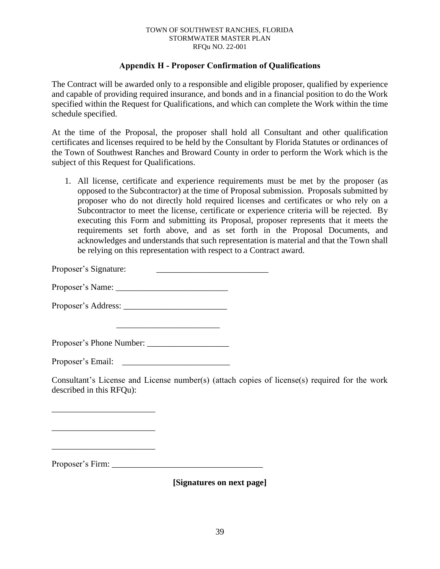### **Appendix H - Proposer Confirmation of Qualifications**

The Contract will be awarded only to a responsible and eligible proposer, qualified by experience and capable of providing required insurance, and bonds and in a financial position to do the Work specified within the Request for Qualifications, and which can complete the Work within the time schedule specified.

At the time of the Proposal, the proposer shall hold all Consultant and other qualification certificates and licenses required to be held by the Consultant by Florida Statutes or ordinances of the Town of Southwest Ranches and Broward County in order to perform the Work which is the subject of this Request for Qualifications.

1. All license, certificate and experience requirements must be met by the proposer (as opposed to the Subcontractor) at the time of Proposal submission. Proposals submitted by proposer who do not directly hold required licenses and certificates or who rely on a Subcontractor to meet the license, certificate or experience criteria will be rejected. By executing this Form and submitting its Proposal, proposer represents that it meets the requirements set forth above, and as set forth in the Proposal Documents, and acknowledges and understands that such representation is material and that the Town shall be relying on this representation with respect to a Contract award.

Proposer's Signature:

\_\_\_\_\_\_\_\_\_\_\_\_\_\_\_\_\_\_\_\_\_\_\_\_

Proposer's Name: \_\_\_\_\_\_\_\_\_\_\_\_\_\_\_\_\_\_\_\_\_\_\_\_\_\_

Proposer's Address: \_\_\_\_\_\_\_\_\_\_\_\_\_\_\_\_\_\_\_\_\_\_\_\_

Proposer's Phone Number: \_\_\_\_\_\_\_\_\_\_\_\_\_\_\_\_\_\_\_

Proposer's Email: \_\_\_\_\_\_\_\_\_\_\_\_\_\_\_\_\_\_\_\_\_\_\_\_\_

\_\_\_\_\_\_\_\_\_\_\_\_\_\_\_\_\_\_\_\_\_\_\_\_

\_\_\_\_\_\_\_\_\_\_\_\_\_\_\_\_\_\_\_\_\_\_\_\_

\_\_\_\_\_\_\_\_\_\_\_\_\_\_\_\_\_\_\_\_\_\_\_\_

Consultant's License and License number(s) (attach copies of license(s) required for the work described in this RFQu):

Proposer's Firm: \_\_\_\_\_\_\_\_\_\_\_\_\_\_\_\_\_\_\_\_\_\_\_\_\_\_\_\_\_\_\_\_\_\_\_

**[Signatures on next page]**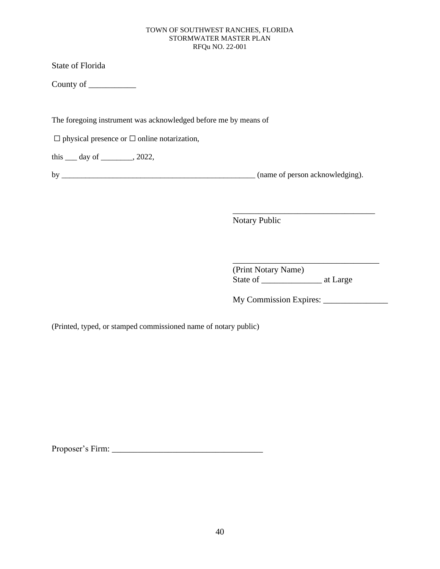State of Florida

County of \_\_\_\_\_\_\_\_\_\_\_

The foregoing instrument was acknowledged before me by means of

☐ physical presence or ☐ online notarization,

this \_\_\_ day of \_\_\_\_\_\_\_\_, 2022,

by \_\_\_\_\_\_\_\_\_\_\_\_\_\_\_\_\_\_\_\_\_\_\_\_\_\_\_\_\_\_\_\_\_\_\_\_\_\_\_\_\_\_\_\_\_\_\_\_\_ (name of person acknowledging).

\_\_\_\_\_\_\_\_\_\_\_\_\_\_\_\_\_\_\_\_\_\_\_\_\_\_\_\_\_\_\_\_\_

Notary Public

(Print Notary Name) State of \_\_\_\_\_\_\_\_\_\_\_\_\_\_ at Large

My Commission Expires: \_\_\_\_\_\_\_\_\_\_\_\_\_\_\_

 $\overline{\phantom{a}}$  , and the set of the set of the set of the set of the set of the set of the set of the set of the set of the set of the set of the set of the set of the set of the set of the set of the set of the set of the s

(Printed, typed, or stamped commissioned name of notary public)

Proposer's Firm: \_\_\_\_\_\_\_\_\_\_\_\_\_\_\_\_\_\_\_\_\_\_\_\_\_\_\_\_\_\_\_\_\_\_\_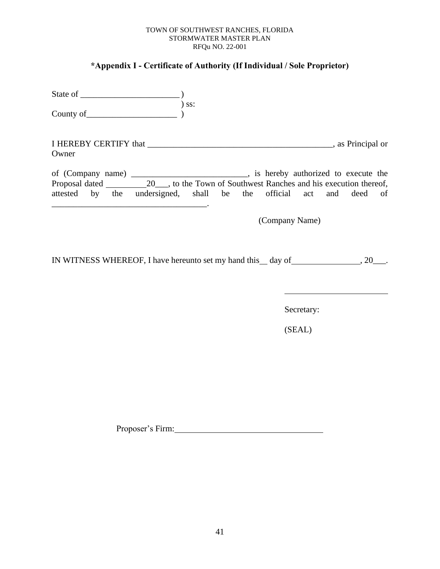# **\*Appendix I - Certificate of Authority (If Individual / Sole Proprietor)**

| County of | $)$ ss: |  |  | (Company Name) | I HEREBY CERTIFY that 1.1 as Principal or<br>of (Company name) ___________________________________, is hereby authorized to execute the<br>attested by the undersigned, shall be the official act and deed of |
|-----------|---------|--|--|----------------|---------------------------------------------------------------------------------------------------------------------------------------------------------------------------------------------------------------|

IN WITNESS WHEREOF, I have hereunto set my hand this  $\_\,$  day of  $\_\,$ , 20 $\_\,$ .

Secretary:

<u> 1989 - Johann Barbara, martin a</u>

(SEAL)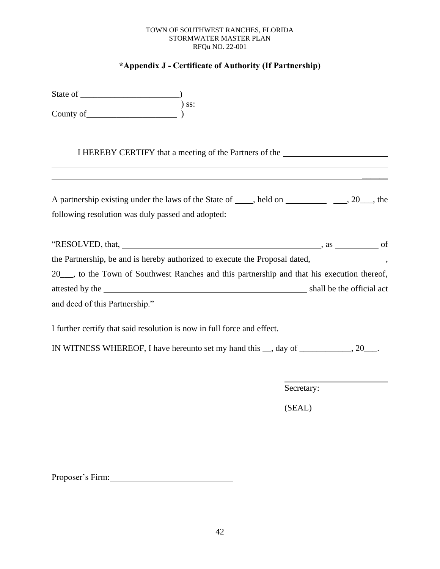# **\*Appendix J - Certificate of Authority (If Partnership)**

| State of  |         |
|-----------|---------|
|           | $)$ SS: |
| County of |         |

I HEREBY CERTIFY that a meeting of the Partners of the

| A partnership existing under the laws of the State of ____, held on ___________________, 20___, the                                                                                                                                                                                                                                                           |  |
|---------------------------------------------------------------------------------------------------------------------------------------------------------------------------------------------------------------------------------------------------------------------------------------------------------------------------------------------------------------|--|
| following resolution was duly passed and adopted:                                                                                                                                                                                                                                                                                                             |  |
|                                                                                                                                                                                                                                                                                                                                                               |  |
| the Partnership, be and is hereby authorized to execute the Proposal dated, $\frac{1}{\sqrt{1-\frac{1}{\sqrt{1-\frac{1}{\sqrt{1-\frac{1}{\sqrt{1-\frac{1}{\sqrt{1-\frac{1}{\sqrt{1-\frac{1}{\sqrt{1-\frac{1}{\sqrt{1-\frac{1}{\sqrt{1-\frac{1}{\sqrt{1-\frac{1}{\sqrt{1-\frac{1}{\sqrt{1-\frac{1}{\sqrt{1-\frac{1}{\sqrt{1-\frac{1}{\sqrt{1-\frac{1}{\sqrt{1$ |  |
| 20 <sub>___</sub> , to the Town of Southwest Ranches and this partnership and that his execution thereof,                                                                                                                                                                                                                                                     |  |
| attested by the same shall be the official act                                                                                                                                                                                                                                                                                                                |  |
| and deed of this Partnership."                                                                                                                                                                                                                                                                                                                                |  |

I further certify that said resolution is now in full force and effect.

IN WITNESS WHEREOF, I have hereunto set my hand this \_\_, day of \_\_\_\_\_\_\_\_\_\_\_\_, 20\_\_\_.

Secretary:

(SEAL)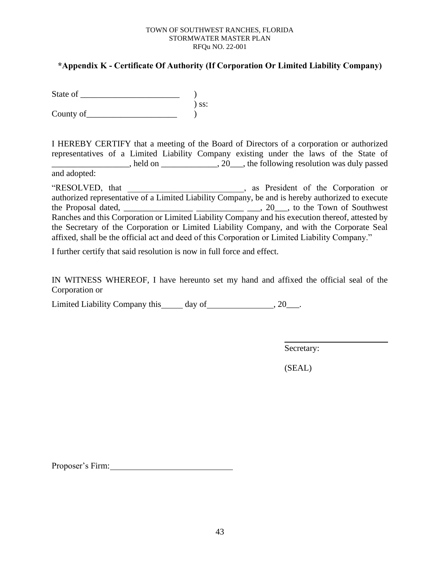# **\*Appendix K - Certificate Of Authority (If Corporation Or Limited Liability Company)**

| State of  |       |
|-----------|-------|
|           | ) ss: |
| County of |       |

I HEREBY CERTIFY that a meeting of the Board of Directors of a corporation or authorized representatives of a Limited Liability Company existing under the laws of the State of held on 20<sub>\_\_\_</sub>, the following resolution was duly passed and adopted:

"RESOLVED, that \_\_\_\_\_\_\_\_\_\_\_\_\_\_\_\_\_\_\_\_\_\_\_\_\_\_\_, as President of the Corporation or authorized representative of a Limited Liability Company, be and is hereby authorized to execute the Proposal dated, \_\_\_\_\_\_\_\_\_\_\_\_\_\_\_\_ \_\_\_\_\_\_\_\_\_\_\_ \_\_\_, 20\_\_\_, to the Town of Southwest Ranches and this Corporation or Limited Liability Company and his execution thereof, attested by the Secretary of the Corporation or Limited Liability Company, and with the Corporate Seal affixed, shall be the official act and deed of this Corporation or Limited Liability Company."

I further certify that said resolution is now in full force and effect.

IN WITNESS WHEREOF, I have hereunto set my hand and affixed the official seal of the Corporation or

Limited Liability Company this day of  $\qquad \qquad .20$ .

Secretary:

(SEAL)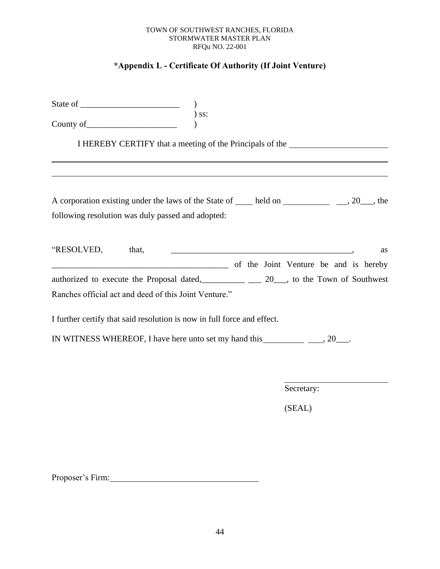# **\*Appendix L - Certificate Of Authority (If Joint Venture)**

|                                                                         | ) ss:                                                                                                                                                               |
|-------------------------------------------------------------------------|---------------------------------------------------------------------------------------------------------------------------------------------------------------------|
|                                                                         | I HEREBY CERTIFY that a meeting of the Principals of the _______________________                                                                                    |
|                                                                         |                                                                                                                                                                     |
|                                                                         |                                                                                                                                                                     |
| following resolution was duly passed and adopted:                       |                                                                                                                                                                     |
| "RESOLVED, that,                                                        | <u> 1989 - Jan James James James James James James James James James James James James James James James James J</u><br>as<br>of the Joint Venture be and is hereby |
|                                                                         | authorized to execute the Proposal dated, 20, to the Town of Southwest                                                                                              |
| Ranches official act and deed of this Joint Venture."                   |                                                                                                                                                                     |
| I further certify that said resolution is now in full force and effect. |                                                                                                                                                                     |
|                                                                         |                                                                                                                                                                     |

Secretary:

(SEAL)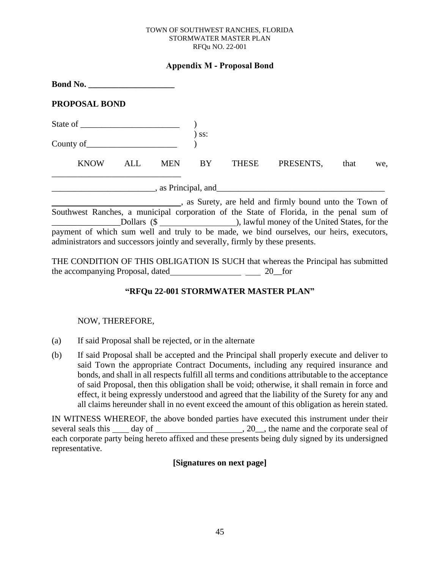### **Appendix M - Proposal Bond**

| <b>PROPOSAL BOND</b>                                                                                                                                                       |     |         |              |                                                       |      |     |
|----------------------------------------------------------------------------------------------------------------------------------------------------------------------------|-----|---------|--------------|-------------------------------------------------------|------|-----|
|                                                                                                                                                                            |     |         |              |                                                       |      |     |
|                                                                                                                                                                            |     | $)$ ss: |              |                                                       |      |     |
| <b>KNOW</b><br>ALL                                                                                                                                                         | MEN | BY      | <b>THESE</b> | PRESENTS,                                             | that | we, |
| $\sim$ , as Principal, and                                                                                                                                                 |     |         |              |                                                       |      |     |
|                                                                                                                                                                            |     |         |              | as Surety, are held and firmly bound unto the Town of |      |     |
| Southwest Ranches, a municipal corporation of the State of Florida, in the penal sum of                                                                                    |     |         |              |                                                       |      |     |
| payment of which sum well and truly to be made, we bind ourselves, our heirs, executors,<br>administrators and successors jointly and severally, firmly by these presents. |     |         |              |                                                       |      |     |

THE CONDITION OF THIS OBLIGATION IS SUCH that whereas the Principal has submitted the accompanying Proposal, dated 20\_6 cm

# **"RFQu 22-001 STORMWATER MASTER PLAN"**

### NOW, THEREFORE,

- (a) If said Proposal shall be rejected, or in the alternate
- (b) If said Proposal shall be accepted and the Principal shall properly execute and deliver to said Town the appropriate Contract Documents, including any required insurance and bonds, and shall in all respects fulfill all terms and conditions attributable to the acceptance of said Proposal, then this obligation shall be void; otherwise, it shall remain in force and effect, it being expressly understood and agreed that the liability of the Surety for any and all claims hereunder shall in no event exceed the amount of this obligation as herein stated.

IN WITNESS WHEREOF, the above bonded parties have executed this instrument under their several seals this day of  $\qquad \qquad .20$ , the name and the corporate seal of each corporate party being hereto affixed and these presents being duly signed by its undersigned representative.

### **[Signatures on next page]**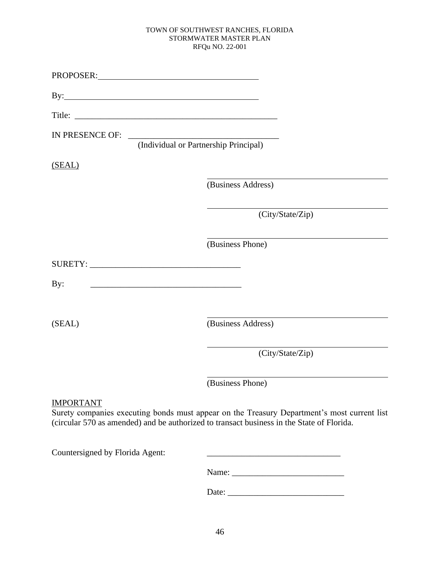| PROPOSER: New York Contains the Contains of the Contains of the Contains of the Contains of the Contains of the Contains of the Contains of the Contains of the Contains of the Contains of the Contains of the Contains of th |                                                                                                                                                                                          |
|--------------------------------------------------------------------------------------------------------------------------------------------------------------------------------------------------------------------------------|------------------------------------------------------------------------------------------------------------------------------------------------------------------------------------------|
| $\mathbf{By:}\_\_\_\_\_\_\$                                                                                                                                                                                                    |                                                                                                                                                                                          |
|                                                                                                                                                                                                                                |                                                                                                                                                                                          |
| IN PRESENCE OF: (Individual or Partnership Principal)                                                                                                                                                                          |                                                                                                                                                                                          |
| (SEAL)                                                                                                                                                                                                                         |                                                                                                                                                                                          |
|                                                                                                                                                                                                                                | (Business Address)                                                                                                                                                                       |
|                                                                                                                                                                                                                                | (City/State/Zip)                                                                                                                                                                         |
|                                                                                                                                                                                                                                | (Business Phone)                                                                                                                                                                         |
|                                                                                                                                                                                                                                |                                                                                                                                                                                          |
| By:                                                                                                                                                                                                                            |                                                                                                                                                                                          |
| (SEAL)                                                                                                                                                                                                                         | (Business Address)                                                                                                                                                                       |
|                                                                                                                                                                                                                                | (City/State/Zip)                                                                                                                                                                         |
|                                                                                                                                                                                                                                | (Business Phone)                                                                                                                                                                         |
| <b>IMPORTANT</b>                                                                                                                                                                                                               | Surety companies executing bonds must appear on the Treasury Department's most current list<br>(circular 570 as amended) and be authorized to transact business in the State of Florida. |
| Countersigned by Florida Agent:                                                                                                                                                                                                |                                                                                                                                                                                          |

Name: \_\_\_\_\_\_\_\_\_\_\_\_\_\_\_\_\_\_\_\_\_\_\_\_\_\_

Date: \_\_\_\_\_\_\_\_\_\_\_\_\_\_\_\_\_\_\_\_\_\_\_\_\_\_\_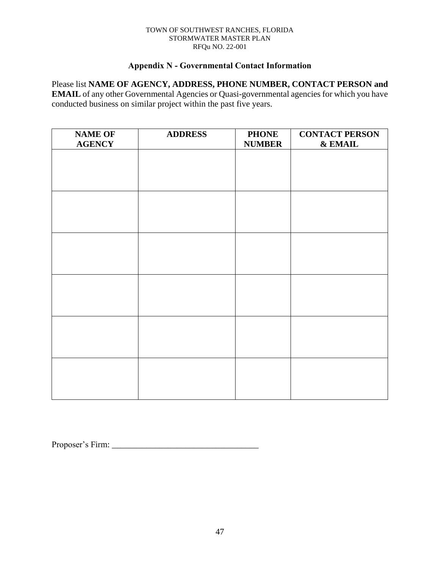### **Appendix N - Governmental Contact Information**

Please list **NAME OF AGENCY, ADDRESS, PHONE NUMBER, CONTACT PERSON and** 

**EMAIL** of any other Governmental Agencies or Quasi-governmental agencies for which you have conducted business on similar project within the past five years.

| <b>NAME OF</b> | <b>ADDRESS</b> | <b>PHONE</b>  | <b>CONTACT PERSON</b> |
|----------------|----------------|---------------|-----------------------|
| <b>AGENCY</b>  |                | <b>NUMBER</b> | & EMAIL               |
|                |                |               |                       |
|                |                |               |                       |
|                |                |               |                       |
|                |                |               |                       |
|                |                |               |                       |
|                |                |               |                       |
|                |                |               |                       |
|                |                |               |                       |
|                |                |               |                       |
|                |                |               |                       |
|                |                |               |                       |
|                |                |               |                       |
|                |                |               |                       |
|                |                |               |                       |
|                |                |               |                       |
|                |                |               |                       |
|                |                |               |                       |
|                |                |               |                       |
|                |                |               |                       |
|                |                |               |                       |
|                |                |               |                       |
|                |                |               |                       |
|                |                |               |                       |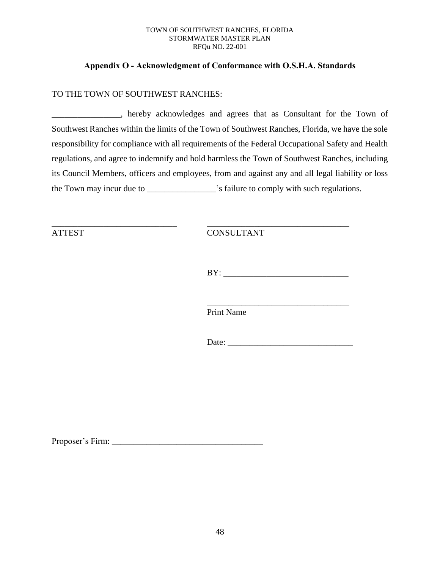### **Appendix O - Acknowledgment of Conformance with O.S.H.A. Standards**

### TO THE TOWN OF SOUTHWEST RANCHES:

\_\_\_\_\_\_\_\_\_\_\_\_\_\_\_\_, hereby acknowledges and agrees that as Consultant for the Town of Southwest Ranches within the limits of the Town of Southwest Ranches, Florida, we have the sole responsibility for compliance with all requirements of the Federal Occupational Safety and Health regulations, and agree to indemnify and hold harmless the Town of Southwest Ranches, including its Council Members, officers and employees, from and against any and all legal liability or loss the Town may incur due to \_\_\_\_\_\_\_\_\_\_\_\_\_\_\_\_'s failure to comply with such regulations.

\_\_\_\_\_\_\_\_\_\_\_\_\_\_\_\_\_\_\_\_\_\_\_\_\_\_\_\_\_ \_\_\_\_\_\_\_\_\_\_\_\_\_\_\_\_\_\_\_\_\_\_\_\_\_\_\_\_\_\_\_\_\_

ATTEST CONSULTANT

 $BY:$ 

\_\_\_\_\_\_\_\_\_\_\_\_\_\_\_\_\_\_\_\_\_\_\_\_\_\_\_\_\_\_\_\_\_

Print Name

Date: \_\_\_\_\_\_\_\_\_\_\_\_\_\_\_\_\_\_\_\_\_\_\_\_\_\_\_\_\_

Proposer's Firm: \_\_\_\_\_\_\_\_\_\_\_\_\_\_\_\_\_\_\_\_\_\_\_\_\_\_\_\_\_\_\_\_\_\_\_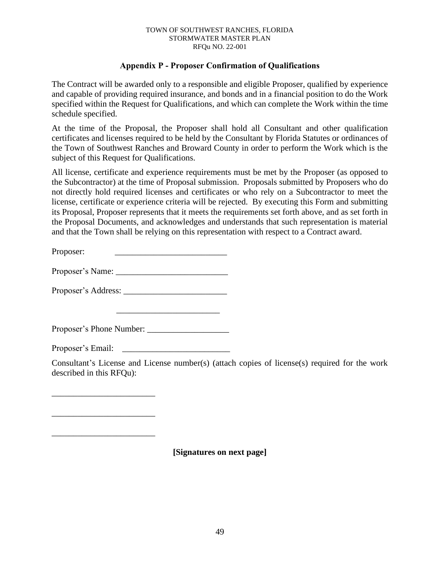### **Appendix P - Proposer Confirmation of Qualifications**

The Contract will be awarded only to a responsible and eligible Proposer, qualified by experience and capable of providing required insurance, and bonds and in a financial position to do the Work specified within the Request for Qualifications, and which can complete the Work within the time schedule specified.

At the time of the Proposal, the Proposer shall hold all Consultant and other qualification certificates and licenses required to be held by the Consultant by Florida Statutes or ordinances of the Town of Southwest Ranches and Broward County in order to perform the Work which is the subject of this Request for Qualifications.

All license, certificate and experience requirements must be met by the Proposer (as opposed to the Subcontractor) at the time of Proposal submission. Proposals submitted by Proposers who do not directly hold required licenses and certificates or who rely on a Subcontractor to meet the license, certificate or experience criteria will be rejected. By executing this Form and submitting its Proposal, Proposer represents that it meets the requirements set forth above, and as set forth in the Proposal Documents, and acknowledges and understands that such representation is material and that the Town shall be relying on this representation with respect to a Contract award.

Proposer:

Proposer's Name: \_\_\_\_\_\_\_\_\_\_\_\_\_\_\_\_\_\_\_\_\_\_\_\_\_\_

Proposer's Address: \_\_\_\_\_\_\_\_\_\_\_\_\_\_\_\_\_\_\_\_\_\_\_\_

Proposer's Phone Number:

\_\_\_\_\_\_\_\_\_\_\_\_\_\_\_\_\_\_\_\_\_\_\_\_

Proposer's Email:

\_\_\_\_\_\_\_\_\_\_\_\_\_\_\_\_\_\_\_\_\_\_\_\_

\_\_\_\_\_\_\_\_\_\_\_\_\_\_\_\_\_\_\_\_\_\_\_\_

\_\_\_\_\_\_\_\_\_\_\_\_\_\_\_\_\_\_\_\_\_\_\_\_

Consultant's License and License number(s) (attach copies of license(s) required for the work described in this RFQu):

**[Signatures on next page]**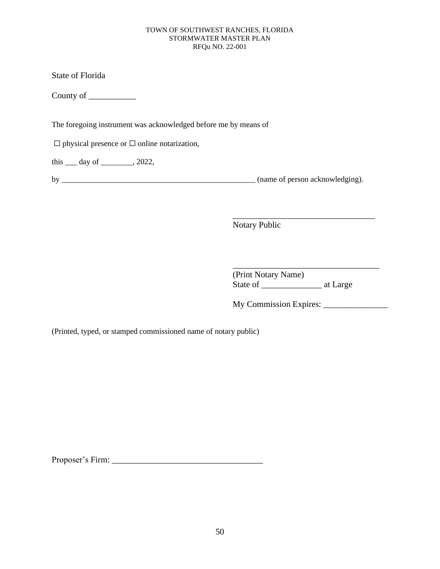State of Florida

County of \_\_\_\_\_\_\_\_\_\_\_

The foregoing instrument was acknowledged before me by means of

 $\Box$  physical presence or  $\Box$  online notarization,

this \_\_\_ day of \_\_\_\_\_\_\_\_, 2022,

by \_\_\_\_\_\_\_\_\_\_\_\_\_\_\_\_\_\_\_\_\_\_\_\_\_\_\_\_\_\_\_\_\_\_\_\_\_\_\_\_\_\_\_\_\_\_\_\_\_ (name of person acknowledging).

Notary Public

\_\_\_\_\_\_\_\_\_\_\_\_\_\_\_\_\_\_\_\_\_\_\_\_\_\_\_\_\_\_\_\_\_\_ (Print Notary Name) State of \_\_\_\_\_\_\_\_\_\_\_\_\_\_ at Large

My Commission Expires: \_\_\_\_\_\_\_\_\_\_\_\_\_\_\_

\_\_\_\_\_\_\_\_\_\_\_\_\_\_\_\_\_\_\_\_\_\_\_\_\_\_\_\_\_\_\_\_\_

(Printed, typed, or stamped commissioned name of notary public)

Proposer's Firm: \_\_\_\_\_\_\_\_\_\_\_\_\_\_\_\_\_\_\_\_\_\_\_\_\_\_\_\_\_\_\_\_\_\_\_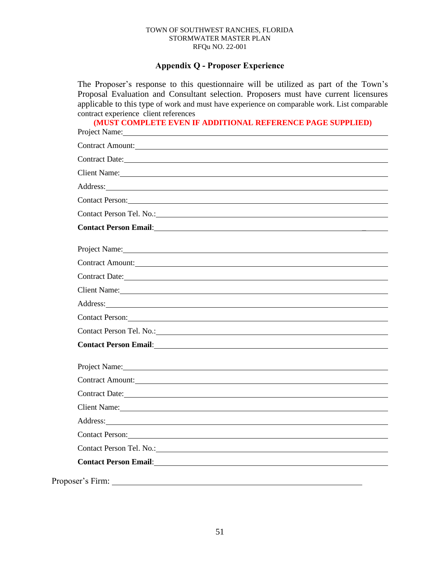#### **Appendix Q - Proposer Experience**

The Proposer's response to this questionnaire will be utilized as part of the Town's Proposal Evaluation and Consultant selection. Proposers must have current licensures applicable to this type of work and must have experience on comparable work. List comparable contract experience client references

**(MUST COMPLETE EVEN IF ADDITIONAL REFERENCE PAGE SUPPLIED)** Project Name: Contract Amount: Contract Date: Client Name: Address: Contact Person: Contact Person Tel. No.: **Contact Person Email**: \_ Project Name: Contract Amount: Contract Date: Client Name: Address: Contact Person: Contact Person Tel. No.: **Contact Person Email**: Project Name: 2008. [2016] Project Name: Contract Amount: Contract Date: Client Name: Address: Address: Address: Address: Address: Address: Address: Address: Address: Address: Address: Address: Address: Address: Address: Address: Address: Address: Address: Address: Address: Address: Address: Address: Addres Contact Person: Contact Person Tel. No.: **Contact Person Email**: Proposer's Firm: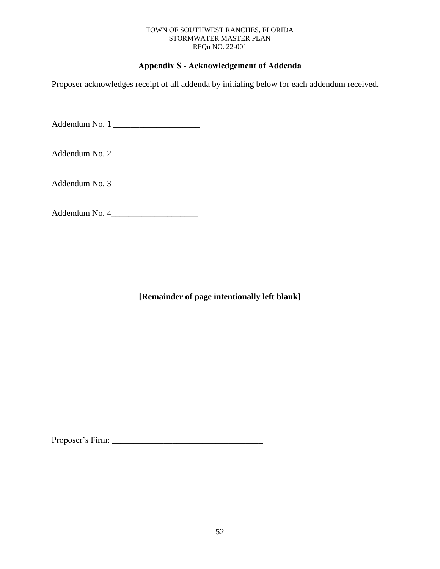# **Appendix S - Acknowledgement of Addenda**

Proposer acknowledges receipt of all addenda by initialing below for each addendum received.

Addendum No. 1 \_\_\_\_\_\_\_\_\_\_\_\_\_\_\_\_\_\_\_\_

Addendum No. 2 \_\_\_\_\_\_\_\_\_\_\_\_\_\_\_\_\_\_\_\_

Addendum No. 3\_\_\_\_\_\_\_\_\_\_\_\_\_\_\_\_\_\_\_\_

Addendum No. 4\_\_\_\_\_\_\_\_\_\_\_\_\_\_\_\_\_\_\_\_

**[Remainder of page intentionally left blank]**

Proposer's Firm: \_\_\_\_\_\_\_\_\_\_\_\_\_\_\_\_\_\_\_\_\_\_\_\_\_\_\_\_\_\_\_\_\_\_\_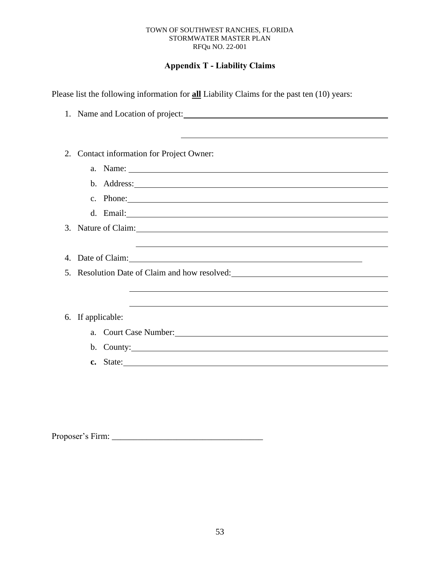# **Appendix T - Liability Claims**

Please list the following information for **all** Liability Claims for the past ten (10) years:

|    | 1. Name and Location of project:                                                 |
|----|----------------------------------------------------------------------------------|
|    |                                                                                  |
|    |                                                                                  |
|    | 2. Contact information for Project Owner:                                        |
|    | a. Name:                                                                         |
|    |                                                                                  |
|    | c. Phone:                                                                        |
|    |                                                                                  |
|    | 3. Nature of Claim:                                                              |
|    |                                                                                  |
|    |                                                                                  |
|    | 5. Resolution Date of Claim and how resolved: __________________________________ |
|    |                                                                                  |
|    |                                                                                  |
| 6. | If applicable:                                                                   |
|    |                                                                                  |
|    | $b.$ County:                                                                     |
|    | c. State: $\frac{1}{2}$ State:                                                   |
|    |                                                                                  |

Proposer's Firm: \_\_\_\_\_\_\_\_\_\_\_\_\_\_\_\_\_\_\_\_\_\_\_\_\_\_\_\_\_\_\_\_\_\_\_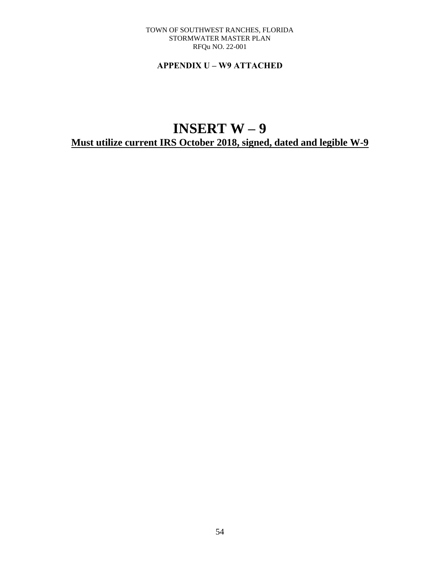# **APPENDIX U – W9 ATTACHED**

# **INSERT W – 9 Must utilize current IRS October 2018, signed, dated and legible W-9**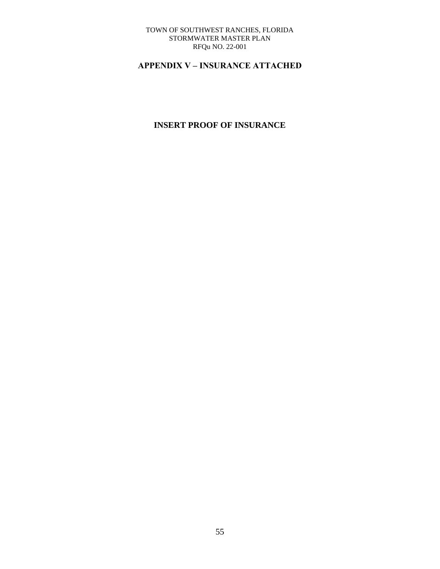# **APPENDIX V – INSURANCE ATTACHED**

# **INSERT PROOF OF INSURANCE**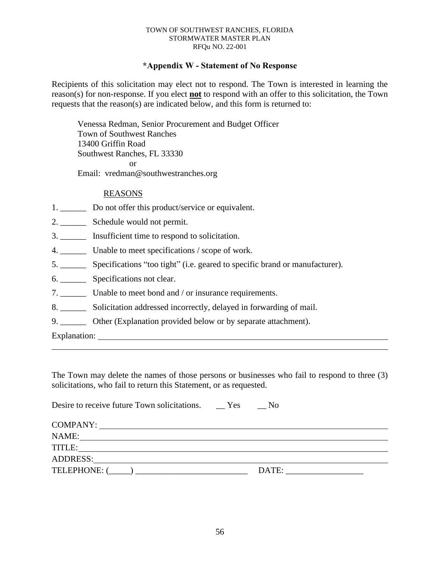### **\*Appendix W - Statement of No Response**

Recipients of this solicitation may elect not to respond. The Town is interested in learning the reason(s) for non-response. If you elect **not** to respond with an offer to this solicitation, the Town requests that the reason(s) are indicated below, and this form is returned to:

Venessa Redman, Senior Procurement and Budget Officer Town of Southwest Ranches 13400 Griffin Road Southwest Ranches, FL 33330 or Email: vredman@southwestranches.org

### REASONS

- 1. \_\_\_\_\_\_\_\_ Do not offer this product/service or equivalent.
- 2. \_\_\_\_\_\_ Schedule would not permit.
- 3. \_\_\_\_\_\_ Insufficient time to respond to solicitation.
- 4. Unable to meet specifications / scope of work.
- 5. \_\_\_\_\_\_ Specifications "too tight" (i.e. geared to specific brand or manufacturer).
- 6. \_\_\_\_\_\_ Specifications not clear.
- 7. Unable to meet bond and / or insurance requirements.
- 8. \_\_\_\_\_\_ Solicitation addressed incorrectly, delayed in forwarding of mail.
- 9. \_\_\_\_\_\_\_\_ Other (Explanation provided below or by separate attachment).

Explanation:

The Town may delete the names of those persons or businesses who fail to respond to three (3) solicitations, who fail to return this Statement, or as requested.

| Desire to receive future Town solicitations. _____ Yes | No.   |  |
|--------------------------------------------------------|-------|--|
|                                                        |       |  |
|                                                        |       |  |
| TITLE:                                                 |       |  |
| ADDRESS:                                               |       |  |
|                                                        | DATE: |  |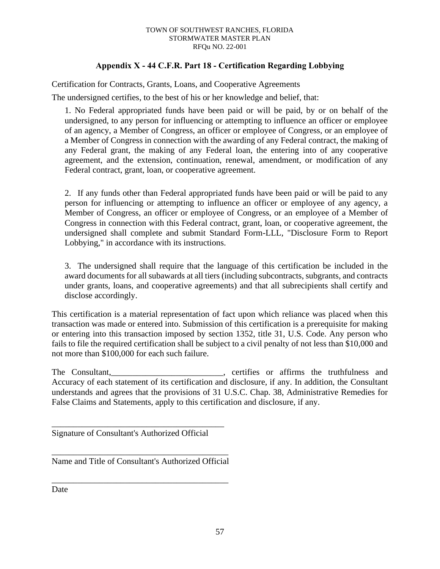# **Appendix X - 44 C.F.R. Part 18 - Certification Regarding Lobbying**

Certification for Contracts, Grants, Loans, and Cooperative Agreements

The undersigned certifies, to the best of his or her knowledge and belief, that:

1. No Federal appropriated funds have been paid or will be paid, by or on behalf of the undersigned, to any person for influencing or attempting to influence an officer or employee of an agency, a Member of Congress, an officer or employee of Congress, or an employee of a Member of Congress in connection with the awarding of any Federal contract, the making of any Federal grant, the making of any Federal loan, the entering into of any cooperative agreement, and the extension, continuation, renewal, amendment, or modification of any Federal contract, grant, loan, or cooperative agreement.

2. If any funds other than Federal appropriated funds have been paid or will be paid to any person for influencing or attempting to influence an officer or employee of any agency, a Member of Congress, an officer or employee of Congress, or an employee of a Member of Congress in connection with this Federal contract, grant, loan, or cooperative agreement, the undersigned shall complete and submit Standard Form-LLL, "Disclosure Form to Report Lobbying," in accordance with its instructions.

3. The undersigned shall require that the language of this certification be included in the award documents for all subawards at all tiers (including subcontracts, subgrants, and contracts under grants, loans, and cooperative agreements) and that all subrecipients shall certify and disclose accordingly.

This certification is a material representation of fact upon which reliance was placed when this transaction was made or entered into. Submission of this certification is a prerequisite for making or entering into this transaction imposed by section 1352, title 31, U.S. Code. Any person who fails to file the required certification shall be subject to a civil penalty of not less than \$10,000 and not more than \$100,000 for each such failure.

The Consultant, The Consultant,  $\qquad \qquad$  certifies or affirms the truthfulness and Accuracy of each statement of its certification and disclosure, if any. In addition, the Consultant understands and agrees that the provisions of 31 U.S.C. Chap. 38, Administrative Remedies for False Claims and Statements, apply to this certification and disclosure, if any.

\_\_\_\_\_\_\_\_\_\_\_\_\_\_\_\_\_\_\_\_\_\_\_\_\_\_\_\_\_\_\_\_\_\_\_\_\_\_\_\_ Signature of Consultant's Authorized Official

\_\_\_\_\_\_\_\_\_\_\_\_\_\_\_\_\_\_\_\_\_\_\_\_\_\_\_\_\_\_\_\_\_\_\_\_\_\_\_\_\_ Name and Title of Consultant's Authorized Official

\_\_\_\_\_\_\_\_\_\_\_\_\_\_\_\_\_\_\_\_\_\_\_\_\_\_\_\_\_\_\_\_\_\_\_\_\_\_\_\_\_

Date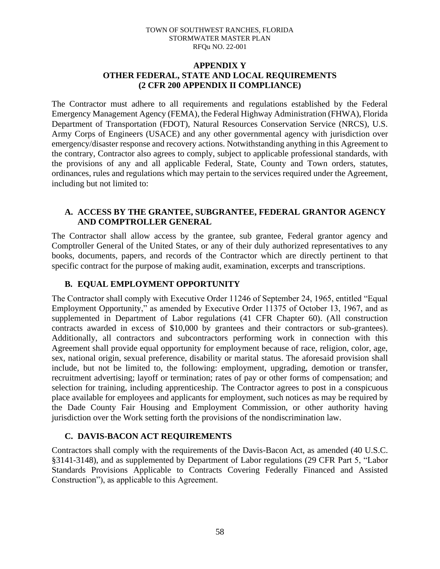### **APPENDIX Y OTHER FEDERAL, STATE AND LOCAL REQUIREMENTS (2 CFR 200 APPENDIX II COMPLIANCE)**

The Contractor must adhere to all requirements and regulations established by the Federal Emergency Management Agency (FEMA), the Federal Highway Administration (FHWA), Florida Department of Transportation (FDOT), Natural Resources Conservation Service (NRCS), U.S. Army Corps of Engineers (USACE) and any other governmental agency with jurisdiction over emergency/disaster response and recovery actions. Notwithstanding anything in this Agreement to the contrary, Contractor also agrees to comply, subject to applicable professional standards, with the provisions of any and all applicable Federal, State, County and Town orders, statutes, ordinances, rules and regulations which may pertain to the services required under the Agreement, including but not limited to:

### **A. ACCESS BY THE GRANTEE, SUBGRANTEE, FEDERAL GRANTOR AGENCY AND COMPTROLLER GENERAL**

The Contractor shall allow access by the grantee, sub grantee, Federal grantor agency and Comptroller General of the United States, or any of their duly authorized representatives to any books, documents, papers, and records of the Contractor which are directly pertinent to that specific contract for the purpose of making audit, examination, excerpts and transcriptions.

# **B. EQUAL EMPLOYMENT OPPORTUNITY**

The Contractor shall comply with Executive Order 11246 of September 24, 1965, entitled "Equal Employment Opportunity," as amended by Executive Order 11375 of October 13, 1967, and as supplemented in Department of Labor regulations (41 CFR Chapter 60). (All construction contracts awarded in excess of \$10,000 by grantees and their contractors or sub-grantees). Additionally, all contractors and subcontractors performing work in connection with this Agreement shall provide equal opportunity for employment because of race, religion, color, age, sex, national origin, sexual preference, disability or marital status. The aforesaid provision shall include, but not be limited to, the following: employment, upgrading, demotion or transfer, recruitment advertising; layoff or termination; rates of pay or other forms of compensation; and selection for training, including apprenticeship. The Contractor agrees to post in a conspicuous place available for employees and applicants for employment, such notices as may be required by the Dade County Fair Housing and Employment Commission, or other authority having jurisdiction over the Work setting forth the provisions of the nondiscrimination law.

# **C. DAVIS-BACON ACT REQUIREMENTS**

Contractors shall comply with the requirements of the Davis-Bacon Act, as amended (40 U.S.C. §3141-3148), and as supplemented by Department of Labor regulations (29 CFR Part 5, "Labor Standards Provisions Applicable to Contracts Covering Federally Financed and Assisted Construction"), as applicable to this Agreement.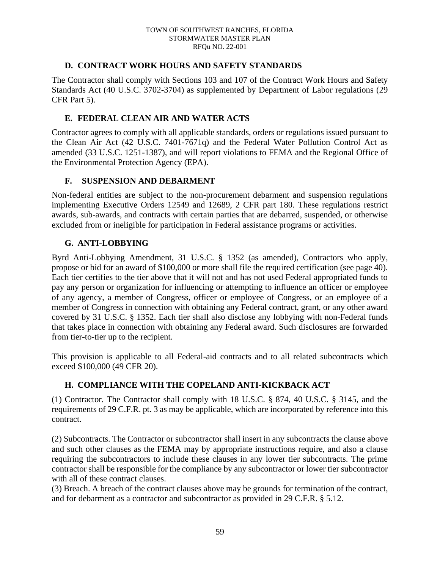# **D. CONTRACT WORK HOURS AND SAFETY STANDARDS**

The Contractor shall comply with Sections 103 and 107 of the Contract Work Hours and Safety Standards Act (40 U.S.C. 3702-3704) as supplemented by Department of Labor regulations (29 CFR Part 5).

# **E. FEDERAL CLEAN AIR AND WATER ACTS**

Contractor agrees to comply with all applicable standards, orders or regulations issued pursuant to the Clean Air Act (42 U.S.C. 7401-7671q) and the Federal Water Pollution Control Act as amended (33 U.S.C. 1251-1387), and will report violations to FEMA and the Regional Office of the Environmental Protection Agency (EPA).

# **F. SUSPENSION AND DEBARMENT**

Non-federal entities are subject to the non-procurement debarment and suspension regulations implementing Executive Orders 12549 and 12689, 2 CFR part 180. These regulations restrict awards, sub-awards, and contracts with certain parties that are debarred, suspended, or otherwise excluded from or ineligible for participation in Federal assistance programs or activities.

# **G. ANTI-LOBBYING**

Byrd Anti-Lobbying Amendment, 31 U.S.C. § 1352 (as amended), Contractors who apply, propose or bid for an award of \$100,000 or more shall file the required certification (see page 40). Each tier certifies to the tier above that it will not and has not used Federal appropriated funds to pay any person or organization for influencing or attempting to influence an officer or employee of any agency, a member of Congress, officer or employee of Congress, or an employee of a member of Congress in connection with obtaining any Federal contract, grant, or any other award covered by 31 U.S.C. § 1352. Each tier shall also disclose any lobbying with non-Federal funds that takes place in connection with obtaining any Federal award. Such disclosures are forwarded from tier-to-tier up to the recipient.

This provision is applicable to all Federal-aid contracts and to all related subcontracts which exceed \$100,000 (49 CFR 20).

# **H. COMPLIANCE WITH THE COPELAND ANTI-KICKBACK ACT**

(1) Contractor. The Contractor shall comply with 18 U.S.C. § 874, 40 U.S.C. § 3145, and the requirements of 29 C.F.R. pt. 3 as may be applicable, which are incorporated by reference into this contract.

(2) Subcontracts. The Contractor or subcontractor shall insert in any subcontracts the clause above and such other clauses as the FEMA may by appropriate instructions require, and also a clause requiring the subcontractors to include these clauses in any lower tier subcontracts. The prime contractor shall be responsible for the compliance by any subcontractor or lower tier subcontractor with all of these contract clauses.

(3) Breach. A breach of the contract clauses above may be grounds for termination of the contract, and for debarment as a contractor and subcontractor as provided in 29 C.F.R. § 5.12.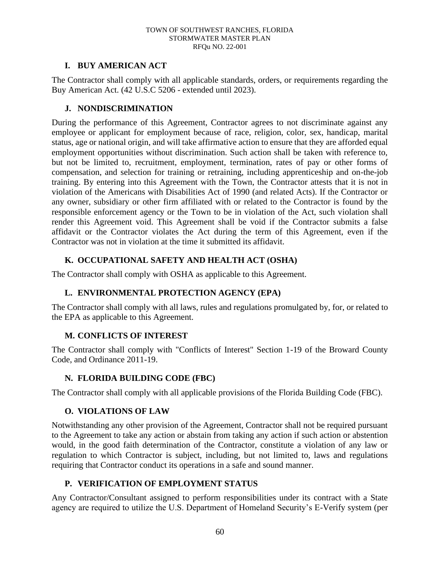### **I. BUY AMERICAN ACT**

The Contractor shall comply with all applicable standards, orders, or requirements regarding the Buy American Act. (42 U.S.C 5206 - extended until 2023).

### **J. NONDISCRIMINATION**

During the performance of this Agreement, Contractor agrees to not discriminate against any employee or applicant for employment because of race, religion, color, sex, handicap, marital status, age or national origin, and will take affirmative action to ensure that they are afforded equal employment opportunities without discrimination. Such action shall be taken with reference to, but not be limited to, recruitment, employment, termination, rates of pay or other forms of compensation, and selection for training or retraining, including apprenticeship and on-the-job training. By entering into this Agreement with the Town, the Contractor attests that it is not in violation of the Americans with Disabilities Act of 1990 (and related Acts). If the Contractor or any owner, subsidiary or other firm affiliated with or related to the Contractor is found by the responsible enforcement agency or the Town to be in violation of the Act, such violation shall render this Agreement void. This Agreement shall be void if the Contractor submits a false affidavit or the Contractor violates the Act during the term of this Agreement, even if the Contractor was not in violation at the time it submitted its affidavit.

# **K. OCCUPATIONAL SAFETY AND HEALTH ACT (OSHA)**

The Contractor shall comply with OSHA as applicable to this Agreement.

# **L. ENVIRONMENTAL PROTECTION AGENCY (EPA)**

The Contractor shall comply with all laws, rules and regulations promulgated by, for, or related to the EPA as applicable to this Agreement.

# **M. CONFLICTS OF INTEREST**

The Contractor shall comply with "Conflicts of Interest" Section 1-19 of the Broward County Code, and Ordinance 2011-19.

# **N. FLORIDA BUILDING CODE (FBC)**

The Contractor shall comply with all applicable provisions of the Florida Building Code (FBC).

### **O. VIOLATIONS OF LAW**

Notwithstanding any other provision of the Agreement, Contractor shall not be required pursuant to the Agreement to take any action or abstain from taking any action if such action or abstention would, in the good faith determination of the Contractor, constitute a violation of any law or regulation to which Contractor is subject, including, but not limited to, laws and regulations requiring that Contractor conduct its operations in a safe and sound manner.

# **P. VERIFICATION OF EMPLOYMENT STATUS**

Any Contractor/Consultant assigned to perform responsibilities under its contract with a State agency are required to utilize the U.S. Department of Homeland Security's E-Verify system (per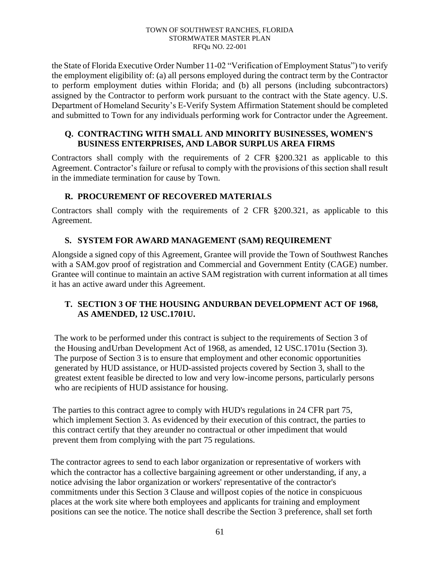the State of Florida Executive Order Number 11-02 "Verification of Employment Status") to verify the employment eligibility of: (a) all persons employed during the contract term by the Contractor to perform employment duties within Florida; and (b) all persons (including subcontractors) assigned by the Contractor to perform work pursuant to the contract with the State agency. U.S. Department of Homeland Security's E-Verify System Affirmation Statement should be completed and submitted to Town for any individuals performing work for Contractor under the Agreement.

### **Q. CONTRACTING WITH SMALL AND MINORITY BUSINESSES, WOMEN'S BUSINESS ENTERPRISES, AND LABOR SURPLUS AREA FIRMS**

Contractors shall comply with the requirements of 2 CFR §200.321 as applicable to this Agreement. Contractor's failure or refusal to comply with the provisions of this section shall result in the immediate termination for cause by Town.

# **R. PROCUREMENT OF RECOVERED MATERIALS**

Contractors shall comply with the requirements of 2 CFR §200.321, as applicable to this Agreement.

# **S. SYSTEM FOR AWARD MANAGEMENT (SAM) REQUIREMENT**

Alongside a signed copy of this Agreement, Grantee will provide the Town of Southwest Ranches with a SAM.gov proof of registration and Commercial and Government Entity (CAGE) number. Grantee will continue to maintain an active SAM registration with current information at all times it has an active award under this Agreement.

# **T. SECTION 3 OF THE HOUSING ANDURBAN DEVELOPMENT ACT OF 1968, AS AMENDED, 12 USC.1701U.**

The work to be performed under this contract is subject to the requirements of Section 3 of the Housing andUrban Development Act of 1968, as amended, 12 USC.1701u (Section 3). The purpose of Section 3 is to ensure that employment and other economic opportunities generated by HUD assistance, or HUD-assisted projects covered by Section 3, shall to the greatest extent feasible be directed to low and very low-income persons, particularly persons who are recipients of HUD assistance for housing.

The parties to this contract agree to comply with HUD's regulations in 24 CFR part 75, which implement Section 3. As evidenced by their execution of this contract, the parties to this contract certify that they areunder no contractual or other impediment that would prevent them from complying with the part 75 regulations.

The contractor agrees to send to each labor organization or representative of workers with which the contractor has a collective bargaining agreement or other understanding, if any, a notice advising the labor organization or workers' representative of the contractor's commitments under this Section 3 Clause and willpost copies of the notice in conspicuous places at the work site where both employees and applicants for training and employment positions can see the notice. The notice shall describe the Section 3 preference, shall set forth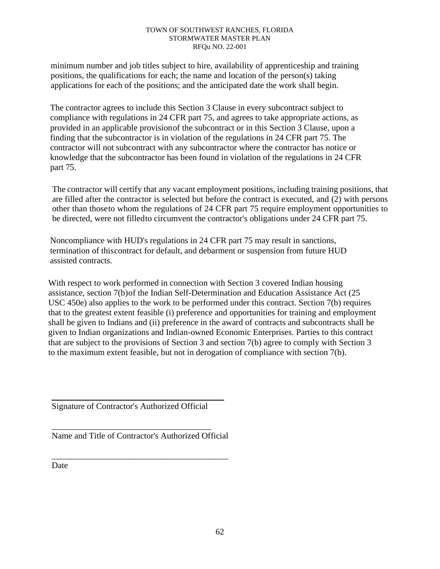minimum number and job titles subject to hire, availability of apprenticeship and training positions, the qualifications for each; the name and location of the person(s) taking applications for each of the positions; and the anticipated date the work shall begin.

The contractor agrees to include this Section 3 Clause in every subcontract subject to compliance with regulations in 24 CFR part 75, and agrees to take appropriate actions, as provided in an applicable provisionof the subcontract or in this Section 3 Clause, upon a finding that the subcontractor is in violation of the regulations in 24 CFR part 75. The contractor will not subcontract with any subcontractor where the contractor has notice or knowledge that the subcontractor has been found in violation of the regulations in 24 CFR part 75.

The contractor will certify that any vacant employment positions, including training positions, that are filled after the contractor is selected but before the contract is executed, and (2) with persons other than thoseto whom the regulations of 24 CFR part 75 require employment opportunities to be directed, were not filledto circumvent the contractor's obligations under 24 CFR part 75.

Noncompliance with HUD's regulations in 24 CFR part 75 may result in sanctions, termination of thiscontract for default, and debarment or suspension from future HUD assisted contracts.

With respect to work performed in connection with Section 3 covered Indian housing assistance, section 7(b)of the Indian Self-Determination and Education Assistance Act (25 USC 450e) also applies to the work to be performed under this contract. Section 7(b) requires that to the greatest extent feasible (i) preference and opportunities for training and employment shall be given to Indians and (ii) preference in the award of contracts and subcontracts shall be given to Indian organizations and Indian-owned Economic Enterprises. Parties to this contract that are subject to the provisions of Section 3 and section 7(b) agree to comply with Section 3 to the maximum extent feasible, but not in derogation of compliance with section 7(b).

Signature of Contractor's Authorized Official

\_\_\_\_\_\_\_\_\_\_\_\_\_\_\_\_\_\_\_\_\_\_\_\_\_\_\_\_\_\_\_\_\_\_\_\_\_ Name and Title of Contractor's Authorized Official

\_\_\_\_\_\_\_\_\_\_\_\_\_\_\_\_\_\_\_\_\_\_\_\_\_\_\_\_\_\_\_\_\_\_\_\_\_\_\_\_\_

\_\_\_\_\_\_\_\_\_\_\_\_\_\_\_\_\_\_\_\_\_\_\_\_\_\_\_\_\_\_\_\_\_\_\_\_\_\_\_\_

Date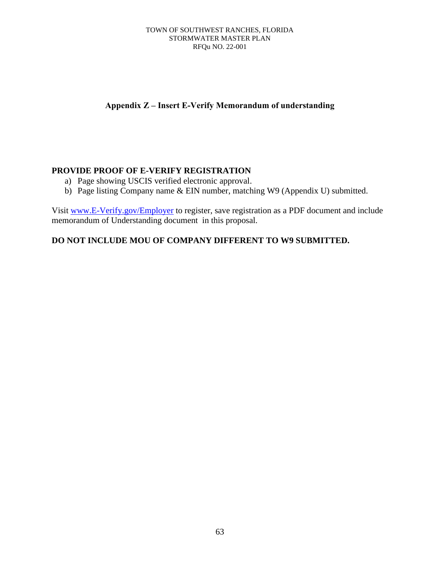### **Appendix Z – Insert E-Verify Memorandum of understanding**

### **PROVIDE PROOF OF E-VERIFY REGISTRATION**

- a) Page showing USCIS verified electronic approval.
- b) Page listing Company name & EIN number, matching W9 (Appendix U) submitted.

Visit [www.E-Verify.gov/Employer](http://www.e-verify.gov/Employer) to register, save registration as a PDF document and include memorandum of Understanding document in this proposal.

### **DO NOT INCLUDE MOU OF COMPANY DIFFERENT TO W9 SUBMITTED.**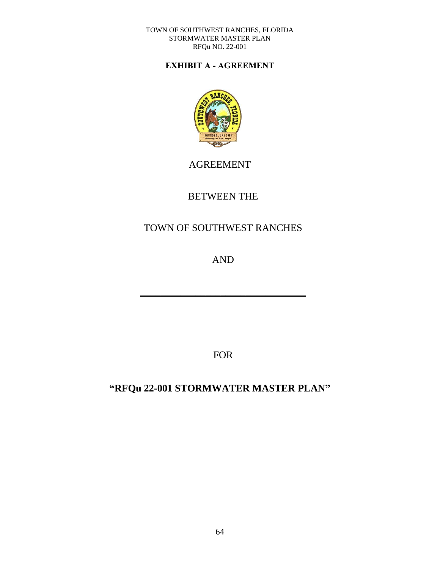# **EXHIBIT A - AGREEMENT**



# AGREEMENT

# BETWEEN THE

# TOWN OF SOUTHWEST RANCHES

AND

\_\_\_\_\_\_\_\_\_\_\_\_\_\_\_\_\_\_\_\_\_\_\_\_\_\_\_\_\_\_\_\_\_

FOR

# **"RFQu 22-001 STORMWATER MASTER PLAN"**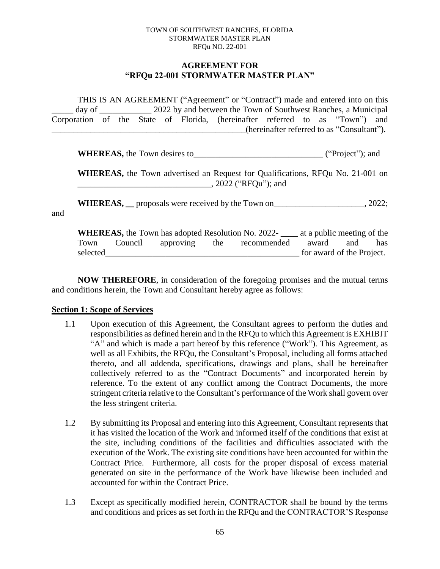### **AGREEMENT FOR "RFQu 22-001 STORMWATER MASTER PLAN"**

THIS IS AN AGREEMENT ("Agreement" or "Contract") made and entered into on this day of 2022 by and between the Town of Southwest Ranches, a Municipal Corporation of the State of Florida, (hereinafter referred to as "Town") and \_\_\_\_\_\_\_\_\_\_\_\_\_\_\_\_\_\_\_\_\_\_\_\_\_\_\_\_\_\_\_\_\_\_\_\_\_\_\_\_\_\_\_\_\_(hereinafter referred to as "Consultant").

WHEREAS, the Town desires to **with the COVID-MAN** ("Project"); and

**WHEREAS,** the Town advertised an Request for Qualifications, RFQu No. 21-001 on \_\_\_\_\_\_\_\_\_\_\_\_\_\_\_\_\_\_\_\_\_\_\_\_\_\_\_\_\_\_\_, 2022 ("RFQu"); and

**WHEREAS,** proposals were received by the Town on  $.2022$ ; and

**WHEREAS,** the Town has adopted Resolution No. 2022- \_\_\_\_ at a public meeting of the Town Council approving the recommended award and has selected for award of the Project.

**NOW THEREFORE**, in consideration of the foregoing promises and the mutual terms and conditions herein, the Town and Consultant hereby agree as follows:

### **Section 1: Scope of Services**

- 1.1 Upon execution of this Agreement, the Consultant agrees to perform the duties and responsibilities as defined herein and in the RFQu to which this Agreement is EXHIBIT "A" and which is made a part hereof by this reference ("Work"). This Agreement, as well as all Exhibits, the RFQu, the Consultant's Proposal, including all forms attached thereto, and all addenda, specifications, drawings and plans, shall be hereinafter collectively referred to as the "Contract Documents" and incorporated herein by reference. To the extent of any conflict among the Contract Documents, the more stringent criteria relative to the Consultant's performance of the Work shall govern over the less stringent criteria.
- 1.2 By submitting its Proposal and entering into this Agreement, Consultant represents that it has visited the location of the Work and informed itself of the conditions that exist at the site, including conditions of the facilities and difficulties associated with the execution of the Work. The existing site conditions have been accounted for within the Contract Price. Furthermore, all costs for the proper disposal of excess material generated on site in the performance of the Work have likewise been included and accounted for within the Contract Price.
- 1.3 Except as specifically modified herein, CONTRACTOR shall be bound by the terms and conditions and prices as set forth in the RFQu and the CONTRACTOR'S Response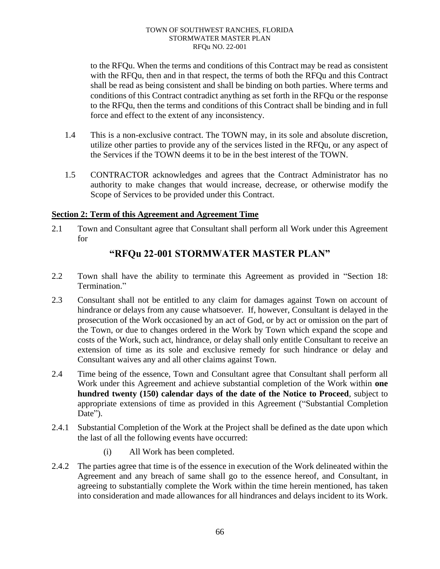to the RFQu. When the terms and conditions of this Contract may be read as consistent with the RFQu, then and in that respect, the terms of both the RFQu and this Contract shall be read as being consistent and shall be binding on both parties. Where terms and conditions of this Contract contradict anything as set forth in the RFQu or the response to the RFQu, then the terms and conditions of this Contract shall be binding and in full force and effect to the extent of any inconsistency.

- 1.4 This is a non-exclusive contract. The TOWN may, in its sole and absolute discretion, utilize other parties to provide any of the services listed in the RFQu, or any aspect of the Services if the TOWN deems it to be in the best interest of the TOWN.
- 1.5 CONTRACTOR acknowledges and agrees that the Contract Administrator has no authority to make changes that would increase, decrease, or otherwise modify the Scope of Services to be provided under this Contract.

### **Section 2: Term of this Agreement and Agreement Time**

2.1 Town and Consultant agree that Consultant shall perform all Work under this Agreement for

# **"RFQu 22-001 STORMWATER MASTER PLAN"**

- 2.2 Town shall have the ability to terminate this Agreement as provided in "Section 18: Termination."
- 2.3 Consultant shall not be entitled to any claim for damages against Town on account of hindrance or delays from any cause whatsoever. If, however, Consultant is delayed in the prosecution of the Work occasioned by an act of God, or by act or omission on the part of the Town, or due to changes ordered in the Work by Town which expand the scope and costs of the Work, such act, hindrance, or delay shall only entitle Consultant to receive an extension of time as its sole and exclusive remedy for such hindrance or delay and Consultant waives any and all other claims against Town.
- 2.4 Time being of the essence, Town and Consultant agree that Consultant shall perform all Work under this Agreement and achieve substantial completion of the Work within **one hundred twenty (150) calendar days of the date of the Notice to Proceed**, subject to appropriate extensions of time as provided in this Agreement ("Substantial Completion Date").
- 2.4.1 Substantial Completion of the Work at the Project shall be defined as the date upon which the last of all the following events have occurred:
	- (i) All Work has been completed.
- 2.4.2 The parties agree that time is of the essence in execution of the Work delineated within the Agreement and any breach of same shall go to the essence hereof, and Consultant, in agreeing to substantially complete the Work within the time herein mentioned, has taken into consideration and made allowances for all hindrances and delays incident to its Work.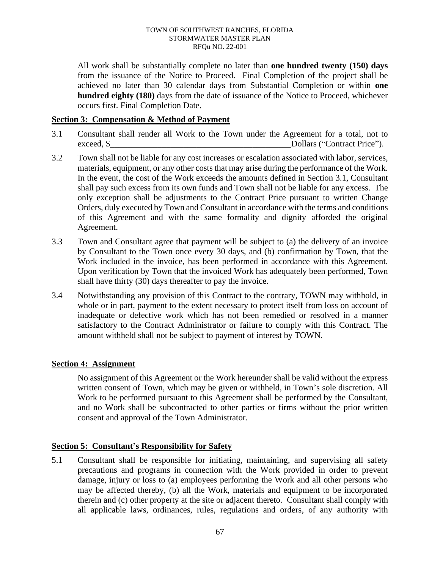All work shall be substantially complete no later than **one hundred twenty (150) days** from the issuance of the Notice to Proceed. Final Completion of the project shall be achieved no later than 30 calendar days from Substantial Completion or within **one hundred eighty (180)** days from the date of issuance of the Notice to Proceed, whichever occurs first. Final Completion Date.

### **Section 3: Compensation & Method of Payment**

- 3.1 Consultant shall render all Work to the Town under the Agreement for a total, not to exceed, \$
- 3.2 Town shall not be liable for any cost increases or escalation associated with labor, services, materials, equipment, or any other costs that may arise during the performance of the Work. In the event, the cost of the Work exceeds the amounts defined in Section 3.1, Consultant shall pay such excess from its own funds and Town shall not be liable for any excess. The only exception shall be adjustments to the Contract Price pursuant to written Change Orders, duly executed by Town and Consultant in accordance with the terms and conditions of this Agreement and with the same formality and dignity afforded the original Agreement.
- 3.3 Town and Consultant agree that payment will be subject to (a) the delivery of an invoice by Consultant to the Town once every 30 days, and (b) confirmation by Town, that the Work included in the invoice, has been performed in accordance with this Agreement. Upon verification by Town that the invoiced Work has adequately been performed, Town shall have thirty (30) days thereafter to pay the invoice.
- 3.4 Notwithstanding any provision of this Contract to the contrary, TOWN may withhold, in whole or in part, payment to the extent necessary to protect itself from loss on account of inadequate or defective work which has not been remedied or resolved in a manner satisfactory to the Contract Administrator or failure to comply with this Contract. The amount withheld shall not be subject to payment of interest by TOWN.

### **Section 4: Assignment**

No assignment of this Agreement or the Work hereunder shall be valid without the express written consent of Town, which may be given or withheld, in Town's sole discretion. All Work to be performed pursuant to this Agreement shall be performed by the Consultant, and no Work shall be subcontracted to other parties or firms without the prior written consent and approval of the Town Administrator.

### **Section 5: Consultant's Responsibility for Safety**

5.1 Consultant shall be responsible for initiating, maintaining, and supervising all safety precautions and programs in connection with the Work provided in order to prevent damage, injury or loss to (a) employees performing the Work and all other persons who may be affected thereby, (b) all the Work, materials and equipment to be incorporated therein and (c) other property at the site or adjacent thereto. Consultant shall comply with all applicable laws, ordinances, rules, regulations and orders, of any authority with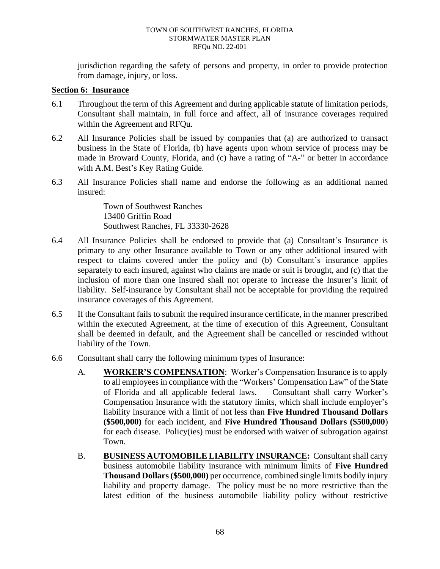jurisdiction regarding the safety of persons and property, in order to provide protection from damage, injury, or loss.

#### **Section 6: Insurance**

- 6.1 Throughout the term of this Agreement and during applicable statute of limitation periods, Consultant shall maintain, in full force and affect, all of insurance coverages required within the Agreement and RFQu.
- 6.2 All Insurance Policies shall be issued by companies that (a) are authorized to transact business in the State of Florida, (b) have agents upon whom service of process may be made in Broward County, Florida, and (c) have a rating of "A-" or better in accordance with A.M. Best's Key Rating Guide.
- 6.3 All Insurance Policies shall name and endorse the following as an additional named insured:

Town of Southwest Ranches 13400 Griffin Road Southwest Ranches, FL 33330-2628

- 6.4 All Insurance Policies shall be endorsed to provide that (a) Consultant's Insurance is primary to any other Insurance available to Town or any other additional insured with respect to claims covered under the policy and (b) Consultant's insurance applies separately to each insured, against who claims are made or suit is brought, and (c) that the inclusion of more than one insured shall not operate to increase the Insurer's limit of liability. Self-insurance by Consultant shall not be acceptable for providing the required insurance coverages of this Agreement.
- 6.5 If the Consultant fails to submit the required insurance certificate, in the manner prescribed within the executed Agreement, at the time of execution of this Agreement, Consultant shall be deemed in default, and the Agreement shall be cancelled or rescinded without liability of the Town.
- 6.6 Consultant shall carry the following minimum types of Insurance:
	- A. **WORKER'S COMPENSATION**: Worker's Compensation Insurance is to apply to all employees in compliance with the "Workers' Compensation Law" of the State of Florida and all applicable federal laws. Consultant shall carry Worker's Compensation Insurance with the statutory limits, which shall include employer's liability insurance with a limit of not less than **Five Hundred Thousand Dollars (\$500,000)** for each incident, and **Five Hundred Thousand Dollars (\$500,000**) for each disease. Policy(ies) must be endorsed with waiver of subrogation against Town.
	- B. **BUSINESS AUTOMOBILE LIABILITY INSURANCE:** Consultant shall carry business automobile liability insurance with minimum limits of **Five Hundred Thousand Dollars (\$500,000)** per occurrence, combined single limits bodily injury liability and property damage. The policy must be no more restrictive than the latest edition of the business automobile liability policy without restrictive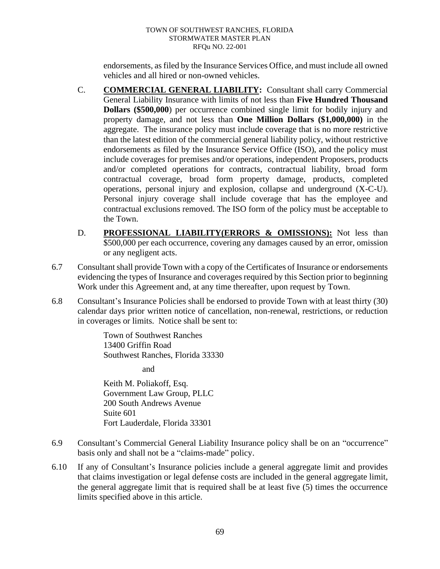endorsements, as filed by the Insurance Services Office, and must include all owned vehicles and all hired or non-owned vehicles.

- C. **COMMERCIAL GENERAL LIABILITY:** Consultant shall carry Commercial General Liability Insurance with limits of not less than **Five Hundred Thousand Dollars (\$500,000)** per occurrence combined single limit for bodily injury and property damage, and not less than **One Million Dollars (\$1,000,000)** in the aggregate. The insurance policy must include coverage that is no more restrictive than the latest edition of the commercial general liability policy, without restrictive endorsements as filed by the Insurance Service Office (ISO), and the policy must include coverages for premises and/or operations, independent Proposers, products and/or completed operations for contracts, contractual liability, broad form contractual coverage, broad form property damage, products, completed operations, personal injury and explosion, collapse and underground (X-C-U). Personal injury coverage shall include coverage that has the employee and contractual exclusions removed. The ISO form of the policy must be acceptable to the Town.
- D. **PROFESSIONAL LIABILITY(ERRORS & OMISSIONS):** Not less than \$500,000 per each occurrence, covering any damages caused by an error, omission or any negligent acts.
- 6.7 Consultantshall provide Town with a copy of the Certificates of Insurance or endorsements evidencing the types of Insurance and coverages required by this Section prior to beginning Work under this Agreement and, at any time thereafter, upon request by Town.
- 6.8 Consultant's Insurance Policies shall be endorsed to provide Town with at least thirty (30) calendar days prior written notice of cancellation, non-renewal, restrictions, or reduction in coverages or limits. Notice shall be sent to:

Town of Southwest Ranches 13400 Griffin Road Southwest Ranches, Florida 33330

and

Keith M. Poliakoff, Esq. Government Law Group, PLLC 200 South Andrews Avenue Suite 601 Fort Lauderdale, Florida 33301

- 6.9 Consultant's Commercial General Liability Insurance policy shall be on an "occurrence" basis only and shall not be a "claims-made" policy.
- 6.10 If any of Consultant's Insurance policies include a general aggregate limit and provides that claims investigation or legal defense costs are included in the general aggregate limit, the general aggregate limit that is required shall be at least five (5) times the occurrence limits specified above in this article.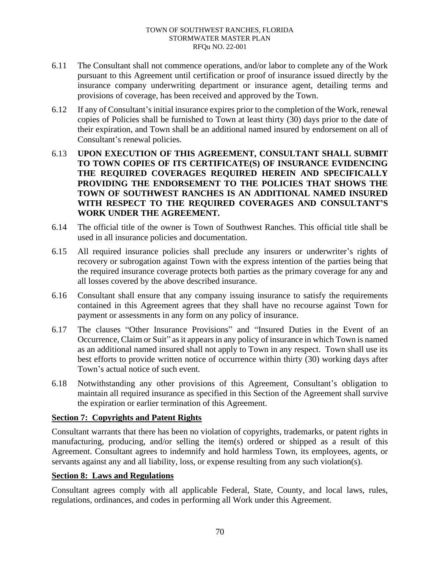- 6.11 The Consultant shall not commence operations, and/or labor to complete any of the Work pursuant to this Agreement until certification or proof of insurance issued directly by the insurance company underwriting department or insurance agent, detailing terms and provisions of coverage, has been received and approved by the Town.
- 6.12 If any of Consultant's initial insurance expires prior to the completion of the Work, renewal copies of Policies shall be furnished to Town at least thirty (30) days prior to the date of their expiration, and Town shall be an additional named insured by endorsement on all of Consultant's renewal policies.
- 6.13 **UPON EXECUTION OF THIS AGREEMENT, CONSULTANT SHALL SUBMIT TO TOWN COPIES OF ITS CERTIFICATE(S) OF INSURANCE EVIDENCING THE REQUIRED COVERAGES REQUIRED HEREIN AND SPECIFICALLY PROVIDING THE ENDORSEMENT TO THE POLICIES THAT SHOWS THE TOWN OF SOUTHWEST RANCHES IS AN ADDITIONAL NAMED INSURED WITH RESPECT TO THE REQUIRED COVERAGES AND CONSULTANT'S WORK UNDER THE AGREEMENT.**
- 6.14 The official title of the owner is Town of Southwest Ranches. This official title shall be used in all insurance policies and documentation.
- 6.15 All required insurance policies shall preclude any insurers or underwriter's rights of recovery or subrogation against Town with the express intention of the parties being that the required insurance coverage protects both parties as the primary coverage for any and all losses covered by the above described insurance.
- 6.16 Consultant shall ensure that any company issuing insurance to satisfy the requirements contained in this Agreement agrees that they shall have no recourse against Town for payment or assessments in any form on any policy of insurance.
- 6.17 The clauses "Other Insurance Provisions" and "Insured Duties in the Event of an Occurrence, Claim or Suit" as it appears in any policy of insurance in which Town is named as an additional named insured shall not apply to Town in any respect. Town shall use its best efforts to provide written notice of occurrence within thirty (30) working days after Town's actual notice of such event.
- 6.18 Notwithstanding any other provisions of this Agreement, Consultant's obligation to maintain all required insurance as specified in this Section of the Agreement shall survive the expiration or earlier termination of this Agreement.

## **Section 7: Copyrights and Patent Rights**

Consultant warrants that there has been no violation of copyrights, trademarks, or patent rights in manufacturing, producing, and/or selling the item(s) ordered or shipped as a result of this Agreement. Consultant agrees to indemnify and hold harmless Town, its employees, agents, or servants against any and all liability, loss, or expense resulting from any such violation(s).

## **Section 8: Laws and Regulations**

Consultant agrees comply with all applicable Federal, State, County, and local laws, rules, regulations, ordinances, and codes in performing all Work under this Agreement.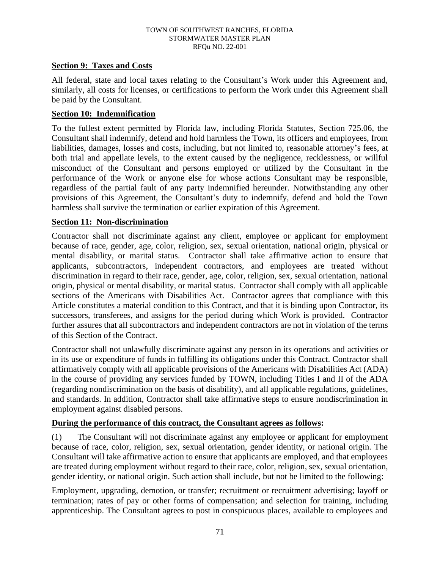### **Section 9: Taxes and Costs**

All federal, state and local taxes relating to the Consultant's Work under this Agreement and, similarly, all costs for licenses, or certifications to perform the Work under this Agreement shall be paid by the Consultant.

### **Section 10: Indemnification**

To the fullest extent permitted by Florida law, including Florida Statutes, Section 725.06, the Consultant shall indemnify, defend and hold harmless the Town, its officers and employees, from liabilities, damages, losses and costs, including, but not limited to, reasonable attorney's fees, at both trial and appellate levels, to the extent caused by the negligence, recklessness, or willful misconduct of the Consultant and persons employed or utilized by the Consultant in the performance of the Work or anyone else for whose actions Consultant may be responsible, regardless of the partial fault of any party indemnified hereunder. Notwithstanding any other provisions of this Agreement, the Consultant's duty to indemnify, defend and hold the Town harmless shall survive the termination or earlier expiration of this Agreement.

### **Section 11: Non-discrimination**

Contractor shall not discriminate against any client, employee or applicant for employment because of race, gender, age, color, religion, sex, sexual orientation, national origin, physical or mental disability, or marital status. Contractor shall take affirmative action to ensure that applicants, subcontractors, independent contractors, and employees are treated without discrimination in regard to their race, gender, age, color, religion, sex, sexual orientation, national origin, physical or mental disability, or marital status. Contractor shall comply with all applicable sections of the Americans with Disabilities Act. Contractor agrees that compliance with this Article constitutes a material condition to this Contract, and that it is binding upon Contractor, its successors, transferees, and assigns for the period during which Work is provided. Contractor further assures that all subcontractors and independent contractors are not in violation of the terms of this Section of the Contract.

Contractor shall not unlawfully discriminate against any person in its operations and activities or in its use or expenditure of funds in fulfilling its obligations under this Contract. Contractor shall affirmatively comply with all applicable provisions of the Americans with Disabilities Act (ADA) in the course of providing any services funded by TOWN, including Titles I and II of the ADA (regarding nondiscrimination on the basis of disability), and all applicable regulations, guidelines, and standards. In addition, Contractor shall take affirmative steps to ensure nondiscrimination in employment against disabled persons.

## **During the performance of this contract, the Consultant agrees as follows:**

(1) The Consultant will not discriminate against any employee or applicant for employment because of race, color, religion, sex, sexual orientation, gender identity, or national origin. The Consultant will take affirmative action to ensure that applicants are employed, and that employees are treated during employment without regard to their race, color, religion, sex, sexual orientation, gender identity, or national origin. Such action shall include, but not be limited to the following:

Employment, upgrading, demotion, or transfer; recruitment or recruitment advertising; layoff or termination; rates of pay or other forms of compensation; and selection for training, including apprenticeship. The Consultant agrees to post in conspicuous places, available to employees and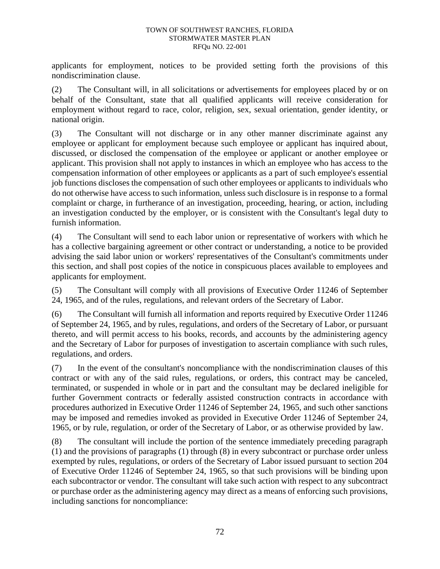applicants for employment, notices to be provided setting forth the provisions of this nondiscrimination clause.

(2) The Consultant will, in all solicitations or advertisements for employees placed by or on behalf of the Consultant, state that all qualified applicants will receive consideration for employment without regard to race, color, religion, sex, sexual orientation, gender identity, or national origin.

(3) The Consultant will not discharge or in any other manner discriminate against any employee or applicant for employment because such employee or applicant has inquired about, discussed, or disclosed the compensation of the employee or applicant or another employee or applicant. This provision shall not apply to instances in which an employee who has access to the compensation information of other employees or applicants as a part of such employee's essential job functions discloses the compensation of such other employees or applicants to individuals who do not otherwise have access to such information, unless such disclosure is in response to a formal complaint or charge, in furtherance of an investigation, proceeding, hearing, or action, including an investigation conducted by the employer, or is consistent with the Consultant's legal duty to furnish information.

(4) The Consultant will send to each labor union or representative of workers with which he has a collective bargaining agreement or other contract or understanding, a notice to be provided advising the said labor union or workers' representatives of the Consultant's commitments under this section, and shall post copies of the notice in conspicuous places available to employees and applicants for employment.

(5) The Consultant will comply with all provisions of Executive Order 11246 of September 24, 1965, and of the rules, regulations, and relevant orders of the Secretary of Labor.

(6) The Consultant will furnish all information and reports required by Executive Order 11246 of September 24, 1965, and by rules, regulations, and orders of the Secretary of Labor, or pursuant thereto, and will permit access to his books, records, and accounts by the administering agency and the Secretary of Labor for purposes of investigation to ascertain compliance with such rules, regulations, and orders.

(7) In the event of the consultant's noncompliance with the nondiscrimination clauses of this contract or with any of the said rules, regulations, or orders, this contract may be canceled, terminated, or suspended in whole or in part and the consultant may be declared ineligible for further Government contracts or federally assisted construction contracts in accordance with procedures authorized in Executive Order 11246 of September 24, 1965, and such other sanctions may be imposed and remedies invoked as provided in Executive Order 11246 of September 24, 1965, or by rule, regulation, or order of the Secretary of Labor, or as otherwise provided by law.

(8) The consultant will include the portion of the sentence immediately preceding paragraph (1) and the provisions of paragraphs (1) through (8) in every subcontract or purchase order unless exempted by rules, regulations, or orders of the Secretary of Labor issued pursuant to section 204 of Executive Order 11246 of September 24, 1965, so that such provisions will be binding upon each subcontractor or vendor. The consultant will take such action with respect to any subcontract or purchase order as the administering agency may direct as a means of enforcing such provisions, including sanctions for noncompliance: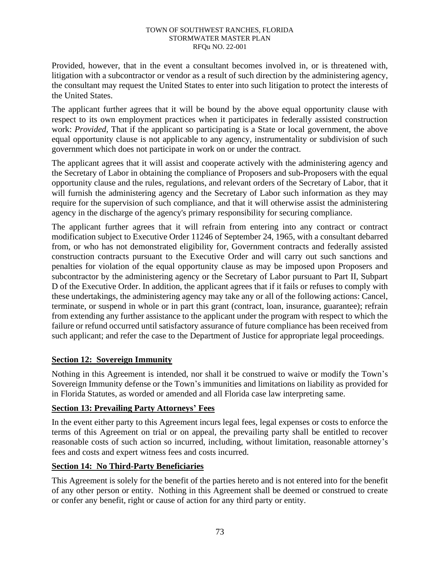Provided, however, that in the event a consultant becomes involved in, or is threatened with, litigation with a subcontractor or vendor as a result of such direction by the administering agency, the consultant may request the United States to enter into such litigation to protect the interests of the United States.

The applicant further agrees that it will be bound by the above equal opportunity clause with respect to its own employment practices when it participates in federally assisted construction work: *Provided,* That if the applicant so participating is a State or local government, the above equal opportunity clause is not applicable to any agency, instrumentality or subdivision of such government which does not participate in work on or under the contract.

The applicant agrees that it will assist and cooperate actively with the administering agency and the Secretary of Labor in obtaining the compliance of Proposers and sub-Proposers with the equal opportunity clause and the rules, regulations, and relevant orders of the Secretary of Labor, that it will furnish the administering agency and the Secretary of Labor such information as they may require for the supervision of such compliance, and that it will otherwise assist the administering agency in the discharge of the agency's primary responsibility for securing compliance.

The applicant further agrees that it will refrain from entering into any contract or contract modification subject to Executive Order 11246 of September 24, 1965, with a consultant debarred from, or who has not demonstrated eligibility for, Government contracts and federally assisted construction contracts pursuant to the Executive Order and will carry out such sanctions and penalties for violation of the equal opportunity clause as may be imposed upon Proposers and subcontractor by the administering agency or the Secretary of Labor pursuant to Part II, Subpart D of the Executive Order. In addition, the applicant agrees that if it fails or refuses to comply with these undertakings, the administering agency may take any or all of the following actions: Cancel, terminate, or suspend in whole or in part this grant (contract, loan, insurance, guarantee); refrain from extending any further assistance to the applicant under the program with respect to which the failure or refund occurred until satisfactory assurance of future compliance has been received from such applicant; and refer the case to the Department of Justice for appropriate legal proceedings.

## **Section 12: Sovereign Immunity**

Nothing in this Agreement is intended, nor shall it be construed to waive or modify the Town's Sovereign Immunity defense or the Town's immunities and limitations on liability as provided for in Florida Statutes, as worded or amended and all Florida case law interpreting same.

## **Section 13: Prevailing Party Attorneys' Fees**

In the event either party to this Agreement incurs legal fees, legal expenses or costs to enforce the terms of this Agreement on trial or on appeal, the prevailing party shall be entitled to recover reasonable costs of such action so incurred, including, without limitation, reasonable attorney's fees and costs and expert witness fees and costs incurred.

## **Section 14: No Third-Party Beneficiaries**

This Agreement is solely for the benefit of the parties hereto and is not entered into for the benefit of any other person or entity. Nothing in this Agreement shall be deemed or construed to create or confer any benefit, right or cause of action for any third party or entity.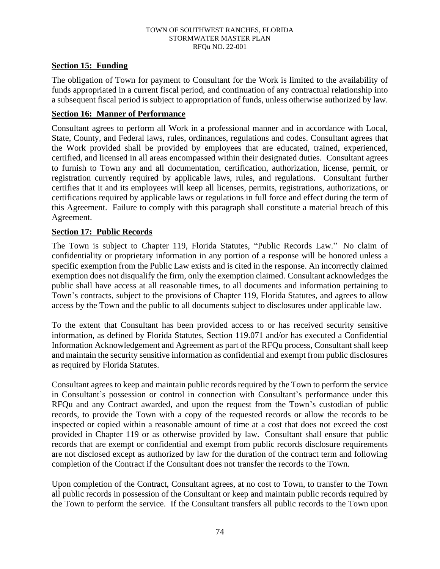### **Section 15: Funding**

The obligation of Town for payment to Consultant for the Work is limited to the availability of funds appropriated in a current fiscal period, and continuation of any contractual relationship into a subsequent fiscal period is subject to appropriation of funds, unless otherwise authorized by law.

### **Section 16: Manner of Performance**

Consultant agrees to perform all Work in a professional manner and in accordance with Local, State, County, and Federal laws, rules, ordinances, regulations and codes. Consultant agrees that the Work provided shall be provided by employees that are educated, trained, experienced, certified, and licensed in all areas encompassed within their designated duties. Consultant agrees to furnish to Town any and all documentation, certification, authorization, license, permit, or registration currently required by applicable laws, rules, and regulations. Consultant further certifies that it and its employees will keep all licenses, permits, registrations, authorizations, or certifications required by applicable laws or regulations in full force and effect during the term of this Agreement. Failure to comply with this paragraph shall constitute a material breach of this Agreement.

### **Section 17: Public Records**

The Town is subject to Chapter 119, Florida Statutes, "Public Records Law." No claim of confidentiality or proprietary information in any portion of a response will be honored unless a specific exemption from the Public Law exists and is cited in the response. An incorrectly claimed exemption does not disqualify the firm, only the exemption claimed. Consultant acknowledges the public shall have access at all reasonable times, to all documents and information pertaining to Town's contracts, subject to the provisions of Chapter 119, Florida Statutes, and agrees to allow access by the Town and the public to all documents subject to disclosures under applicable law.

To the extent that Consultant has been provided access to or has received security sensitive information, as defined by Florida Statutes, Section 119.071 and/or has executed a Confidential Information Acknowledgement and Agreement as part of the RFQu process, Consultant shall keep and maintain the security sensitive information as confidential and exempt from public disclosures as required by Florida Statutes.

Consultant agrees to keep and maintain public records required by the Town to perform the service in Consultant's possession or control in connection with Consultant's performance under this RFQu and any Contract awarded, and upon the request from the Town's custodian of public records, to provide the Town with a copy of the requested records or allow the records to be inspected or copied within a reasonable amount of time at a cost that does not exceed the cost provided in Chapter 119 or as otherwise provided by law. Consultant shall ensure that public records that are exempt or confidential and exempt from public records disclosure requirements are not disclosed except as authorized by law for the duration of the contract term and following completion of the Contract if the Consultant does not transfer the records to the Town.

Upon completion of the Contract, Consultant agrees, at no cost to Town, to transfer to the Town all public records in possession of the Consultant or keep and maintain public records required by the Town to perform the service. If the Consultant transfers all public records to the Town upon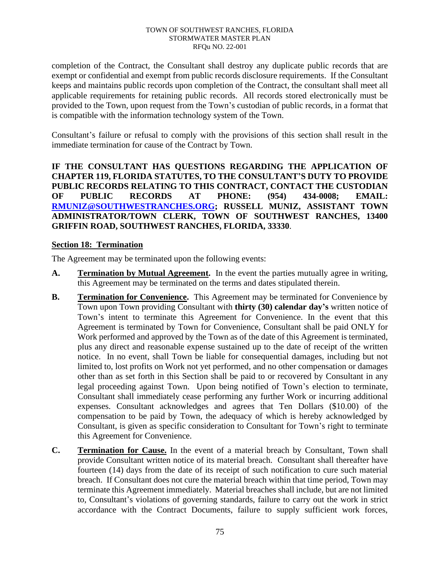completion of the Contract, the Consultant shall destroy any duplicate public records that are exempt or confidential and exempt from public records disclosure requirements. If the Consultant keeps and maintains public records upon completion of the Contract, the consultant shall meet all applicable requirements for retaining public records. All records stored electronically must be provided to the Town, upon request from the Town's custodian of public records, in a format that is compatible with the information technology system of the Town.

Consultant's failure or refusal to comply with the provisions of this section shall result in the immediate termination for cause of the Contract by Town.

**IF THE CONSULTANT HAS QUESTIONS REGARDING THE APPLICATION OF CHAPTER 119, FLORIDA STATUTES, TO THE CONSULTANT'S DUTY TO PROVIDE PUBLIC RECORDS RELATING TO THIS CONTRACT, CONTACT THE CUSTODIAN OF PUBLIC RECORDS AT PHONE: (954) 434-0008; EMAIL: RMUNIZ@SOUTHWESTRANCHES.ORG; RUSSELL MUNIZ, ASSISTANT TOWN ADMINISTRATOR/TOWN CLERK, TOWN OF SOUTHWEST RANCHES, 13400 GRIFFIN ROAD, SOUTHWEST RANCHES, FLORIDA, 33330**.

#### **Section 18: Termination**

The Agreement may be terminated upon the following events:

- **A. Termination by Mutual Agreement.** In the event the parties mutually agree in writing, this Agreement may be terminated on the terms and dates stipulated therein.
- **B. Termination for Convenience.** This Agreement may be terminated for Convenience by Town upon Town providing Consultant with **thirty (30) calendar day's** written notice of Town's intent to terminate this Agreement for Convenience. In the event that this Agreement is terminated by Town for Convenience, Consultant shall be paid ONLY for Work performed and approved by the Town as of the date of this Agreement is terminated, plus any direct and reasonable expense sustained up to the date of receipt of the written notice. In no event, shall Town be liable for consequential damages, including but not limited to, lost profits on Work not yet performed, and no other compensation or damages other than as set forth in this Section shall be paid to or recovered by Consultant in any legal proceeding against Town. Upon being notified of Town's election to terminate, Consultant shall immediately cease performing any further Work or incurring additional expenses. Consultant acknowledges and agrees that Ten Dollars (\$10.00) of the compensation to be paid by Town, the adequacy of which is hereby acknowledged by Consultant, is given as specific consideration to Consultant for Town's right to terminate this Agreement for Convenience.
- **C. Termination for Cause.** In the event of a material breach by Consultant, Town shall provide Consultant written notice of its material breach. Consultant shall thereafter have fourteen (14) days from the date of its receipt of such notification to cure such material breach. If Consultant does not cure the material breach within that time period, Town may terminate this Agreement immediately. Material breaches shall include, but are not limited to, Consultant's violations of governing standards, failure to carry out the work in strict accordance with the Contract Documents, failure to supply sufficient work forces,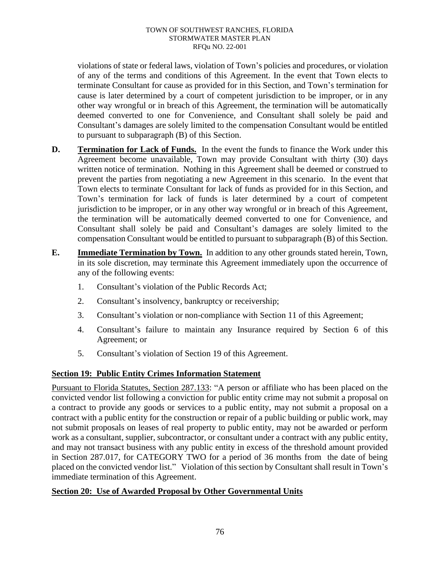violations of state or federal laws, violation of Town's policies and procedures, or violation of any of the terms and conditions of this Agreement. In the event that Town elects to terminate Consultant for cause as provided for in this Section, and Town's termination for cause is later determined by a court of competent jurisdiction to be improper, or in any other way wrongful or in breach of this Agreement, the termination will be automatically deemed converted to one for Convenience, and Consultant shall solely be paid and Consultant's damages are solely limited to the compensation Consultant would be entitled to pursuant to subparagraph (B) of this Section.

- **D. Termination for Lack of Funds.** In the event the funds to finance the Work under this Agreement become unavailable, Town may provide Consultant with thirty (30) days written notice of termination. Nothing in this Agreement shall be deemed or construed to prevent the parties from negotiating a new Agreement in this scenario. In the event that Town elects to terminate Consultant for lack of funds as provided for in this Section, and Town's termination for lack of funds is later determined by a court of competent jurisdiction to be improper, or in any other way wrongful or in breach of this Agreement, the termination will be automatically deemed converted to one for Convenience, and Consultant shall solely be paid and Consultant's damages are solely limited to the compensation Consultant would be entitled to pursuant to subparagraph (B) of this Section.
- **E. Immediate Termination by Town.** In addition to any other grounds stated herein, Town, in its sole discretion, may terminate this Agreement immediately upon the occurrence of any of the following events:
	- 1. Consultant's violation of the Public Records Act;
	- 2. Consultant's insolvency, bankruptcy or receivership;
	- 3. Consultant's violation or non-compliance with Section 11 of this Agreement;
	- 4. Consultant's failure to maintain any Insurance required by Section 6 of this Agreement; or
	- 5. Consultant's violation of Section 19 of this Agreement.

## **Section 19: Public Entity Crimes Information Statement**

Pursuant to Florida Statutes, Section 287.133: "A person or affiliate who has been placed on the convicted vendor list following a conviction for public entity crime may not submit a proposal on a contract to provide any goods or services to a public entity, may not submit a proposal on a contract with a public entity for the construction or repair of a public building or public work, may not submit proposals on leases of real property to public entity, may not be awarded or perform work as a consultant, supplier, subcontractor, or consultant under a contract with any public entity, and may not transact business with any public entity in excess of the threshold amount provided in Section 287.017, for CATEGORY TWO for a period of 36 months from the date of being placed on the convicted vendor list." Violation of this section by Consultant shall result in Town's immediate termination of this Agreement.

## **Section 20: Use of Awarded Proposal by Other Governmental Units**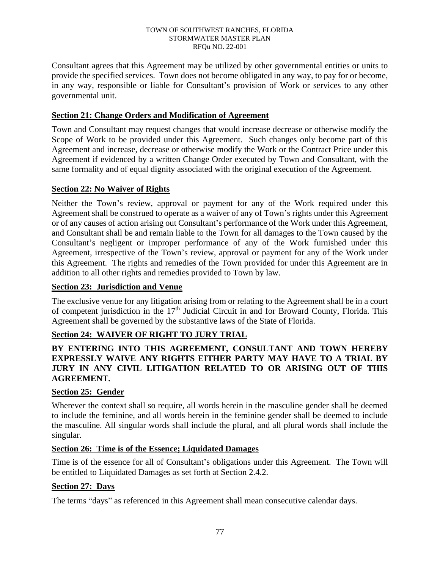Consultant agrees that this Agreement may be utilized by other governmental entities or units to provide the specified services. Town does not become obligated in any way, to pay for or become, in any way, responsible or liable for Consultant's provision of Work or services to any other governmental unit.

## **Section 21: Change Orders and Modification of Agreement**

Town and Consultant may request changes that would increase decrease or otherwise modify the Scope of Work to be provided under this Agreement. Such changes only become part of this Agreement and increase, decrease or otherwise modify the Work or the Contract Price under this Agreement if evidenced by a written Change Order executed by Town and Consultant, with the same formality and of equal dignity associated with the original execution of the Agreement.

### **Section 22: No Waiver of Rights**

Neither the Town's review, approval or payment for any of the Work required under this Agreement shall be construed to operate as a waiver of any of Town's rights under this Agreement or of any causes of action arising out Consultant's performance of the Work under this Agreement, and Consultant shall be and remain liable to the Town for all damages to the Town caused by the Consultant's negligent or improper performance of any of the Work furnished under this Agreement, irrespective of the Town's review, approval or payment for any of the Work under this Agreement. The rights and remedies of the Town provided for under this Agreement are in addition to all other rights and remedies provided to Town by law.

### **Section 23: Jurisdiction and Venue**

The exclusive venue for any litigation arising from or relating to the Agreement shall be in a court of competent jurisdiction in the 17<sup>th</sup> Judicial Circuit in and for Broward County, Florida. This Agreement shall be governed by the substantive laws of the State of Florida.

## **Section 24: WAIVER OF RIGHT TO JURY TRIAL**

## **BY ENTERING INTO THIS AGREEMENT, CONSULTANT AND TOWN HEREBY EXPRESSLY WAIVE ANY RIGHTS EITHER PARTY MAY HAVE TO A TRIAL BY JURY IN ANY CIVIL LITIGATION RELATED TO OR ARISING OUT OF THIS AGREEMENT.**

#### **Section 25: Gender**

Wherever the context shall so require, all words herein in the masculine gender shall be deemed to include the feminine, and all words herein in the feminine gender shall be deemed to include the masculine. All singular words shall include the plural, and all plural words shall include the singular.

#### **Section 26: Time is of the Essence; Liquidated Damages**

Time is of the essence for all of Consultant's obligations under this Agreement. The Town will be entitled to Liquidated Damages as set forth at Section 2.4.2.

#### **Section 27: Days**

The terms "days" as referenced in this Agreement shall mean consecutive calendar days.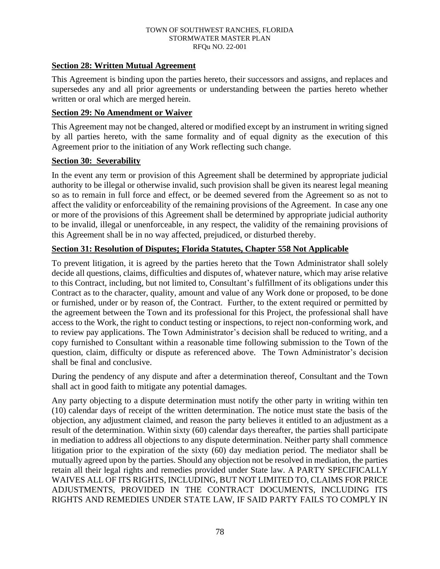### **Section 28: Written Mutual Agreement**

This Agreement is binding upon the parties hereto, their successors and assigns, and replaces and supersedes any and all prior agreements or understanding between the parties hereto whether written or oral which are merged herein.

### **Section 29: No Amendment or Waiver**

This Agreement may not be changed, altered or modified except by an instrument in writing signed by all parties hereto, with the same formality and of equal dignity as the execution of this Agreement prior to the initiation of any Work reflecting such change.

#### **Section 30: Severability**

In the event any term or provision of this Agreement shall be determined by appropriate judicial authority to be illegal or otherwise invalid, such provision shall be given its nearest legal meaning so as to remain in full force and effect, or be deemed severed from the Agreement so as not to affect the validity or enforceability of the remaining provisions of the Agreement. In case any one or more of the provisions of this Agreement shall be determined by appropriate judicial authority to be invalid, illegal or unenforceable, in any respect, the validity of the remaining provisions of this Agreement shall be in no way affected, prejudiced, or disturbed thereby.

## **Section 31: Resolution of Disputes; Florida Statutes, Chapter 558 Not Applicable**

To prevent litigation, it is agreed by the parties hereto that the Town Administrator shall solely decide all questions, claims, difficulties and disputes of, whatever nature, which may arise relative to this Contract, including, but not limited to, Consultant's fulfillment of its obligations under this Contract as to the character, quality, amount and value of any Work done or proposed, to be done or furnished, under or by reason of, the Contract. Further, to the extent required or permitted by the agreement between the Town and its professional for this Project, the professional shall have access to the Work, the right to conduct testing or inspections, to reject non-conforming work, and to review pay applications. The Town Administrator's decision shall be reduced to writing, and a copy furnished to Consultant within a reasonable time following submission to the Town of the question, claim, difficulty or dispute as referenced above. The Town Administrator's decision shall be final and conclusive.

During the pendency of any dispute and after a determination thereof, Consultant and the Town shall act in good faith to mitigate any potential damages.

Any party objecting to a dispute determination must notify the other party in writing within ten (10) calendar days of receipt of the written determination. The notice must state the basis of the objection, any adjustment claimed, and reason the party believes it entitled to an adjustment as a result of the determination. Within sixty (60) calendar days thereafter, the parties shall participate in mediation to address all objections to any dispute determination. Neither party shall commence litigation prior to the expiration of the sixty (60) day mediation period. The mediator shall be mutually agreed upon by the parties. Should any objection not be resolved in mediation, the parties retain all their legal rights and remedies provided under State law. A PARTY SPECIFICALLY WAIVES ALL OF ITS RIGHTS, INCLUDING, BUT NOT LIMITED TO, CLAIMS FOR PRICE ADJUSTMENTS, PROVIDED IN THE CONTRACT DOCUMENTS, INCLUDING ITS RIGHTS AND REMEDIES UNDER STATE LAW, IF SAID PARTY FAILS TO COMPLY IN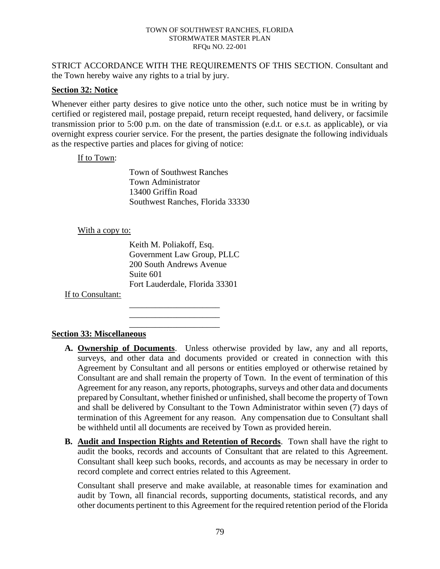STRICT ACCORDANCE WITH THE REQUIREMENTS OF THIS SECTION. Consultant and the Town hereby waive any rights to a trial by jury.

### **Section 32: Notice**

Whenever either party desires to give notice unto the other, such notice must be in writing by certified or registered mail, postage prepaid, return receipt requested, hand delivery, or facsimile transmission prior to 5:00 p.m. on the date of transmission (e.d.t. or e.s.t. as applicable), or via overnight express courier service. For the present, the parties designate the following individuals as the respective parties and places for giving of notice:

### If to Town:

Town of Southwest Ranches Town Administrator 13400 Griffin Road Southwest Ranches, Florida 33330

### With a copy to:

Keith M. Poliakoff, Esq. Government Law Group, PLLC 200 South Andrews Avenue Suite 601 Fort Lauderdale, Florida 33301

\_\_\_\_\_\_\_\_\_\_\_\_\_\_\_\_\_\_\_\_\_ \_\_\_\_\_\_\_\_\_\_\_\_\_\_\_\_\_\_\_\_\_ \_\_\_\_\_\_\_\_\_\_\_\_\_\_\_\_\_\_\_\_\_

If to Consultant:

## **Section 33: Miscellaneous**

- **A. Ownership of Documents**. Unless otherwise provided by law, any and all reports, surveys, and other data and documents provided or created in connection with this Agreement by Consultant and all persons or entities employed or otherwise retained by Consultant are and shall remain the property of Town. In the event of termination of this Agreement for any reason, any reports, photographs, surveys and other data and documents prepared by Consultant, whether finished or unfinished, shall become the property of Town and shall be delivered by Consultant to the Town Administrator within seven (7) days of termination of this Agreement for any reason. Any compensation due to Consultant shall be withheld until all documents are received by Town as provided herein.
- **B. Audit and Inspection Rights and Retention of Records**. Town shall have the right to audit the books, records and accounts of Consultant that are related to this Agreement. Consultant shall keep such books, records, and accounts as may be necessary in order to record complete and correct entries related to this Agreement.

Consultant shall preserve and make available, at reasonable times for examination and audit by Town, all financial records, supporting documents, statistical records, and any other documents pertinent to this Agreement for the required retention period of the Florida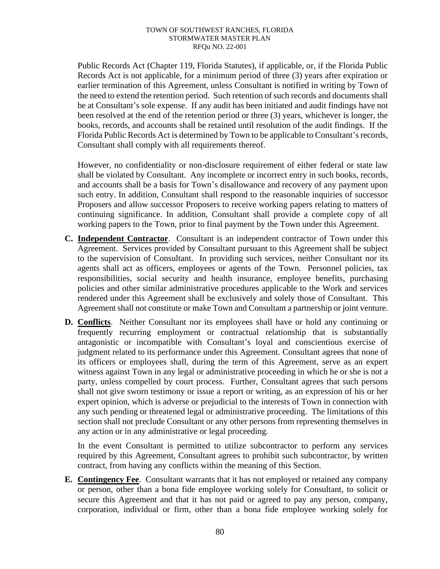Public Records Act (Chapter 119, Florida Statutes), if applicable, or, if the Florida Public Records Act is not applicable, for a minimum period of three (3) years after expiration or earlier termination of this Agreement, unless Consultant is notified in writing by Town of the need to extend the retention period. Such retention of such records and documents shall be at Consultant's sole expense. If any audit has been initiated and audit findings have not been resolved at the end of the retention period or three (3) years, whichever is longer, the books, records, and accounts shall be retained until resolution of the audit findings. If the Florida Public Records Act is determined by Town to be applicable to Consultant's records, Consultant shall comply with all requirements thereof.

However, no confidentiality or non-disclosure requirement of either federal or state law shall be violated by Consultant. Any incomplete or incorrect entry in such books, records, and accounts shall be a basis for Town's disallowance and recovery of any payment upon such entry. In addition, Consultant shall respond to the reasonable inquiries of successor Proposers and allow successor Proposers to receive working papers relating to matters of continuing significance. In addition, Consultant shall provide a complete copy of all working papers to the Town, prior to final payment by the Town under this Agreement.

- **C. Independent Contractor**. Consultant is an independent contractor of Town under this Agreement. Services provided by Consultant pursuant to this Agreement shall be subject to the supervision of Consultant. In providing such services, neither Consultant nor its agents shall act as officers, employees or agents of the Town. Personnel policies, tax responsibilities, social security and health insurance, employee benefits, purchasing policies and other similar administrative procedures applicable to the Work and services rendered under this Agreement shall be exclusively and solely those of Consultant. This Agreement shall not constitute or make Town and Consultant a partnership or joint venture.
- **D. Conflicts**. Neither Consultant nor its employees shall have or hold any continuing or frequently recurring employment or contractual relationship that is substantially antagonistic or incompatible with Consultant's loyal and conscientious exercise of judgment related to its performance under this Agreement. Consultant agrees that none of its officers or employees shall, during the term of this Agreement, serve as an expert witness against Town in any legal or administrative proceeding in which he or she is not a party, unless compelled by court process. Further, Consultant agrees that such persons shall not give sworn testimony or issue a report or writing, as an expression of his or her expert opinion, which is adverse or prejudicial to the interests of Town in connection with any such pending or threatened legal or administrative proceeding. The limitations of this section shall not preclude Consultant or any other persons from representing themselves in any action or in any administrative or legal proceeding.

In the event Consultant is permitted to utilize subcontractor to perform any services required by this Agreement, Consultant agrees to prohibit such subcontractor, by written contract, from having any conflicts within the meaning of this Section.

**E. Contingency Fee**. Consultant warrants that it has not employed or retained any company or person, other than a bona fide employee working solely for Consultant, to solicit or secure this Agreement and that it has not paid or agreed to pay any person, company, corporation, individual or firm, other than a bona fide employee working solely for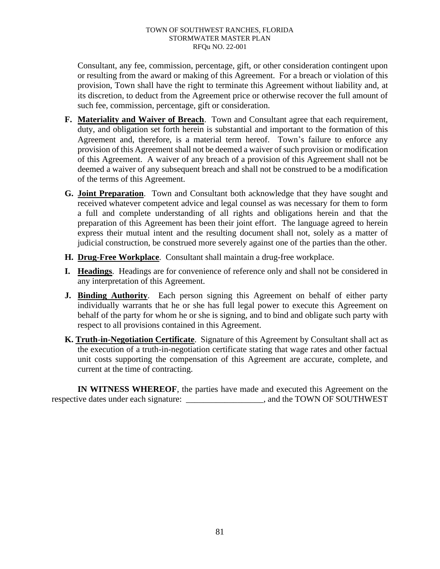Consultant, any fee, commission, percentage, gift, or other consideration contingent upon or resulting from the award or making of this Agreement. For a breach or violation of this provision, Town shall have the right to terminate this Agreement without liability and, at its discretion, to deduct from the Agreement price or otherwise recover the full amount of such fee, commission, percentage, gift or consideration.

- **F. Materiality and Waiver of Breach**. Town and Consultant agree that each requirement, duty, and obligation set forth herein is substantial and important to the formation of this Agreement and, therefore, is a material term hereof. Town's failure to enforce any provision of this Agreement shall not be deemed a waiver of such provision or modification of this Agreement. A waiver of any breach of a provision of this Agreement shall not be deemed a waiver of any subsequent breach and shall not be construed to be a modification of the terms of this Agreement.
- **G. Joint Preparation**. Town and Consultant both acknowledge that they have sought and received whatever competent advice and legal counsel as was necessary for them to form a full and complete understanding of all rights and obligations herein and that the preparation of this Agreement has been their joint effort. The language agreed to herein express their mutual intent and the resulting document shall not, solely as a matter of judicial construction, be construed more severely against one of the parties than the other.
- **H. Drug**-**Free Workplace**. Consultant shall maintain a drug-free workplace.
- **I. Headings**. Headings are for convenience of reference only and shall not be considered in any interpretation of this Agreement.
- **J. Binding Authority**. Each person signing this Agreement on behalf of either party individually warrants that he or she has full legal power to execute this Agreement on behalf of the party for whom he or she is signing, and to bind and obligate such party with respect to all provisions contained in this Agreement.
- **K. Truth**-**in-Negotiation Certificate**. Signature of this Agreement by Consultant shall act as the execution of a truth-in-negotiation certificate stating that wage rates and other factual unit costs supporting the compensation of this Agreement are accurate, complete, and current at the time of contracting.

**IN WITNESS WHEREOF**, the parties have made and executed this Agreement on the respective dates under each signature: \_\_\_\_\_\_\_\_\_\_\_\_\_\_\_\_\_\_, and the TOWN OF SOUTHWEST